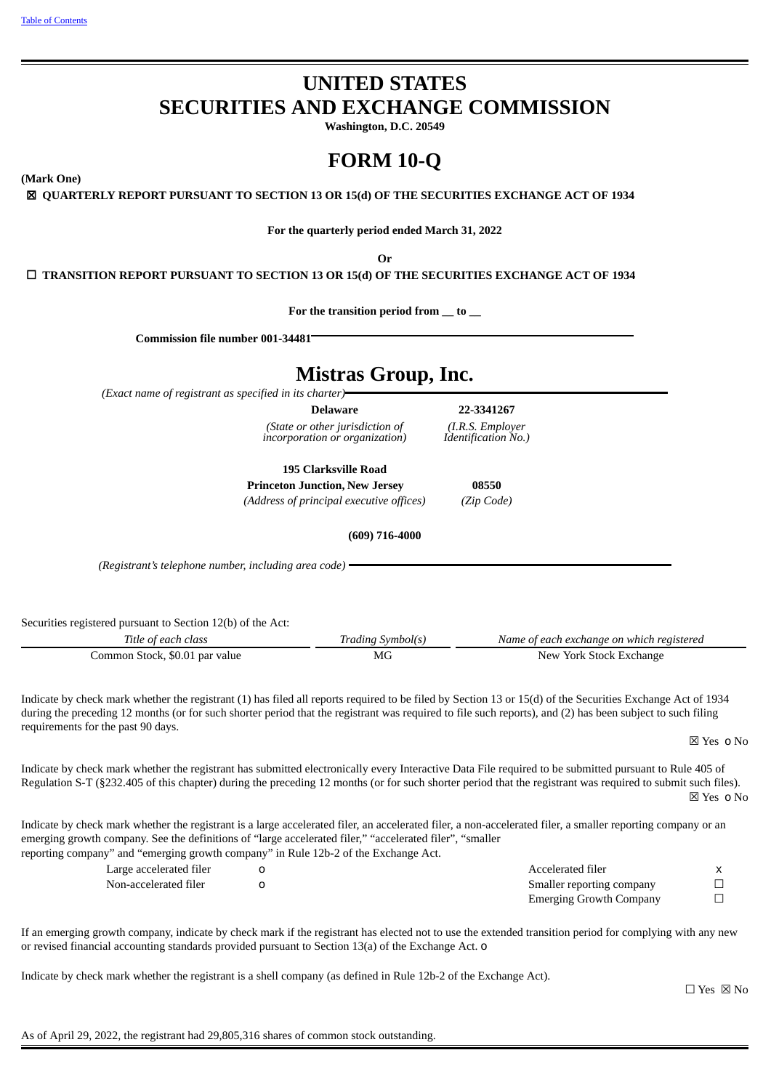# **UNITED STATES SECURITIES AND EXCHANGE COMMISSION**

**Washington, D.C. 20549**

# **FORM 10-Q**

**(Mark One)**

☒ **QUARTERLY REPORT PURSUANT TO SECTION 13 OR 15(d) OF THE SECURITIES EXCHANGE ACT OF 1934**

**For the quarterly period ended March 31, 2022**

**Or**

☐ **TRANSITION REPORT PURSUANT TO SECTION 13 OR 15(d) OF THE SECURITIES EXCHANGE ACT OF 1934**

**For the transition period from \_\_ to \_\_**

**Commission file number 001-34481**

# **Mistras Group, Inc.**

*(Exact name of registrant as specified in its charter)*

*(State or other jurisdiction of incorporation or organization)*

**Delaware 22-3341267** *(I.R.S. Employer Identification No.)*

**195 Clarksville Road**

**Princeton Junction, New Jersey 08550** *(Address of principal executive offices) (Zip Code)*

**(609) 716-4000**

*(Registrant's telephone number, including area code)*

Securities registered pursuant to Section 12(b) of the Act:

| Title of each class            | Trading Symbol(s) | Name of each exchange on which registered |
|--------------------------------|-------------------|-------------------------------------------|
| Common Stock, \$0.01 par value | МG                | New York Stock Exchange                   |

Indicate by check mark whether the registrant (1) has filed all reports required to be filed by Section 13 or 15(d) of the Securities Exchange Act of 1934 during the preceding 12 months (or for such shorter period that the registrant was required to file such reports), and (2) has been subject to such filing requirements for the past 90 days.

☒ Yes o No

Indicate by check mark whether the registrant has submitted electronically every Interactive Data File required to be submitted pursuant to Rule 405 of Regulation S-T (§232.405 of this chapter) during the preceding 12 months (or for such shorter period that the registrant was required to submit such files). ☒ Yes o No

Indicate by check mark whether the registrant is a large accelerated filer, an accelerated filer, a non-accelerated filer, a smaller reporting company or an emerging growth company. See the definitions of "large accelerated filer," "accelerated filer", "smaller reporting company" and "emerging growth company" in Rule 12b-2 of the Exchange Act.

| Large accelerated filer | Accelerated filer              |  |
|-------------------------|--------------------------------|--|
| Non-accelerated filer   | Smaller reporting company      |  |
|                         | <b>Emerging Growth Company</b> |  |

If an emerging growth company, indicate by check mark if the registrant has elected not to use the extended transition period for complying with any new or revised financial accounting standards provided pursuant to Section 13(a) of the Exchange Act. o

Indicate by check mark whether the registrant is a shell company (as defined in Rule 12b-2 of the Exchange Act).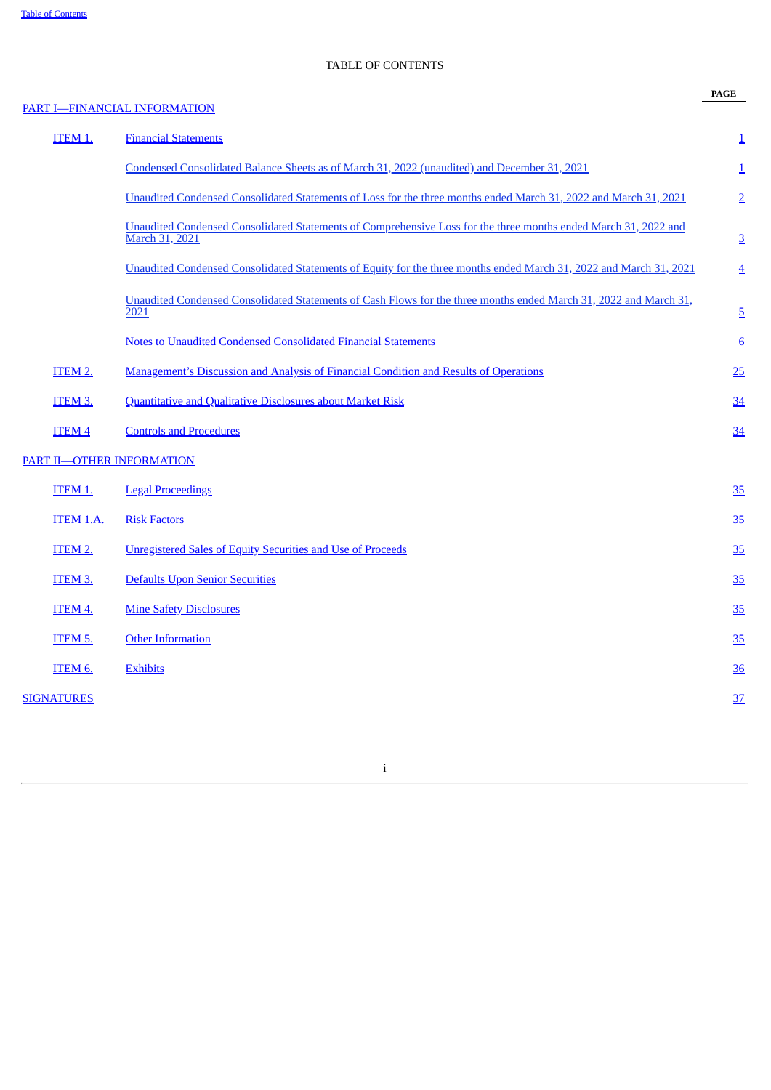# TABLE OF CONTENTS

|                   |                                                                                                                                   | <b>PAGE</b>             |
|-------------------|-----------------------------------------------------------------------------------------------------------------------------------|-------------------------|
|                   | PART I-FINANCIAL INFORMATION                                                                                                      |                         |
| ITEM 1.           | <b>Financial Statements</b>                                                                                                       | $\overline{1}$          |
|                   | Condensed Consolidated Balance Sheets as of March 31, 2022 (unaudited) and December 31, 2021                                      | $\overline{\mathbf{1}}$ |
|                   | Unaudited Condensed Consolidated Statements of Loss for the three months ended March 31, 2022 and March 31, 2021                  | $\overline{2}$          |
|                   | Unaudited Condensed Consolidated Statements of Comprehensive Loss for the three months ended March 31, 2022 and<br>March 31, 2021 | $\overline{3}$          |
|                   | Unaudited Condensed Consolidated Statements of Equity for the three months ended March 31, 2022 and March 31, 2021                | $\overline{4}$          |
|                   | Unaudited Condensed Consolidated Statements of Cash Flows for the three months ended March 31, 2022 and March 31,<br>2021         | $\overline{5}$          |
|                   | <b>Notes to Unaudited Condensed Consolidated Financial Statements</b>                                                             | $6 \overline{6}$        |
| ITEM 2.           | <b>Management's Discussion and Analysis of Financial Condition and Results of Operations</b>                                      | 25                      |
| ITEM 3.           | <b>Quantitative and Qualitative Disclosures about Market Risk</b>                                                                 | 34                      |
| <b>ITEM 4</b>     | <b>Controls and Procedures</b>                                                                                                    | 34                      |
|                   | <b>PART II-OTHER INFORMATION</b>                                                                                                  |                         |
| ITEM 1.           | <b>Legal Proceedings</b>                                                                                                          | 35                      |
| ITEM 1.A.         | <b>Risk Factors</b>                                                                                                               | 35                      |
| ITEM 2.           | <b>Unregistered Sales of Equity Securities and Use of Proceeds</b>                                                                | 35                      |
| ITEM 3.           | <b>Defaults Upon Senior Securities</b>                                                                                            | 35                      |
| ITEM 4.           | <b>Mine Safety Disclosures</b>                                                                                                    | 35                      |
| ITEM 5.           | <b>Other Information</b>                                                                                                          | 35                      |
| ITEM 6.           | <b>Exhibits</b>                                                                                                                   | 36                      |
| <b>SIGNATURES</b> |                                                                                                                                   | 37                      |
|                   |                                                                                                                                   |                         |

<span id="page-2-0"></span>i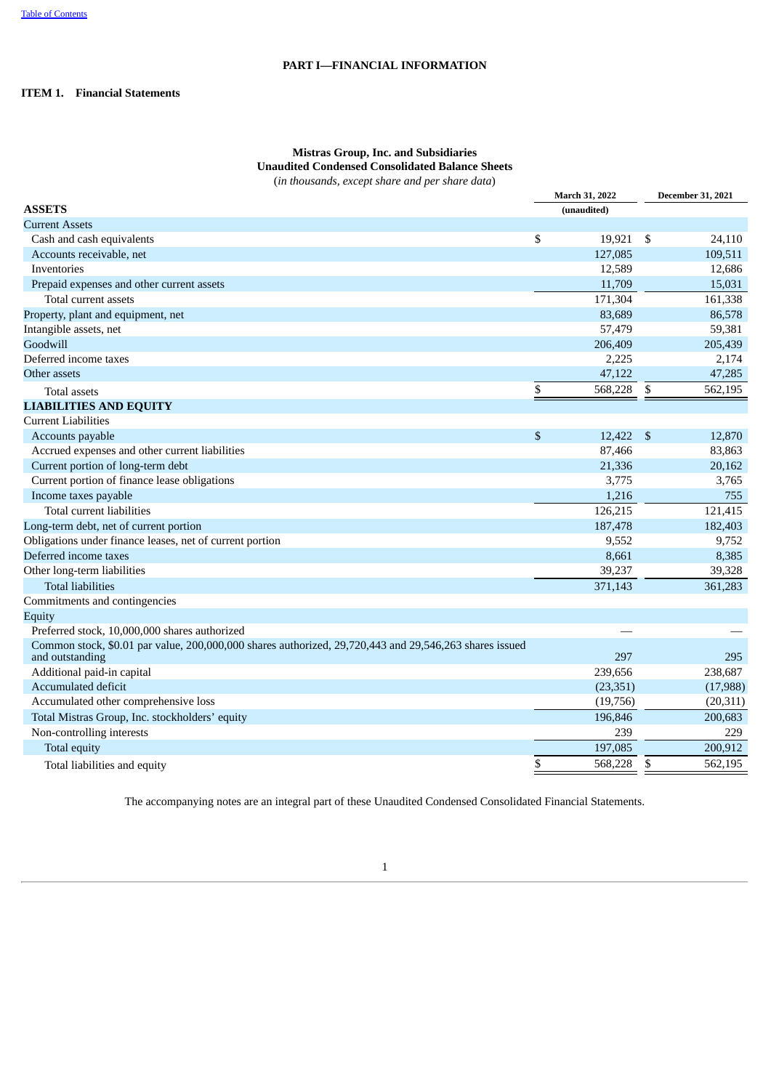## **PART I—FINANCIAL INFORMATION**

## <span id="page-3-1"></span><span id="page-3-0"></span>**ITEM 1. Financial Statements**

## **Mistras Group, Inc. and Subsidiaries Unaudited Condensed Consolidated Balance Sheets** (*in thousands, except share and per share data*)

|                                                                                                                           | March 31, 2022 | <b>December 31, 2021</b> |
|---------------------------------------------------------------------------------------------------------------------------|----------------|--------------------------|
| <b>ASSETS</b>                                                                                                             | (unaudited)    |                          |
| <b>Current Assets</b>                                                                                                     |                |                          |
| Cash and cash equivalents                                                                                                 | \$<br>19,921   | \$<br>24,110             |
| Accounts receivable, net                                                                                                  | 127,085        | 109,511                  |
| Inventories                                                                                                               | 12,589         | 12,686                   |
| Prepaid expenses and other current assets                                                                                 | 11,709         | 15,031                   |
| Total current assets                                                                                                      | 171,304        | 161,338                  |
| Property, plant and equipment, net                                                                                        | 83,689         | 86,578                   |
| Intangible assets, net                                                                                                    | 57,479         | 59,381                   |
| Goodwill                                                                                                                  | 206,409        | 205,439                  |
| Deferred income taxes                                                                                                     | 2,225          | 2,174                    |
| Other assets                                                                                                              | 47,122         | 47,285                   |
| <b>Total assets</b>                                                                                                       | \$<br>568,228  | \$<br>562,195            |
| <b>LIABILITIES AND EQUITY</b>                                                                                             |                |                          |
| <b>Current Liabilities</b>                                                                                                |                |                          |
| Accounts payable                                                                                                          | \$<br>12,422   | \$<br>12,870             |
| Accrued expenses and other current liabilities                                                                            | 87,466         | 83,863                   |
| Current portion of long-term debt                                                                                         | 21,336         | 20,162                   |
| Current portion of finance lease obligations                                                                              | 3,775          | 3,765                    |
| Income taxes payable                                                                                                      | 1,216          | 755                      |
| Total current liabilities                                                                                                 | 126,215        | 121,415                  |
| Long-term debt, net of current portion                                                                                    | 187,478        | 182,403                  |
| Obligations under finance leases, net of current portion                                                                  | 9,552          | 9,752                    |
| Deferred income taxes                                                                                                     | 8,661          | 8,385                    |
| Other long-term liabilities                                                                                               | 39,237         | 39,328                   |
| <b>Total liabilities</b>                                                                                                  | 371,143        | 361,283                  |
| Commitments and contingencies                                                                                             |                |                          |
| Equity                                                                                                                    |                |                          |
| Preferred stock, 10,000,000 shares authorized                                                                             |                |                          |
| Common stock, \$0.01 par value, 200,000,000 shares authorized, 29,720,443 and 29,546,263 shares issued<br>and outstanding | 297            | 295                      |
| Additional paid-in capital                                                                                                | 239,656        | 238,687                  |
| Accumulated deficit                                                                                                       | (23, 351)      | (17,988)                 |
| Accumulated other comprehensive loss                                                                                      | (19,756)       | (20, 311)                |
| Total Mistras Group, Inc. stockholders' equity                                                                            | 196,846        | 200,683                  |
| Non-controlling interests                                                                                                 | 239            | 229                      |
| Total equity                                                                                                              | 197,085        | 200,912                  |
| Total liabilities and equity                                                                                              | \$<br>568,228  | \$<br>562,195            |

<span id="page-3-2"></span>The accompanying notes are an integral part of these Unaudited Condensed Consolidated Financial Statements.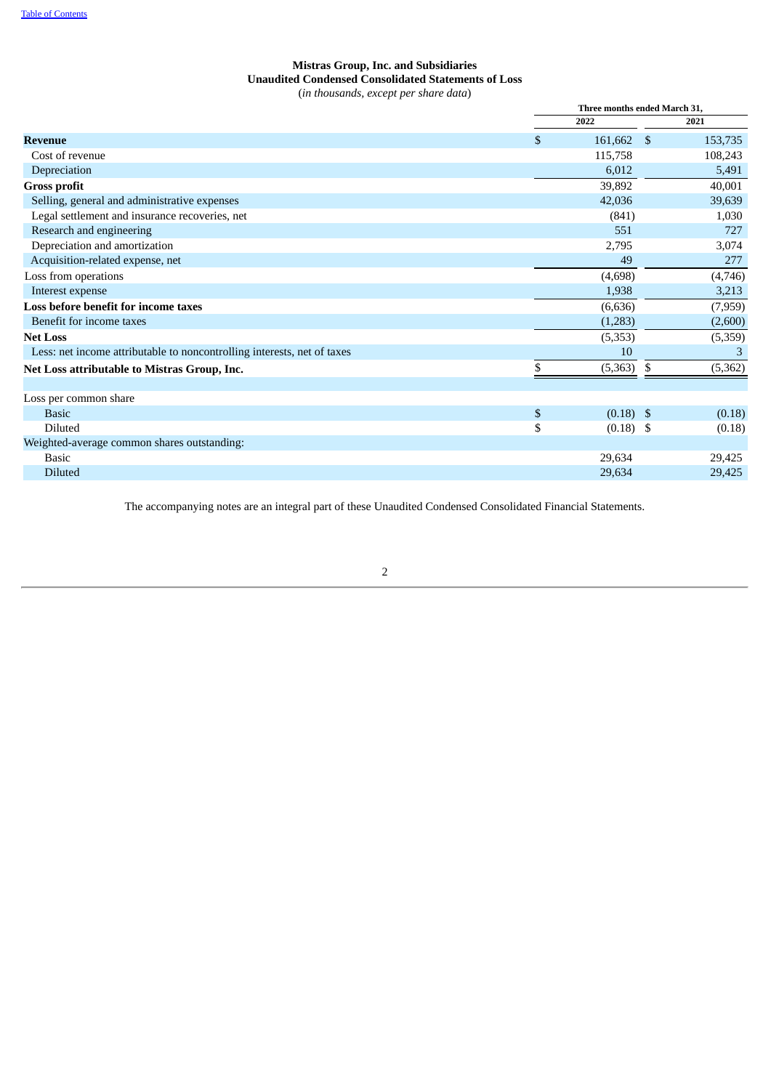## **Mistras Group, Inc. and Subsidiaries Unaudited Condensed Consolidated Statements of Loss** (*in thousands, except per share data*)

|                                                                         | Three months ended March 31, |    |          |  |
|-------------------------------------------------------------------------|------------------------------|----|----------|--|
|                                                                         | 2022                         |    | 2021     |  |
| <b>Revenue</b>                                                          | \$<br>161,662                | \$ | 153,735  |  |
| Cost of revenue                                                         | 115,758                      |    | 108,243  |  |
| Depreciation                                                            | 6,012                        |    | 5,491    |  |
| <b>Gross profit</b>                                                     | 39,892                       |    | 40,001   |  |
| Selling, general and administrative expenses                            | 42,036                       |    | 39,639   |  |
| Legal settlement and insurance recoveries, net                          | (841)                        |    | 1,030    |  |
| Research and engineering                                                | 551                          |    | 727      |  |
| Depreciation and amortization                                           | 2,795                        |    | 3,074    |  |
| Acquisition-related expense, net                                        | 49                           |    | 277      |  |
| Loss from operations                                                    | (4,698)                      |    | (4,746)  |  |
| Interest expense                                                        | 1,938                        |    | 3,213    |  |
| Loss before benefit for income taxes                                    | (6,636)                      |    | (7,959)  |  |
| Benefit for income taxes                                                | (1,283)                      |    | (2,600)  |  |
| <b>Net Loss</b>                                                         | (5,353)                      |    | (5,359)  |  |
| Less: net income attributable to noncontrolling interests, net of taxes | 10                           |    | 3        |  |
| Net Loss attributable to Mistras Group, Inc.                            | \$<br>(5,363)                | S  | (5, 362) |  |
| Loss per common share                                                   |                              |    |          |  |
| <b>Basic</b>                                                            | \$<br>$(0.18)$ \$            |    | (0.18)   |  |
| Diluted                                                                 | \$<br>$(0.18)$ \$            |    | (0.18)   |  |
| Weighted-average common shares outstanding:                             |                              |    |          |  |
| <b>Basic</b>                                                            | 29,634                       |    | 29,425   |  |
| <b>Diluted</b>                                                          | 29,634                       |    | 29,425   |  |

<span id="page-4-0"></span>The accompanying notes are an integral part of these Unaudited Condensed Consolidated Financial Statements.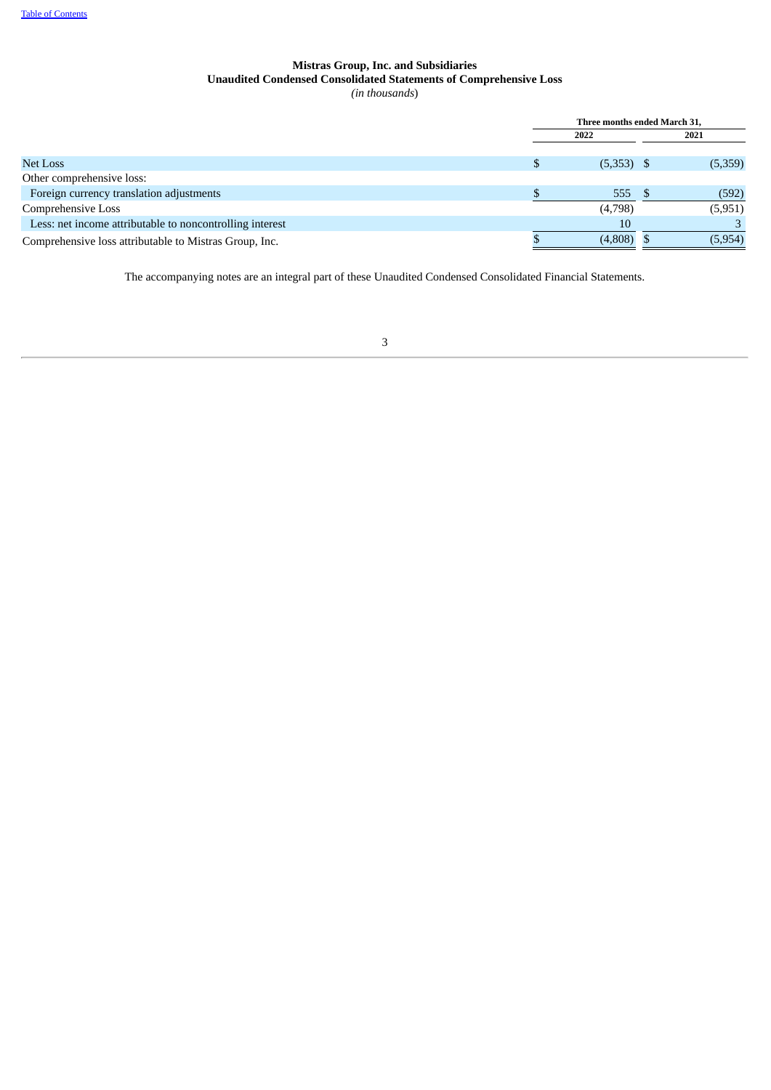## **Mistras Group, Inc. and Subsidiaries Unaudited Condensed Consolidated Statements of Comprehensive Loss** *(in thousands*)

|                                                          | Three months ended March 31, |         |
|----------------------------------------------------------|------------------------------|---------|
|                                                          | 2022                         | 2021    |
|                                                          |                              |         |
| Net Loss                                                 | $(5,353)$ \$                 | (5,359) |
| Other comprehensive loss:                                |                              |         |
| Foreign currency translation adjustments                 | 555                          | (592)   |
| Comprehensive Loss                                       | (4,798)                      | (5,951) |
| Less: net income attributable to noncontrolling interest | 10                           |         |
| Comprehensive loss attributable to Mistras Group, Inc.   | (4,808)                      | (5,954) |

<span id="page-5-0"></span>The accompanying notes are an integral part of these Unaudited Condensed Consolidated Financial Statements.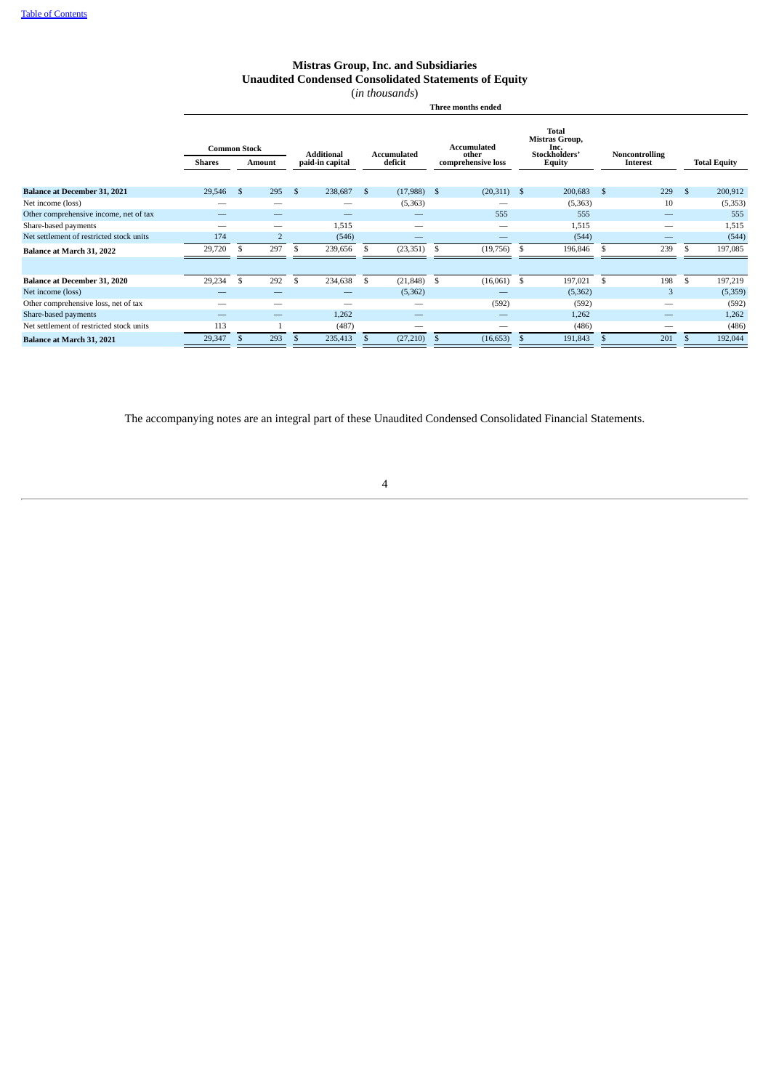## **Mistras Group, Inc. and Subsidiaries Unaudited Condensed Consolidated Statements of Equity**

(*in thousands*)

**Three months ended**

|                                          | <b>Common Stock</b><br><b>Shares</b> |    | Amount         |     | <b>Additional</b><br>paid-in capital |    | Accumulated<br>deficit | <b>Accumulated</b><br>other<br>comprehensive loss |               | Total<br>Mistras Group,<br>Inc.<br>Stockholders'<br><b>Equity</b> |          |     | Noncontrolling<br>Interest |              | <b>Total Equity</b> |
|------------------------------------------|--------------------------------------|----|----------------|-----|--------------------------------------|----|------------------------|---------------------------------------------------|---------------|-------------------------------------------------------------------|----------|-----|----------------------------|--------------|---------------------|
| <b>Balance at December 31, 2021</b>      | 29,546                               | -S | 295            | \$  | 238,687                              | \$ | $(17,988)$ \$          |                                                   | $(20,311)$ \$ |                                                                   | 200,683  | -\$ | 229                        | \$           | 200,912             |
| Net income (loss)                        | -                                    |    | -              |     | -                                    |    | (5,363)                |                                                   | -             |                                                                   | (5,363)  |     | 10                         |              | (5, 353)            |
| Other comprehensive income, net of tax   |                                      |    |                |     | $\overline{\phantom{a}}$             |    |                        |                                                   | 555           |                                                                   | 555      |     |                            |              | 555                 |
| Share-based payments                     | _                                    |    | -              |     | 1,515                                |    |                        |                                                   | -             |                                                                   | 1,515    |     | -                          |              | 1,515               |
| Net settlement of restricted stock units | 174                                  |    | $\overline{2}$ |     | (546)                                |    |                        |                                                   |               |                                                                   | (544)    |     |                            |              | (544)               |
| Balance at March 31, 2022                | 29,720                               | \$ | 297            | Э'n | 239,656                              | S  | (23, 351)              | -S                                                | (19, 756)     | -\$                                                               | 196,846  |     | 239                        |              | 197,085             |
|                                          |                                      |    |                |     |                                      |    |                        |                                                   |               |                                                                   |          |     |                            |              |                     |
| <b>Balance at December 31, 2020</b>      | 29,234                               | \$ | 292            | \$. | 234,638                              | \$ | (21, 848)              | -S                                                | (16,061)      | <sup>\$</sup>                                                     | 197,021  | \$  | 198                        | $\mathbf{s}$ | 197,219             |
| Net income (loss)                        |                                      |    | -              |     | -                                    |    | (5,362)                |                                                   |               |                                                                   | (5, 362) |     | 3                          |              | (5,359)             |
| Other comprehensive loss, net of tax     |                                      |    | -              |     |                                      |    |                        |                                                   | (592)         |                                                                   | (592)    |     | --                         |              | (592)               |
| Share-based payments                     |                                      |    |                |     | 1,262                                |    | -                      |                                                   |               |                                                                   | 1,262    |     | -                          |              | 1,262               |
| Net settlement of restricted stock units | 113                                  |    |                |     | (487)                                |    |                        |                                                   | --            |                                                                   | (486)    |     |                            |              | (486)               |
| Balance at March 31, 2021                | 29,347                               |    | 293            |     | 235,413                              |    | (27, 210)              |                                                   | (16, 653)     | S                                                                 | 191,843  |     | 201                        |              | 192,044             |

<span id="page-6-0"></span>The accompanying notes are an integral part of these Unaudited Condensed Consolidated Financial Statements.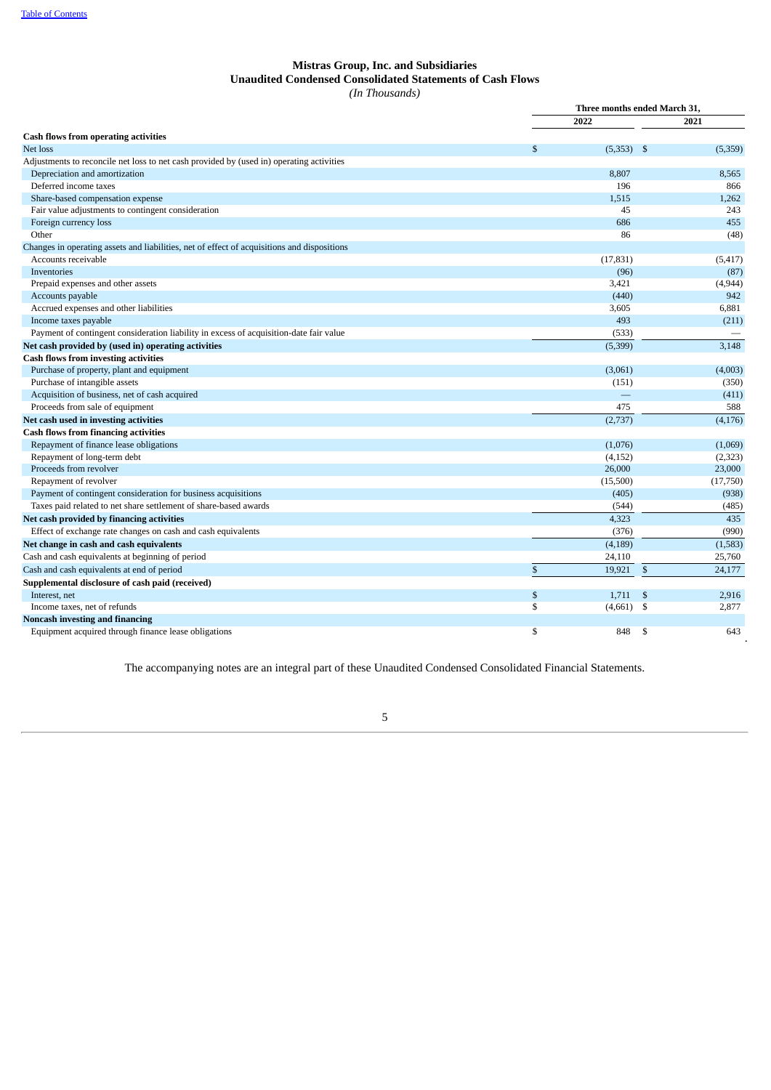## **Mistras Group, Inc. and Subsidiaries Unaudited Condensed Consolidated Statements of Cash Flows** *(In Thousands)*

|                                                                                             |              | Three months ended March 31, |              |          |  |  |  |  |  |  |  |
|---------------------------------------------------------------------------------------------|--------------|------------------------------|--------------|----------|--|--|--|--|--|--|--|
|                                                                                             |              | 2022                         |              | 2021     |  |  |  |  |  |  |  |
| Cash flows from operating activities                                                        |              |                              |              |          |  |  |  |  |  |  |  |
| Net loss                                                                                    | S            | $(5,353)$ \$                 |              | (5,359)  |  |  |  |  |  |  |  |
| Adjustments to reconcile net loss to net cash provided by (used in) operating activities    |              |                              |              |          |  |  |  |  |  |  |  |
| Depreciation and amortization                                                               |              | 8,807                        |              | 8,565    |  |  |  |  |  |  |  |
| Deferred income taxes                                                                       |              | 196                          |              | 866      |  |  |  |  |  |  |  |
| Share-based compensation expense                                                            |              | 1,515                        |              | 1,262    |  |  |  |  |  |  |  |
| Fair value adjustments to contingent consideration                                          |              | 45                           |              | 243      |  |  |  |  |  |  |  |
| Foreign currency loss                                                                       |              | 686                          |              | 455      |  |  |  |  |  |  |  |
| Other                                                                                       |              | 86                           |              | (48)     |  |  |  |  |  |  |  |
| Changes in operating assets and liabilities, net of effect of acquisitions and dispositions |              |                              |              |          |  |  |  |  |  |  |  |
| Accounts receivable                                                                         |              | (17, 831)                    |              | (5, 417) |  |  |  |  |  |  |  |
| Inventories                                                                                 |              | (96)                         |              | (87)     |  |  |  |  |  |  |  |
| Prepaid expenses and other assets                                                           |              | 3,421                        |              | (4,944)  |  |  |  |  |  |  |  |
| Accounts payable                                                                            |              | (440)                        |              | 942      |  |  |  |  |  |  |  |
| Accrued expenses and other liabilities                                                      |              | 3,605                        |              | 6,881    |  |  |  |  |  |  |  |
| Income taxes payable                                                                        |              | 493                          |              | (211)    |  |  |  |  |  |  |  |
| Payment of contingent consideration liability in excess of acquisition-date fair value      |              | (533)                        |              |          |  |  |  |  |  |  |  |
| Net cash provided by (used in) operating activities                                         |              | (5,399)                      |              | 3,148    |  |  |  |  |  |  |  |
| <b>Cash flows from investing activities</b>                                                 |              |                              |              |          |  |  |  |  |  |  |  |
| Purchase of property, plant and equipment                                                   |              | (3,061)                      |              | (4,003)  |  |  |  |  |  |  |  |
| Purchase of intangible assets                                                               |              | (151)                        |              | (350)    |  |  |  |  |  |  |  |
| Acquisition of business, net of cash acquired                                               |              |                              |              | (411)    |  |  |  |  |  |  |  |
| Proceeds from sale of equipment                                                             |              | 475                          |              | 588      |  |  |  |  |  |  |  |
| Net cash used in investing activities                                                       |              | (2,737)                      |              | (4, 176) |  |  |  |  |  |  |  |
| <b>Cash flows from financing activities</b>                                                 |              |                              |              |          |  |  |  |  |  |  |  |
| Repayment of finance lease obligations                                                      |              | (1,076)                      |              | (1,069)  |  |  |  |  |  |  |  |
| Repayment of long-term debt                                                                 |              | (4, 152)                     |              | (2, 323) |  |  |  |  |  |  |  |
| Proceeds from revolver                                                                      |              | 26,000                       |              | 23,000   |  |  |  |  |  |  |  |
| Repayment of revolver                                                                       |              | (15,500)                     |              | (17,750) |  |  |  |  |  |  |  |
| Payment of contingent consideration for business acquisitions                               |              | (405)                        |              | (938)    |  |  |  |  |  |  |  |
| Taxes paid related to net share settlement of share-based awards                            |              | (544)                        |              | (485)    |  |  |  |  |  |  |  |
| Net cash provided by financing activities                                                   |              | 4,323                        |              | 435      |  |  |  |  |  |  |  |
| Effect of exchange rate changes on cash and cash equivalents                                |              | (376)                        |              | (990)    |  |  |  |  |  |  |  |
| Net change in cash and cash equivalents                                                     |              | (4, 189)                     |              | (1,583)  |  |  |  |  |  |  |  |
| Cash and cash equivalents at beginning of period                                            |              | 24,110                       |              | 25,760   |  |  |  |  |  |  |  |
| Cash and cash equivalents at end of period                                                  | $\mathbf{s}$ | 19,921                       | $\mathbb{S}$ | 24,177   |  |  |  |  |  |  |  |
| Supplemental disclosure of cash paid (received)                                             |              |                              |              |          |  |  |  |  |  |  |  |
| Interest, net                                                                               | \$           | 1,711                        | \$           | 2,916    |  |  |  |  |  |  |  |
| Income taxes, net of refunds                                                                | \$           | (4,661)                      | \$           | 2,877    |  |  |  |  |  |  |  |
| <b>Noncash investing and financing</b>                                                      |              |                              |              |          |  |  |  |  |  |  |  |
| Equipment acquired through finance lease obligations                                        | \$           | 848                          | \$           | 643      |  |  |  |  |  |  |  |

<span id="page-7-0"></span>The accompanying notes are an integral part of these Unaudited Condensed Consolidated Financial Statements.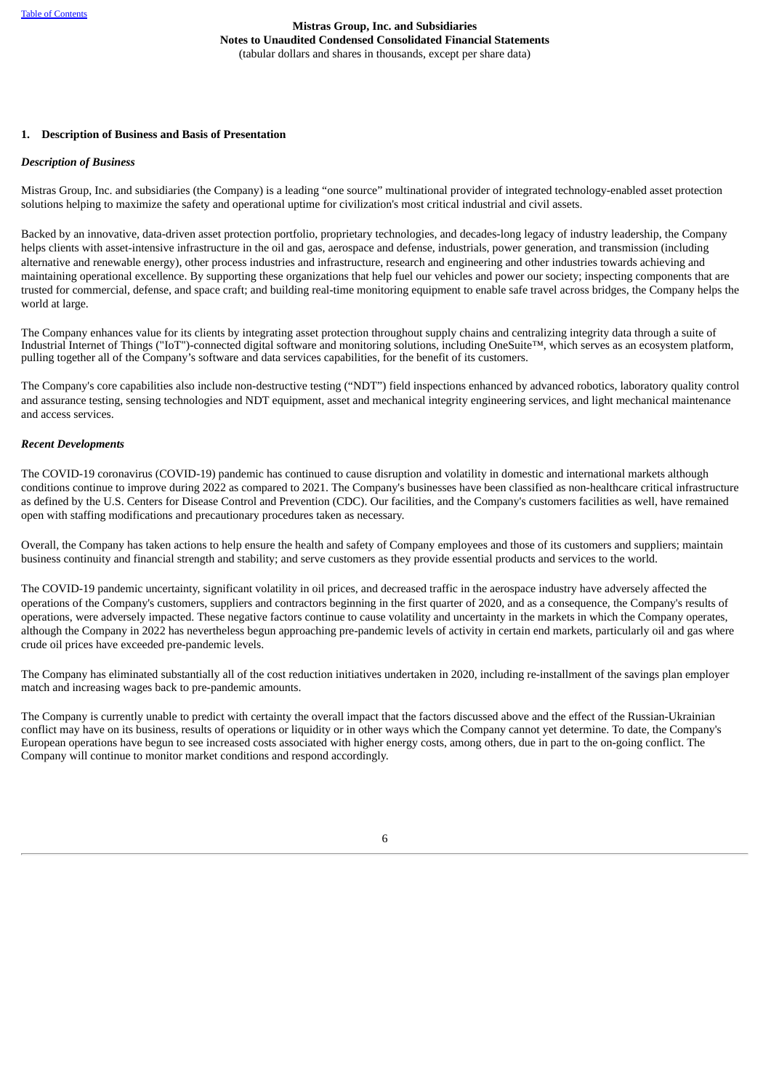#### **1. Description of Business and Basis of Presentation**

#### *Description of Business*

Mistras Group, Inc. and subsidiaries (the Company) is a leading "one source" multinational provider of integrated technology-enabled asset protection solutions helping to maximize the safety and operational uptime for civilization's most critical industrial and civil assets.

Backed by an innovative, data-driven asset protection portfolio, proprietary technologies, and decades-long legacy of industry leadership, the Company helps clients with asset-intensive infrastructure in the oil and gas, aerospace and defense, industrials, power generation, and transmission (including alternative and renewable energy), other process industries and infrastructure, research and engineering and other industries towards achieving and maintaining operational excellence. By supporting these organizations that help fuel our vehicles and power our society; inspecting components that are trusted for commercial, defense, and space craft; and building real-time monitoring equipment to enable safe travel across bridges, the Company helps the world at large.

The Company enhances value for its clients by integrating asset protection throughout supply chains and centralizing integrity data through a suite of Industrial Internet of Things ("IoT")-connected digital software and monitoring solutions, including OneSuite™, which serves as an ecosystem platform, pulling together all of the Company's software and data services capabilities, for the benefit of its customers.

The Company's core capabilities also include non-destructive testing ("NDT") field inspections enhanced by advanced robotics, laboratory quality control and assurance testing, sensing technologies and NDT equipment, asset and mechanical integrity engineering services, and light mechanical maintenance and access services.

## *Recent Developments*

The COVID-19 coronavirus (COVID-19) pandemic has continued to cause disruption and volatility in domestic and international markets although conditions continue to improve during 2022 as compared to 2021. The Company's businesses have been classified as non-healthcare critical infrastructure as defined by the U.S. Centers for Disease Control and Prevention (CDC). Our facilities, and the Company's customers facilities as well, have remained open with staffing modifications and precautionary procedures taken as necessary.

Overall, the Company has taken actions to help ensure the health and safety of Company employees and those of its customers and suppliers; maintain business continuity and financial strength and stability; and serve customers as they provide essential products and services to the world.

The COVID-19 pandemic uncertainty, significant volatility in oil prices, and decreased traffic in the aerospace industry have adversely affected the operations of the Company's customers, suppliers and contractors beginning in the first quarter of 2020, and as a consequence, the Company's results of operations, were adversely impacted. These negative factors continue to cause volatility and uncertainty in the markets in which the Company operates, although the Company in 2022 has nevertheless begun approaching pre-pandemic levels of activity in certain end markets, particularly oil and gas where crude oil prices have exceeded pre-pandemic levels.

The Company has eliminated substantially all of the cost reduction initiatives undertaken in 2020, including re-installment of the savings plan employer match and increasing wages back to pre-pandemic amounts.

The Company is currently unable to predict with certainty the overall impact that the factors discussed above and the effect of the Russian-Ukrainian conflict may have on its business, results of operations or liquidity or in other ways which the Company cannot yet determine. To date, the Company's European operations have begun to see increased costs associated with higher energy costs, among others, due in part to the on-going conflict. The Company will continue to monitor market conditions and respond accordingly.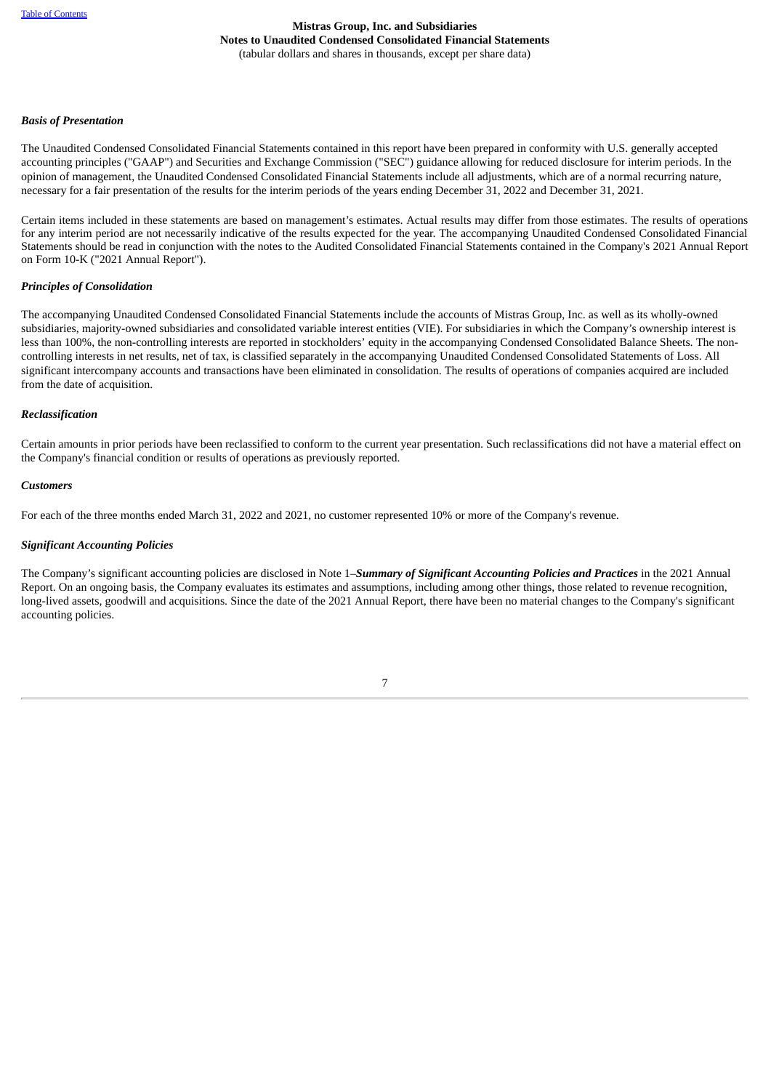## *Basis of Presentation*

The Unaudited Condensed Consolidated Financial Statements contained in this report have been prepared in conformity with U.S. generally accepted accounting principles ("GAAP") and Securities and Exchange Commission ("SEC") guidance allowing for reduced disclosure for interim periods. In the opinion of management, the Unaudited Condensed Consolidated Financial Statements include all adjustments, which are of a normal recurring nature, necessary for a fair presentation of the results for the interim periods of the years ending December 31, 2022 and December 31, 2021.

Certain items included in these statements are based on management's estimates. Actual results may differ from those estimates. The results of operations for any interim period are not necessarily indicative of the results expected for the year. The accompanying Unaudited Condensed Consolidated Financial Statements should be read in conjunction with the notes to the Audited Consolidated Financial Statements contained in the Company's 2021 Annual Report on Form 10-K ("2021 Annual Report").

#### *Principles of Consolidation*

The accompanying Unaudited Condensed Consolidated Financial Statements include the accounts of Mistras Group, Inc. as well as its wholly-owned subsidiaries, majority-owned subsidiaries and consolidated variable interest entities (VIE). For subsidiaries in which the Company's ownership interest is less than 100%, the non-controlling interests are reported in stockholders' equity in the accompanying Condensed Consolidated Balance Sheets. The noncontrolling interests in net results, net of tax, is classified separately in the accompanying Unaudited Condensed Consolidated Statements of Loss. All significant intercompany accounts and transactions have been eliminated in consolidation. The results of operations of companies acquired are included from the date of acquisition.

#### *Reclassification*

Certain amounts in prior periods have been reclassified to conform to the current year presentation. Such reclassifications did not have a material effect on the Company's financial condition or results of operations as previously reported.

#### *Customers*

For each of the three months ended March 31, 2022 and 2021, no customer represented 10% or more of the Company's revenue.

#### *Significant Accounting Policies*

The Company's significant accounting policies are disclosed in Note 1–*Summary of Significant Accounting Policies and Practices* in the 2021 Annual Report. On an ongoing basis, the Company evaluates its estimates and assumptions, including among other things, those related to revenue recognition, long-lived assets, goodwill and acquisitions. Since the date of the 2021 Annual Report, there have been no material changes to the Company's significant accounting policies.

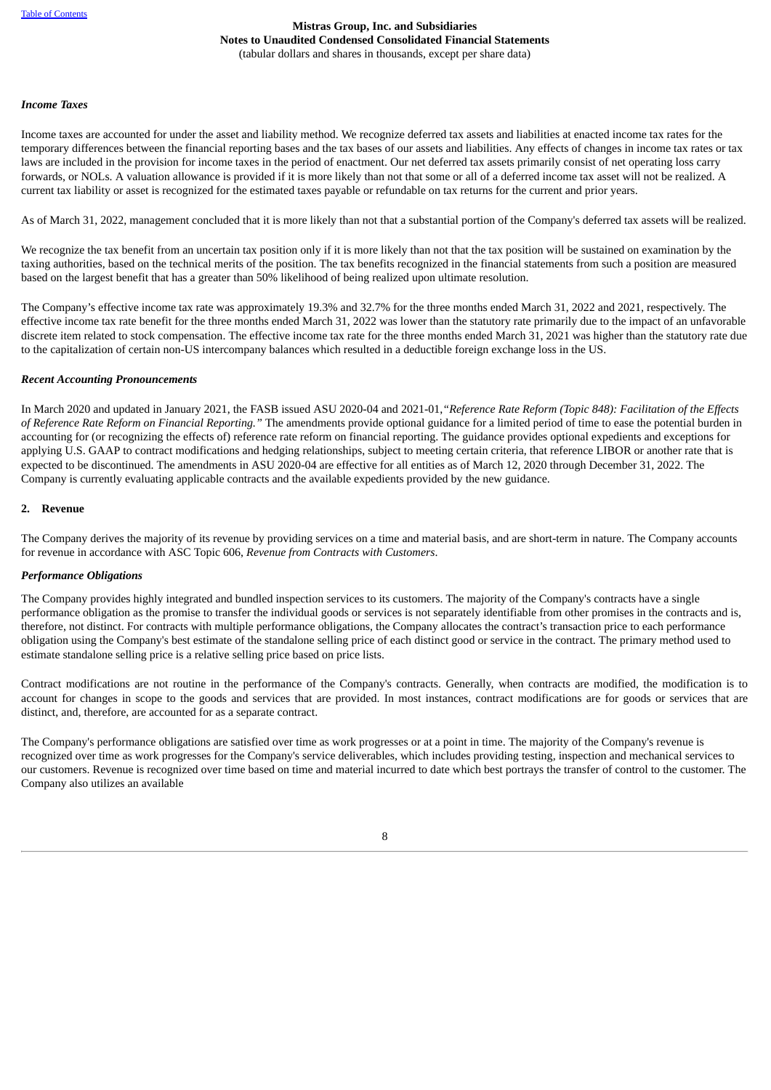## *Income Taxes*

Income taxes are accounted for under the asset and liability method. We recognize deferred tax assets and liabilities at enacted income tax rates for the temporary differences between the financial reporting bases and the tax bases of our assets and liabilities. Any effects of changes in income tax rates or tax laws are included in the provision for income taxes in the period of enactment. Our net deferred tax assets primarily consist of net operating loss carry forwards, or NOLs. A valuation allowance is provided if it is more likely than not that some or all of a deferred income tax asset will not be realized. A current tax liability or asset is recognized for the estimated taxes payable or refundable on tax returns for the current and prior years.

As of March 31, 2022, management concluded that it is more likely than not that a substantial portion of the Company's deferred tax assets will be realized.

We recognize the tax benefit from an uncertain tax position only if it is more likely than not that the tax position will be sustained on examination by the taxing authorities, based on the technical merits of the position. The tax benefits recognized in the financial statements from such a position are measured based on the largest benefit that has a greater than 50% likelihood of being realized upon ultimate resolution.

The Company's effective income tax rate was approximately 19.3% and 32.7% for the three months ended March 31, 2022 and 2021, respectively. The effective income tax rate benefit for the three months ended March 31, 2022 was lower than the statutory rate primarily due to the impact of an unfavorable discrete item related to stock compensation. The effective income tax rate for the three months ended March 31, 2021 was higher than the statutory rate due to the capitalization of certain non-US intercompany balances which resulted in a deductible foreign exchange loss in the US.

## *Recent Accounting Pronouncements*

In March 2020 and updated in January 2021, the FASB issued ASU 2020-04 and 2021-01,*"Reference Rate Reform (Topic 848): Facilitation of the Effects of Reference Rate Reform on Financial Reporting."* The amendments provide optional guidance for a limited period of time to ease the potential burden in accounting for (or recognizing the effects of) reference rate reform on financial reporting. The guidance provides optional expedients and exceptions for applying U.S. GAAP to contract modifications and hedging relationships, subject to meeting certain criteria, that reference LIBOR or another rate that is expected to be discontinued. The amendments in ASU 2020-04 are effective for all entities as of March 12, 2020 through December 31, 2022. The Company is currently evaluating applicable contracts and the available expedients provided by the new guidance.

## **2. Revenue**

The Company derives the majority of its revenue by providing services on a time and material basis, and are short-term in nature. The Company accounts for revenue in accordance with ASC Topic 606, *Revenue from Contracts with Customers*.

## *Performance Obligations*

The Company provides highly integrated and bundled inspection services to its customers. The majority of the Company's contracts have a single performance obligation as the promise to transfer the individual goods or services is not separately identifiable from other promises in the contracts and is, therefore, not distinct. For contracts with multiple performance obligations, the Company allocates the contract's transaction price to each performance obligation using the Company's best estimate of the standalone selling price of each distinct good or service in the contract. The primary method used to estimate standalone selling price is a relative selling price based on price lists.

Contract modifications are not routine in the performance of the Company's contracts. Generally, when contracts are modified, the modification is to account for changes in scope to the goods and services that are provided. In most instances, contract modifications are for goods or services that are distinct, and, therefore, are accounted for as a separate contract.

The Company's performance obligations are satisfied over time as work progresses or at a point in time. The majority of the Company's revenue is recognized over time as work progresses for the Company's service deliverables, which includes providing testing, inspection and mechanical services to our customers. Revenue is recognized over time based on time and material incurred to date which best portrays the transfer of control to the customer. The Company also utilizes an available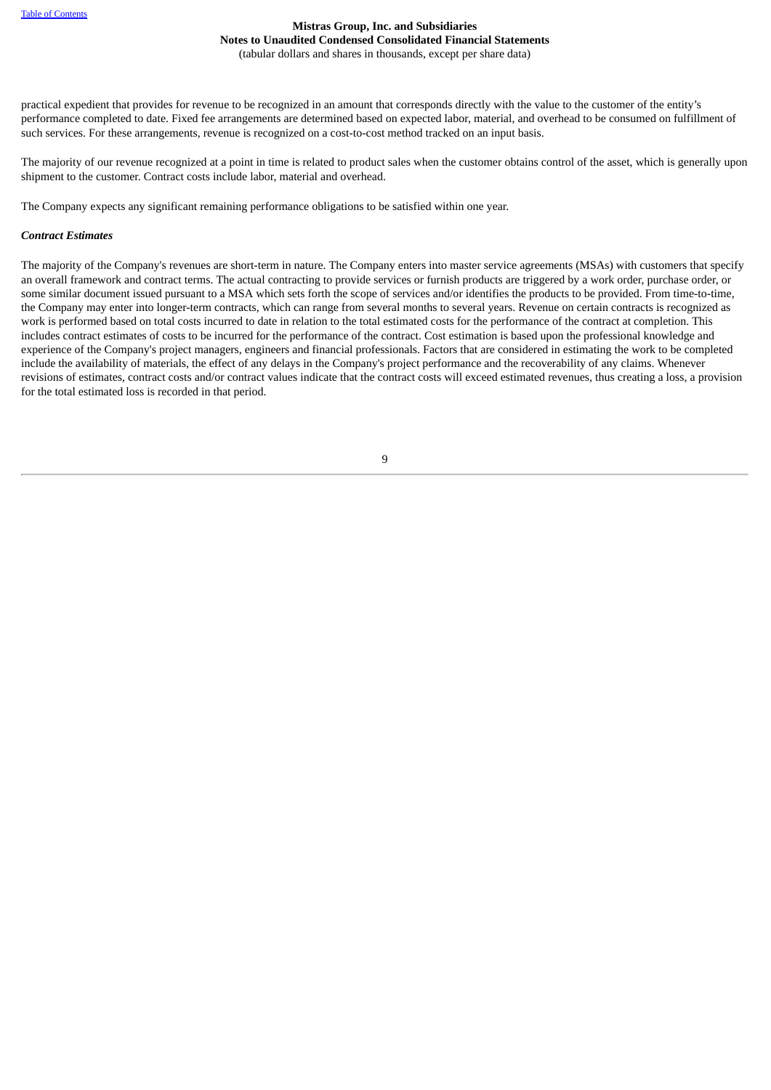practical expedient that provides for revenue to be recognized in an amount that corresponds directly with the value to the customer of the entity's performance completed to date. Fixed fee arrangements are determined based on expected labor, material, and overhead to be consumed on fulfillment of such services. For these arrangements, revenue is recognized on a cost-to-cost method tracked on an input basis.

The majority of our revenue recognized at a point in time is related to product sales when the customer obtains control of the asset, which is generally upon shipment to the customer. Contract costs include labor, material and overhead.

The Company expects any significant remaining performance obligations to be satisfied within one year.

## *Contract Estimates*

The majority of the Company's revenues are short-term in nature. The Company enters into master service agreements (MSAs) with customers that specify an overall framework and contract terms. The actual contracting to provide services or furnish products are triggered by a work order, purchase order, or some similar document issued pursuant to a MSA which sets forth the scope of services and/or identifies the products to be provided. From time-to-time, the Company may enter into longer-term contracts, which can range from several months to several years. Revenue on certain contracts is recognized as work is performed based on total costs incurred to date in relation to the total estimated costs for the performance of the contract at completion. This includes contract estimates of costs to be incurred for the performance of the contract. Cost estimation is based upon the professional knowledge and experience of the Company's project managers, engineers and financial professionals. Factors that are considered in estimating the work to be completed include the availability of materials, the effect of any delays in the Company's project performance and the recoverability of any claims. Whenever revisions of estimates, contract costs and/or contract values indicate that the contract costs will exceed estimated revenues, thus creating a loss, a provision for the total estimated loss is recorded in that period.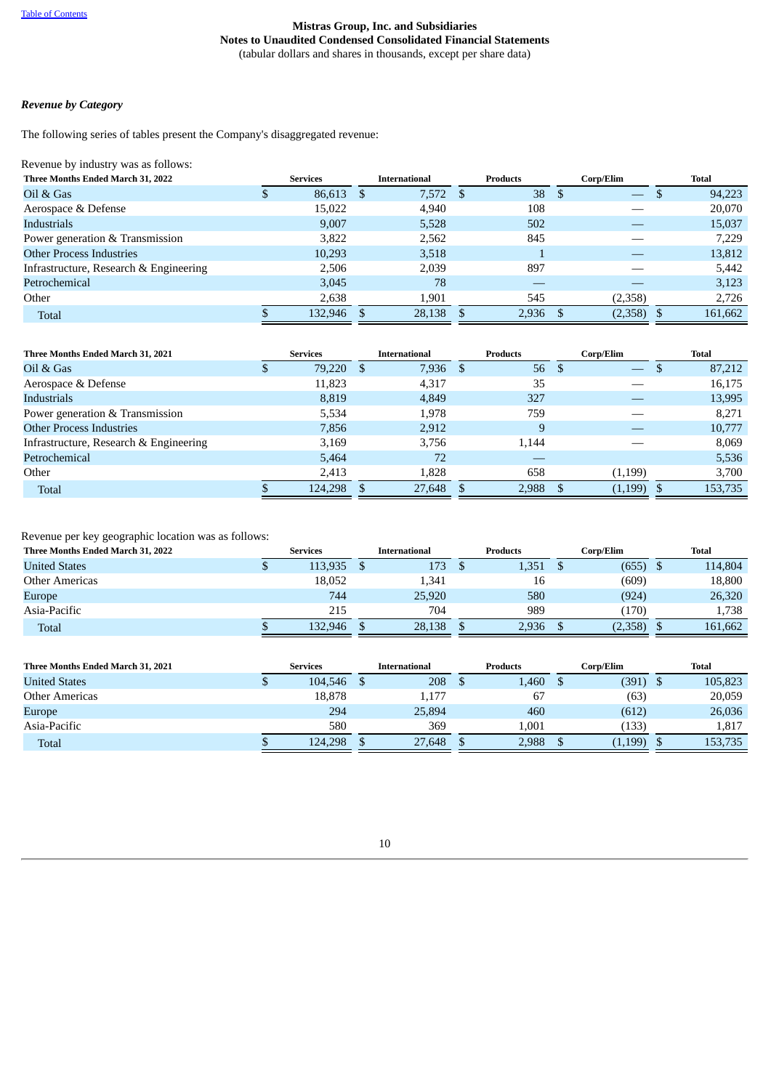## *Revenue by Category*

The following series of tables present the Company's disaggregated revenue:

Revenue by industry was as follows:

| Three Months Ended March 31, 2022      | <b>Services</b> |              | <b>International</b> |     | <b>Products</b> |     | Corp/Elim         |    | Total   |
|----------------------------------------|-----------------|--------------|----------------------|-----|-----------------|-----|-------------------|----|---------|
| Oil & Gas                              | 86,613          | <sup>S</sup> | 7,572                | - S | 38              | - S | $\qquad \qquad -$ | .D | 94,223  |
| Aerospace & Defense                    | 15,022          |              | 4,940                |     | 108             |     |                   |    | 20,070  |
| Industrials                            | 9.007           |              | 5,528                |     | 502             |     |                   |    | 15,037  |
| Power generation & Transmission        | 3,822           |              | 2,562                |     | 845             |     |                   |    | 7,229   |
| <b>Other Process Industries</b>        | 10,293          |              | 3,518                |     |                 |     |                   |    | 13,812  |
| Infrastructure, Research & Engineering | 2.506           |              | 2.039                |     | 897             |     |                   |    | 5,442   |
| Petrochemical                          | 3,045           |              | 78                   |     |                 |     |                   |    | 3,123   |
| Other                                  | 2,638           |              | 1,901                |     | 545             |     | (2,358)           |    | 2,726   |
| <b>Total</b>                           | 132,946         |              | 28,138               |     | 2,936           |     | $(2,358)$ \$      |    | 161,662 |

| Three Months Ended March 31, 2021      | <b>Services</b> |     | <b>International</b> |     | <b>Products</b> |     | Corp/Elim    | <b>Total</b> |
|----------------------------------------|-----------------|-----|----------------------|-----|-----------------|-----|--------------|--------------|
| Oil & Gas                              | 79,220          | \$. | 7.936                | -\$ | 56              | -\$ |              | 87,212       |
| Aerospace & Defense                    | 11,823          |     | 4,317                |     | 35              |     |              | 16,175       |
| Industrials                            | 8.819           |     | 4.849                |     | 327             |     |              | 13,995       |
| Power generation & Transmission        | 5.534           |     | 1,978                |     | 759             |     |              | 8,271        |
| <b>Other Process Industries</b>        | 7,856           |     | 2,912                |     | 9               |     |              | 10,777       |
| Infrastructure, Research & Engineering | 3.169           |     | 3.756                |     | 1.144           |     |              | 8.069        |
| Petrochemical                          | 5,464           |     | 72                   |     |                 |     |              | 5,536        |
| Other                                  | 2,413           |     | 1,828                |     | 658             |     | (1,199)      | 3,700        |
| <b>Total</b>                           | 124,298         |     | 27,648               |     | 2,988           |     | $(1,199)$ \$ | 153,735      |

Revenue per key geographic location was as follows:

| Three Months Ended March 31, 2022 | <b>Services</b> | <b>International</b> | <b>Products</b> | Corp/Elim | <b>Total</b> |
|-----------------------------------|-----------------|----------------------|-----------------|-----------|--------------|
| <b>United States</b>              | 113,935         | 173                  | 1,351           | (655)     | 114,804      |
| Other Americas                    | 18,052          | 1,341                | 16              | (609)     | 18,800       |
| <b>Europe</b>                     | 744             | 25,920               | 580             | (924)     | 26,320       |
| Asia-Pacific                      | 215             | 704                  | 989             | (170)     | 1,738        |
| Total                             | 132.946         | 28,138               | 2,936           | (2,358)   | 161,662      |

| Three Months Ended March 31, 2021 | <b>Services</b> |         | <b>International</b> |        |  | <b>Products</b> | Corp/Elim |          |  | <b>Total</b> |  |  |
|-----------------------------------|-----------------|---------|----------------------|--------|--|-----------------|-----------|----------|--|--------------|--|--|
| <b>United States</b>              |                 | 104.546 |                      | 208    |  | 1,460           |           | (391)    |  | 105,823      |  |  |
| <b>Other Americas</b>             |                 | 18.878  |                      | 1,177  |  | 67              |           | (63)     |  | 20,059       |  |  |
| Europe                            |                 | 294     |                      | 25,894 |  | 460             |           | (612)    |  | 26,036       |  |  |
| Asia-Pacific                      |                 | 580     |                      | 369    |  | 1.001           |           | (133)    |  | 1,817        |  |  |
| <b>Total</b>                      |                 | 124.298 |                      | 27.648 |  | 2,988           |           | (1, 199) |  | 153,735      |  |  |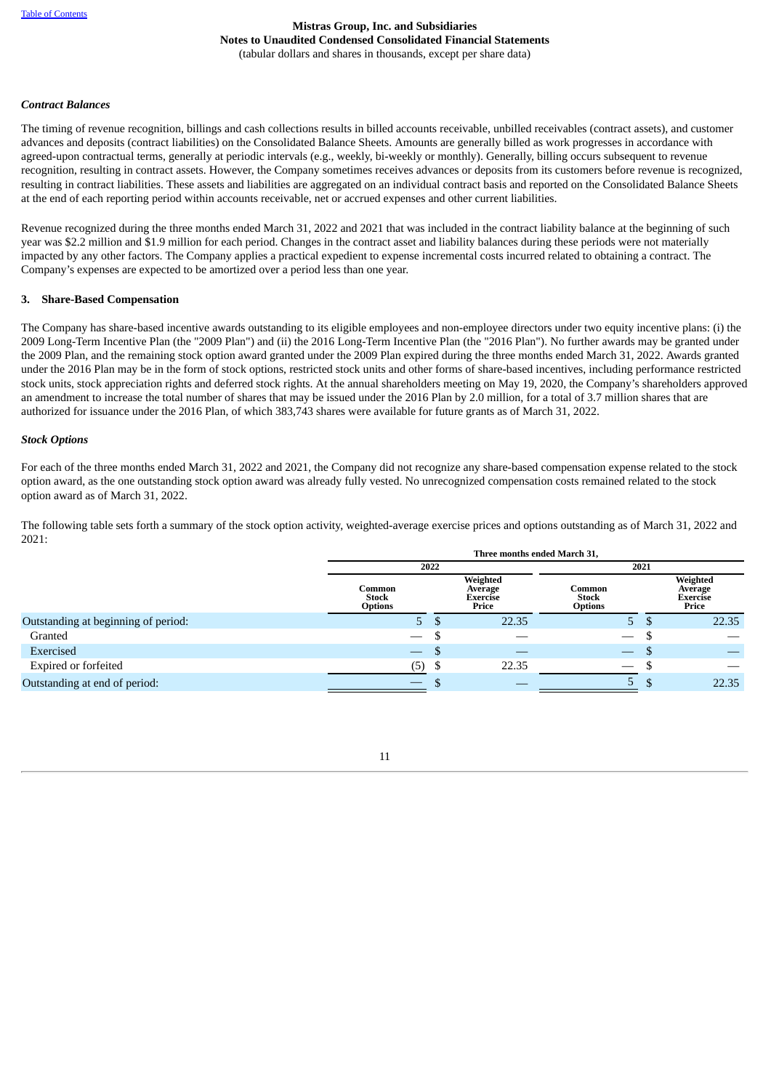## *Contract Balances*

The timing of revenue recognition, billings and cash collections results in billed accounts receivable, unbilled receivables (contract assets), and customer advances and deposits (contract liabilities) on the Consolidated Balance Sheets. Amounts are generally billed as work progresses in accordance with agreed-upon contractual terms, generally at periodic intervals (e.g., weekly, bi-weekly or monthly). Generally, billing occurs subsequent to revenue recognition, resulting in contract assets. However, the Company sometimes receives advances or deposits from its customers before revenue is recognized, resulting in contract liabilities. These assets and liabilities are aggregated on an individual contract basis and reported on the Consolidated Balance Sheets at the end of each reporting period within accounts receivable, net or accrued expenses and other current liabilities.

Revenue recognized during the three months ended March 31, 2022 and 2021 that was included in the contract liability balance at the beginning of such year was \$2.2 million and \$1.9 million for each period. Changes in the contract asset and liability balances during these periods were not materially impacted by any other factors. The Company applies a practical expedient to expense incremental costs incurred related to obtaining a contract. The Company's expenses are expected to be amortized over a period less than one year.

#### **3. Share-Based Compensation**

The Company has share-based incentive awards outstanding to its eligible employees and non-employee directors under two equity incentive plans: (i) the 2009 Long-Term Incentive Plan (the "2009 Plan") and (ii) the 2016 Long-Term Incentive Plan (the "2016 Plan"). No further awards may be granted under the 2009 Plan, and the remaining stock option award granted under the 2009 Plan expired during the three months ended March 31, 2022. Awards granted under the 2016 Plan may be in the form of stock options, restricted stock units and other forms of share-based incentives, including performance restricted stock units, stock appreciation rights and deferred stock rights. At the annual shareholders meeting on May 19, 2020, the Company's shareholders approved an amendment to increase the total number of shares that may be issued under the 2016 Plan by 2.0 million, for a total of 3.7 million shares that are authorized for issuance under the 2016 Plan, of which 383,743 shares were available for future grants as of March 31, 2022.

#### *Stock Options*

For each of the three months ended March 31, 2022 and 2021, the Company did not recognize any share-based compensation expense related to the stock option award, as the one outstanding stock option award was already fully vested. No unrecognized compensation costs remained related to the stock option award as of March 31, 2022.

The following table sets forth a summary of the stock option activity, weighted-average exercise prices and options outstanding as of March 31, 2022 and 2021:

|                                     |                                          |      | Three months ended March 31,             |                                          |      |                                                 |
|-------------------------------------|------------------------------------------|------|------------------------------------------|------------------------------------------|------|-------------------------------------------------|
|                                     | 2022                                     |      |                                          |                                          | 2021 |                                                 |
|                                     | Common<br><b>Stock</b><br><b>Options</b> |      | Weighted<br>Average<br>Exercise<br>Price | Common<br><b>Stock</b><br><b>Options</b> |      | Weighted<br>Average<br><b>Exercise</b><br>Price |
| Outstanding at beginning of period: | 5.                                       |      | 22.35                                    | $5 -$                                    | D    | 22.35                                           |
| Granted                             | $\hspace{0.05cm}$                        |      |                                          | $\hspace{0.1mm}-\hspace{0.1mm}$          |      |                                                 |
| Exercised                           | $\qquad \qquad \longleftarrow$           | ۵D   |                                          |                                          | D    |                                                 |
| <b>Expired or forfeited</b>         | (5)                                      | - \$ | 22.35                                    | $\hspace{0.1mm}-\hspace{0.1mm}$          |      |                                                 |
| Outstanding at end of period:       |                                          |      |                                          | .5                                       | \$.  | 22.35                                           |

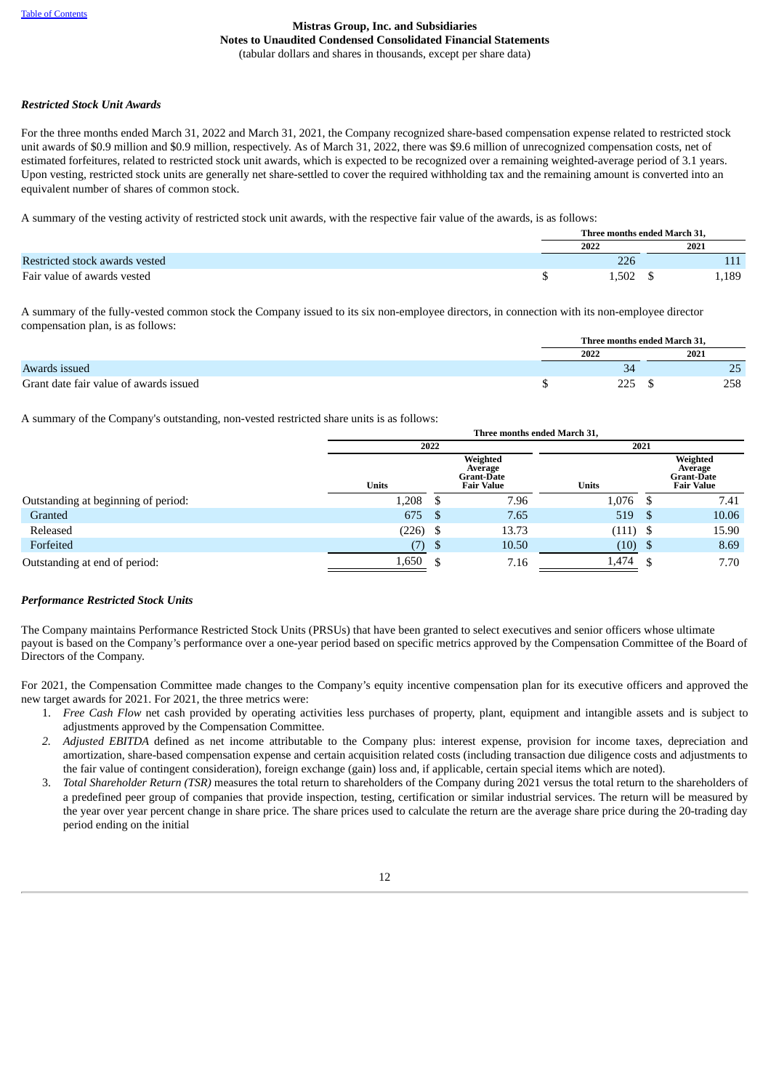## *Restricted Stock Unit Awards*

For the three months ended March 31, 2022 and March 31, 2021, the Company recognized share-based compensation expense related to restricted stock unit awards of \$0.9 million and \$0.9 million, respectively. As of March 31, 2022, there was \$9.6 million of unrecognized compensation costs, net of estimated forfeitures, related to restricted stock unit awards, which is expected to be recognized over a remaining weighted-average period of 3.1 years. Upon vesting, restricted stock units are generally net share-settled to cover the required withholding tax and the remaining amount is converted into an equivalent number of shares of common stock.

A summary of the vesting activity of restricted stock unit awards, with the respective fair value of the awards, is as follows:

|                                | Three months ended March 31, |       |
|--------------------------------|------------------------------|-------|
|                                | 2022                         | 2021  |
| Restricted stock awards vested | 226                          |       |
| Fair value of awards vested    | 1.502                        | 1,189 |

A summary of the fully-vested common stock the Company issued to its six non-employee directors, in connection with its non-employee director compensation plan, is as follows:

|                                        |      | Three months ended March 31. |
|----------------------------------------|------|------------------------------|
|                                        | 2022 | 2021                         |
| Awards issued                          |      | n E<br>رے                    |
| Grant date fair value of awards issued | ⊐רר  | 258                          |

A summary of the Company's outstanding, non-vested restricted share units is as follows:

|                                     |              |      | Three months ended March 31,                                  |              |      |                                                               |  |  |  |
|-------------------------------------|--------------|------|---------------------------------------------------------------|--------------|------|---------------------------------------------------------------|--|--|--|
|                                     |              | 2022 |                                                               |              | 2021 |                                                               |  |  |  |
|                                     | <b>Units</b> |      | Weighted<br>Average<br><b>Grant-Date</b><br><b>Fair Value</b> | <b>Units</b> |      | Weighted<br>Average<br><b>Grant-Date</b><br><b>Fair Value</b> |  |  |  |
| Outstanding at beginning of period: | 1,208        |      | 7.96                                                          | 1,076        |      | 7.41                                                          |  |  |  |
| Granted                             | 675          | - S  | 7.65                                                          | 519          | - \$ | 10.06                                                         |  |  |  |
| Released                            | $(226)$ \$   |      | 13.73                                                         | $(111)$ \$   |      | 15.90                                                         |  |  |  |
| Forfeited                           | 7).          | - \$ | 10.50                                                         | (10)         | - \$ | 8.69                                                          |  |  |  |
| Outstanding at end of period:       | 1,650        |      | 7.16                                                          | 1,474        |      | 7.70                                                          |  |  |  |

## *Performance Restricted Stock Units*

The Company maintains Performance Restricted Stock Units (PRSUs) that have been granted to select executives and senior officers whose ultimate payout is based on the Company's performance over a one-year period based on specific metrics approved by the Compensation Committee of the Board of Directors of the Company.

For 2021, the Compensation Committee made changes to the Company's equity incentive compensation plan for its executive officers and approved the new target awards for 2021. For 2021, the three metrics were:

- 1. *Free Cash Flow* net cash provided by operating activities less purchases of property, plant, equipment and intangible assets and is subject to adjustments approved by the Compensation Committee.
- *2. Adjusted EBITDA* defined as net income attributable to the Company plus: interest expense, provision for income taxes, depreciation and amortization, share-based compensation expense and certain acquisition related costs (including transaction due diligence costs and adjustments to the fair value of contingent consideration), foreign exchange (gain) loss and, if applicable, certain special items which are noted).
- 3. *Total Shareholder Return (TSR)* measures the total return to shareholders of the Company during 2021 versus the total return to the shareholders of a predefined peer group of companies that provide inspection, testing, certification or similar industrial services. The return will be measured by the year over year percent change in share price. The share prices used to calculate the return are the average share price during the 20-trading day period ending on the initial

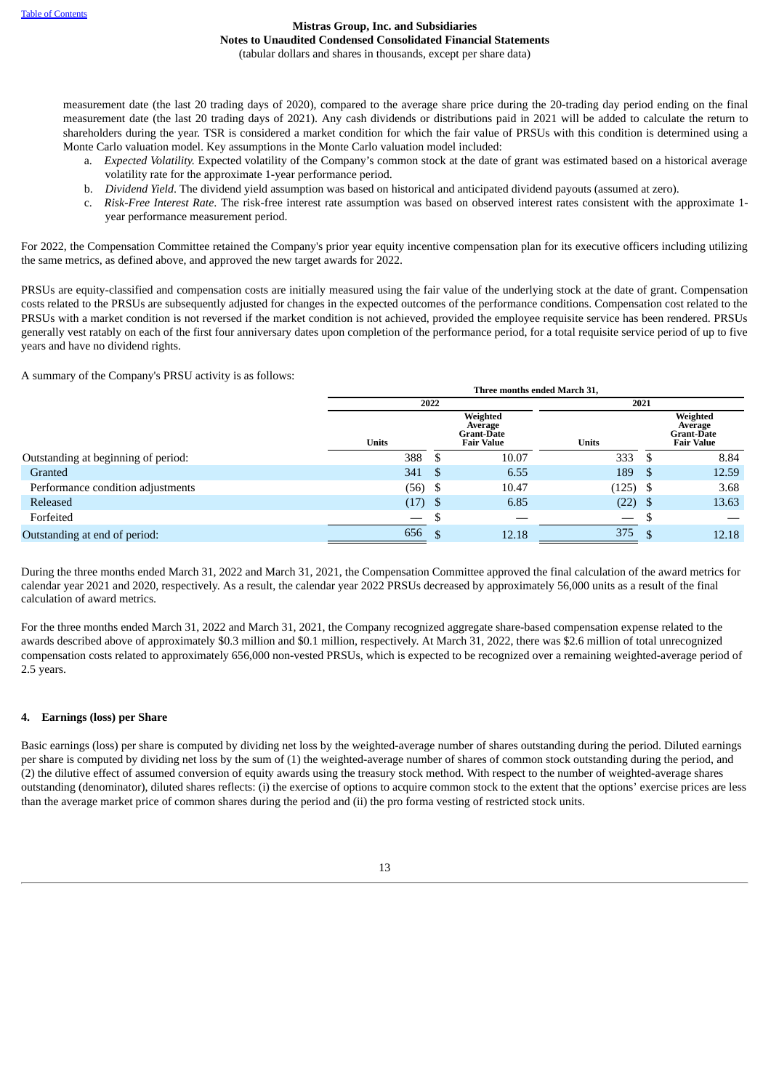measurement date (the last 20 trading days of 2020), compared to the average share price during the 20-trading day period ending on the final measurement date (the last 20 trading days of 2021). Any cash dividends or distributions paid in 2021 will be added to calculate the return to shareholders during the year. TSR is considered a market condition for which the fair value of PRSUs with this condition is determined using a Monte Carlo valuation model. Key assumptions in the Monte Carlo valuation model included:

- a. *Expected Volatility.* Expected volatility of the Company's common stock at the date of grant was estimated based on a historical average volatility rate for the approximate 1-year performance period.
- b. *Dividend Yield*. The dividend yield assumption was based on historical and anticipated dividend payouts (assumed at zero).
- c. *Risk-Free Interest Rate*. The risk-free interest rate assumption was based on observed interest rates consistent with the approximate 1 year performance measurement period.

For 2022, the Compensation Committee retained the Company's prior year equity incentive compensation plan for its executive officers including utilizing the same metrics, as defined above, and approved the new target awards for 2022.

PRSUs are equity-classified and compensation costs are initially measured using the fair value of the underlying stock at the date of grant. Compensation costs related to the PRSUs are subsequently adjusted for changes in the expected outcomes of the performance conditions. Compensation cost related to the PRSUs with a market condition is not reversed if the market condition is not achieved, provided the employee requisite service has been rendered. PRSUs generally vest ratably on each of the first four anniversary dates upon completion of the performance period, for a total requisite service period of up to five years and have no dividend rights.

A summary of the Company's PRSU activity is as follows:

|                                     |              |      | Three months ended March 31,                                  |              |      |                                                               |  |  |
|-------------------------------------|--------------|------|---------------------------------------------------------------|--------------|------|---------------------------------------------------------------|--|--|
|                                     |              | 2022 |                                                               |              |      |                                                               |  |  |
|                                     | <b>Units</b> |      | Weighted<br>Average<br><b>Grant-Date</b><br><b>Fair Value</b> | <b>Units</b> |      | Weighted<br>Average<br><b>Grant-Date</b><br><b>Fair Value</b> |  |  |
| Outstanding at beginning of period: | 388          | ۰D   | 10.07                                                         | 333          | - 35 | 8.84                                                          |  |  |
| Granted                             | 341          | - \$ | 6.55                                                          | 189          | - \$ | 12.59                                                         |  |  |
| Performance condition adjustments   | (56)         | - \$ | 10.47                                                         | $(125)$ \$   |      | 3.68                                                          |  |  |
| Released                            | (17)         | - \$ | 6.85                                                          | $(22)$ \$    |      | 13.63                                                         |  |  |
| Forfeited                           |              |      |                                                               |              |      |                                                               |  |  |
| Outstanding at end of period:       | 656          | \$   | 12.18                                                         | 375          |      | 12.18                                                         |  |  |

During the three months ended March 31, 2022 and March 31, 2021, the Compensation Committee approved the final calculation of the award metrics for calendar year 2021 and 2020, respectively. As a result, the calendar year 2022 PRSUs decreased by approximately 56,000 units as a result of the final calculation of award metrics.

For the three months ended March 31, 2022 and March 31, 2021, the Company recognized aggregate share-based compensation expense related to the awards described above of approximately \$0.3 million and \$0.1 million, respectively. At March 31, 2022, there was \$2.6 million of total unrecognized compensation costs related to approximately 656,000 non-vested PRSUs, which is expected to be recognized over a remaining weighted-average period of 2.5 years.

## **4. Earnings (loss) per Share**

Basic earnings (loss) per share is computed by dividing net loss by the weighted-average number of shares outstanding during the period. Diluted earnings per share is computed by dividing net loss by the sum of (1) the weighted-average number of shares of common stock outstanding during the period, and (2) the dilutive effect of assumed conversion of equity awards using the treasury stock method. With respect to the number of weighted-average shares outstanding (denominator), diluted shares reflects: (i) the exercise of options to acquire common stock to the extent that the options' exercise prices are less than the average market price of common shares during the period and (ii) the pro forma vesting of restricted stock units.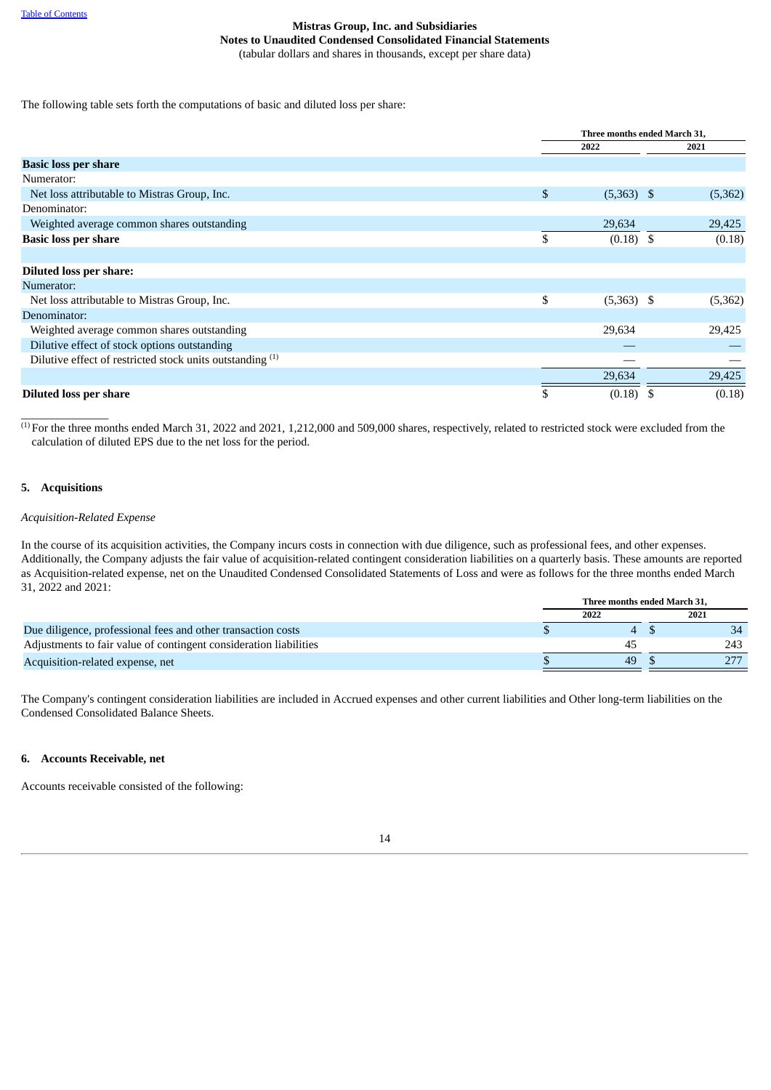The following table sets forth the computations of basic and diluted loss per share:

|                                                           | Three months ended March 31, |         |        |  |  |
|-----------------------------------------------------------|------------------------------|---------|--------|--|--|
|                                                           | 2022                         | 2021    |        |  |  |
| <b>Basic loss per share</b>                               |                              |         |        |  |  |
| Numerator:                                                |                              |         |        |  |  |
| Net loss attributable to Mistras Group, Inc.              | \$<br>$(5,363)$ \$           | (5,362) |        |  |  |
| Denominator:                                              |                              |         |        |  |  |
| Weighted average common shares outstanding                | 29,634                       | 29,425  |        |  |  |
| <b>Basic loss per share</b>                               | \$<br>$(0.18)$ \$            |         | (0.18) |  |  |
|                                                           |                              |         |        |  |  |
| <b>Diluted loss per share:</b>                            |                              |         |        |  |  |
| Numerator:                                                |                              |         |        |  |  |
| Net loss attributable to Mistras Group, Inc.              | \$<br>$(5,363)$ \$           | (5,362) |        |  |  |
| Denominator:                                              |                              |         |        |  |  |
| Weighted average common shares outstanding                | 29,634                       | 29,425  |        |  |  |
| Dilutive effect of stock options outstanding              |                              |         |        |  |  |
| Dilutive effect of restricted stock units outstanding (1) |                              |         |        |  |  |
|                                                           | 29,634                       | 29,425  |        |  |  |
| <b>Diluted loss per share</b>                             | (0.18)                       |         | (0.18) |  |  |

 $^{(1)}$  For the three months ended March 31, 2022 and 2021, 1,212,000 and 509,000 shares, respectively, related to restricted stock were excluded from the calculation of diluted EPS due to the net loss for the period.

## **5. Acquisitions**

\_\_\_\_\_\_\_\_\_\_\_\_\_\_\_

## *Acquisition-Related Expense*

In the course of its acquisition activities, the Company incurs costs in connection with due diligence, such as professional fees, and other expenses. Additionally, the Company adjusts the fair value of acquisition-related contingent consideration liabilities on a quarterly basis. These amounts are reported as Acquisition-related expense, net on the Unaudited Condensed Consolidated Statements of Loss and were as follows for the three months ended March 31, 2022 and 2021:

|                                                                   | Three months ended March 31. |      |  |  |  |  |
|-------------------------------------------------------------------|------------------------------|------|--|--|--|--|
|                                                                   | 2022                         | 2021 |  |  |  |  |
| Due diligence, professional fees and other transaction costs      |                              | 34   |  |  |  |  |
| Adjustments to fair value of contingent consideration liabilities | $4 -$                        | 243  |  |  |  |  |
| Acquisition-related expense, net                                  | 49                           |      |  |  |  |  |

The Company's contingent consideration liabilities are included in Accrued expenses and other current liabilities and Other long-term liabilities on the Condensed Consolidated Balance Sheets.

## **6. Accounts Receivable, net**

Accounts receivable consisted of the following:

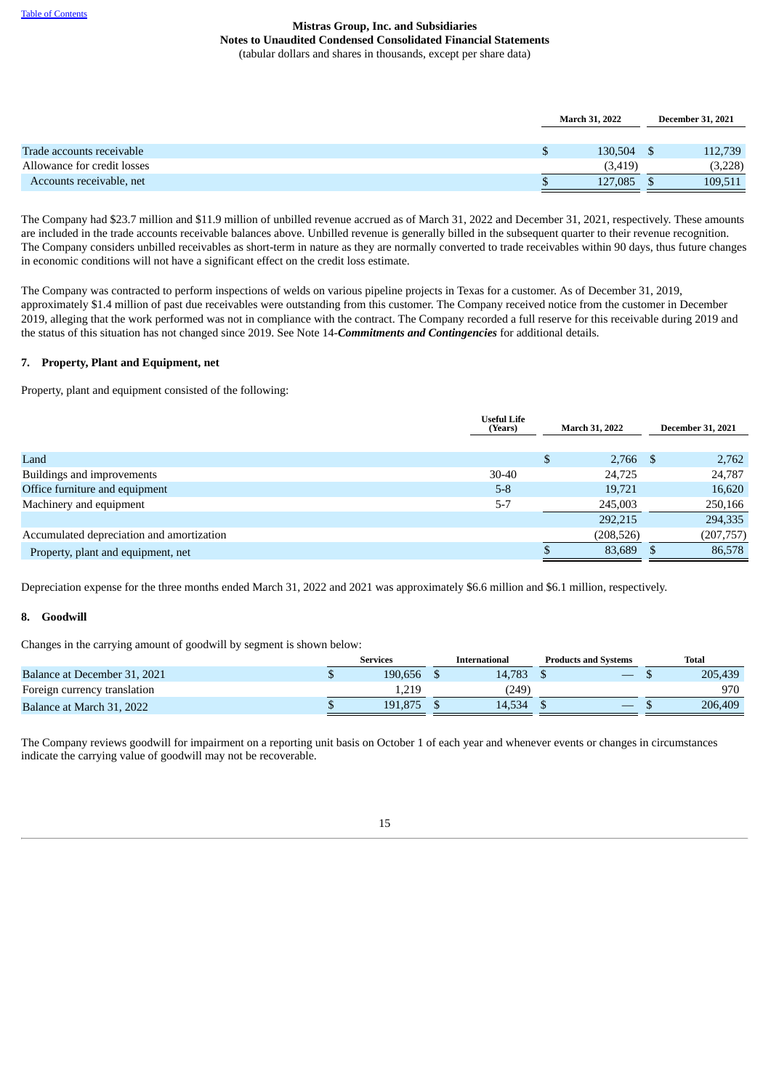|                             | <b>March 31, 2022</b> | <b>December 31, 2021</b> |         |  |
|-----------------------------|-----------------------|--------------------------|---------|--|
|                             |                       |                          |         |  |
| Trade accounts receivable   | 130.504               |                          | 112,739 |  |
| Allowance for credit losses | (3, 419)              |                          | (3,228) |  |
| Accounts receivable, net    | 127,085               |                          | 109,511 |  |

The Company had \$23.7 million and \$11.9 million of unbilled revenue accrued as of March 31, 2022 and December 31, 2021, respectively. These amounts are included in the trade accounts receivable balances above. Unbilled revenue is generally billed in the subsequent quarter to their revenue recognition. The Company considers unbilled receivables as short-term in nature as they are normally converted to trade receivables within 90 days, thus future changes in economic conditions will not have a significant effect on the credit loss estimate.

The Company was contracted to perform inspections of welds on various pipeline projects in Texas for a customer. As of December 31, 2019, approximately \$1.4 million of past due receivables were outstanding from this customer. The Company received notice from the customer in December 2019, alleging that the work performed was not in compliance with the contract. The Company recorded a full reserve for this receivable during 2019 and the status of this situation has not changed since 2019. See Note 14-*Commitments and Contingencies* for additional details.

## **7. Property, Plant and Equipment, net**

Property, plant and equipment consisted of the following:

|                                           | <b>Useful Life</b><br>(Years) |   | March 31, 2022 |  | <b>December 31, 2021</b> |
|-------------------------------------------|-------------------------------|---|----------------|--|--------------------------|
|                                           |                               |   |                |  |                          |
| Land                                      |                               | S | $2,766$ \$     |  | 2,762                    |
| Buildings and improvements                | $30 - 40$                     |   | 24.725         |  | 24,787                   |
| Office furniture and equipment            | $5-8$                         |   | 19,721         |  | 16,620                   |
| Machinery and equipment                   | $5 - 7$                       |   | 245,003        |  | 250,166                  |
|                                           |                               |   | 292,215        |  | 294,335                  |
| Accumulated depreciation and amortization |                               |   | (208, 526)     |  | (207, 757)               |
| Property, plant and equipment, net        |                               |   | 83,689         |  | 86,578                   |

Depreciation expense for the three months ended March 31, 2022 and 2021 was approximately \$6.6 million and \$6.1 million, respectively.

## **8. Goodwill**

Changes in the carrying amount of goodwill by segment is shown below:

|                              | Services |         | International |        | <b>Products and Systems</b> |  | Total |         |
|------------------------------|----------|---------|---------------|--------|-----------------------------|--|-------|---------|
| Balance at December 31, 2021 |          | 190.656 |               | 14.783 |                             |  |       | 205,439 |
| Foreign currency translation |          | 1.219   |               | (249)  |                             |  |       | 970     |
| Balance at March 31, 2022    |          | 191.875 |               | 14.534 |                             |  |       | 206,409 |

The Company reviews goodwill for impairment on a reporting unit basis on October 1 of each year and whenever events or changes in circumstances indicate the carrying value of goodwill may not be recoverable.

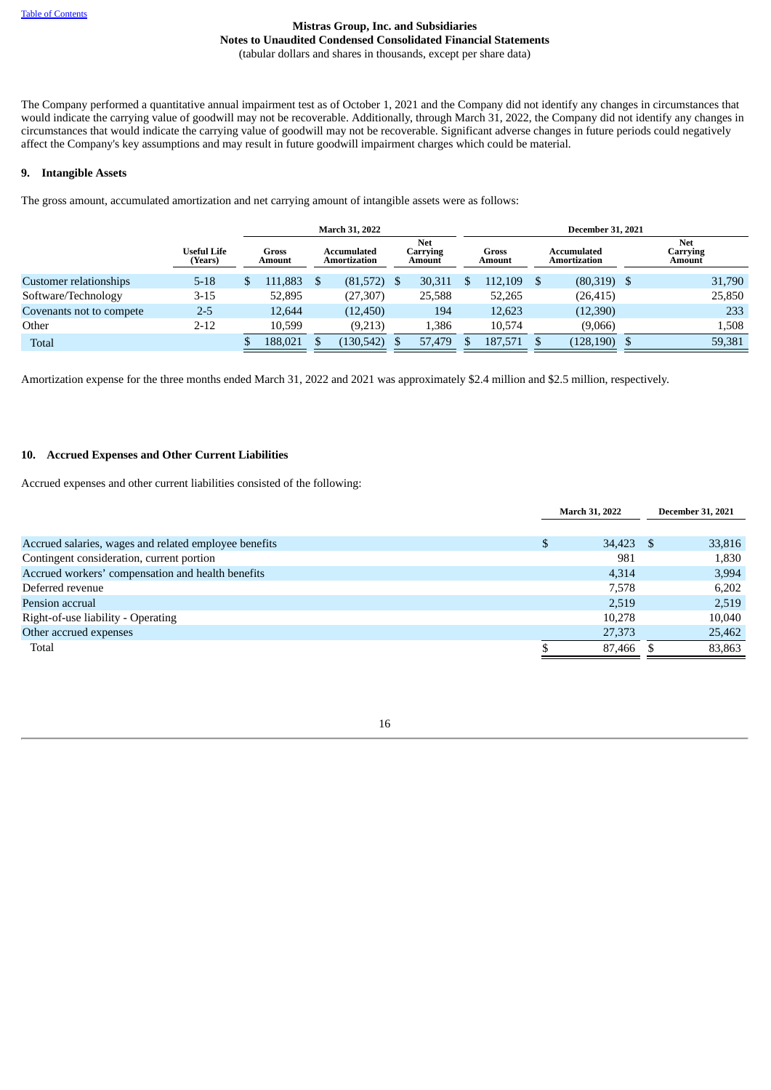The Company performed a quantitative annual impairment test as of October 1, 2021 and the Company did not identify any changes in circumstances that would indicate the carrying value of goodwill may not be recoverable. Additionally, through March 31, 2022, the Company did not identify any changes in circumstances that would indicate the carrying value of goodwill may not be recoverable. Significant adverse changes in future periods could negatively affect the Company's key assumptions and may result in future goodwill impairment charges which could be material.

## **9. Intangible Assets**

The gross amount, accumulated amortization and net carrying amount of intangible assets were as follows:

|                          |                        |                 | <b>March 31, 2022</b>       |                           | <b>December 31, 2021</b> |                 |  |                             |  |                                  |
|--------------------------|------------------------|-----------------|-----------------------------|---------------------------|--------------------------|-----------------|--|-----------------------------|--|----------------------------------|
|                          | Useful Life<br>(Years) | Gross<br>Amount | Accumulated<br>Amortization | Net<br>Carrying<br>Amount |                          | Gross<br>Amount |  | Accumulated<br>Amortization |  | <b>Net</b><br>Carrying<br>Amount |
| Customer relationships   | $5 - 18$               | 111.883         | $(81,572)$ \$               | 30,311                    |                          | 112,109         |  | $(80,319)$ \$               |  | 31,790                           |
| Software/Technology      | 3-15                   | 52,895          | (27, 307)                   | 25,588                    |                          | 52,265          |  | (26, 415)                   |  | 25,850                           |
| Covenants not to compete | $2 - 5$                | 12.644          | (12, 450)                   | 194                       |                          | 12,623          |  | (12,390)                    |  | 233                              |
| Other                    | $2 - 12$               | 10.599          | (9,213)                     | 1,386                     |                          | 10,574          |  | (9,066)                     |  | 1,508                            |
| <b>Total</b>             |                        | 188,021         | (130, 542)                  | 57,479                    |                          | 187,571         |  | (128, 190)                  |  | 59,381                           |

Amortization expense for the three months ended March 31, 2022 and 2021 was approximately \$2.4 million and \$2.5 million, respectively.

## **10. Accrued Expenses and Other Current Liabilities**

Accrued expenses and other current liabilities consisted of the following:

|                                                       | March 31, 2022    |  | <b>December 31, 2021</b> |
|-------------------------------------------------------|-------------------|--|--------------------------|
|                                                       |                   |  |                          |
| Accrued salaries, wages and related employee benefits | \$<br>$34,423$ \$ |  | 33,816                   |
| Contingent consideration, current portion             | 981               |  | 1,830                    |
| Accrued workers' compensation and health benefits     | 4.314             |  | 3,994                    |
| Deferred revenue                                      | 7.578             |  | 6,202                    |
| Pension accrual                                       | 2.519             |  | 2,519                    |
| Right-of-use liability - Operating                    | 10,278            |  | 10,040                   |
| Other accrued expenses                                | 27,373            |  | 25,462                   |
| Total                                                 | 87,466            |  | 83,863                   |
|                                                       |                   |  |                          |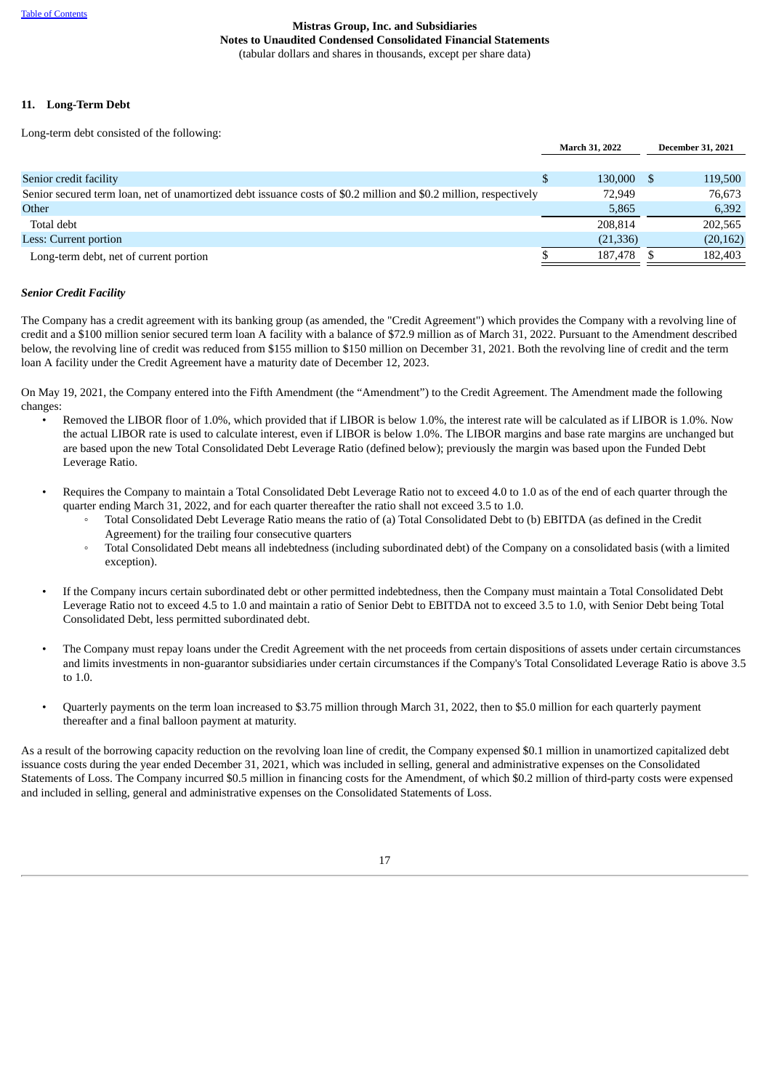## **11. Long-Term Debt**

Long-term debt consisted of the following:

|                                                                                                                   | March 31, 2022 |  | <b>December 31, 2021</b> |
|-------------------------------------------------------------------------------------------------------------------|----------------|--|--------------------------|
|                                                                                                                   |                |  |                          |
| Senior credit facility                                                                                            | 130,000        |  | 119,500                  |
| Senior secured term loan, net of unamortized debt issuance costs of \$0.2 million and \$0.2 million, respectively | 72,949         |  | 76.673                   |
| Other                                                                                                             | 5,865          |  | 6,392                    |
| Total debt                                                                                                        | 208.814        |  | 202,565                  |
| Less: Current portion                                                                                             | (21, 336)      |  | (20, 162)                |
| Long-term debt, net of current portion                                                                            | 187.478        |  | 182,403                  |

#### *Senior Credit Facility*

The Company has a credit agreement with its banking group (as amended, the "Credit Agreement") which provides the Company with a revolving line of credit and a \$100 million senior secured term loan A facility with a balance of \$72.9 million as of March 31, 2022. Pursuant to the Amendment described below, the revolving line of credit was reduced from \$155 million to \$150 million on December 31, 2021. Both the revolving line of credit and the term loan A facility under the Credit Agreement have a maturity date of December 12, 2023.

On May 19, 2021, the Company entered into the Fifth Amendment (the "Amendment") to the Credit Agreement. The Amendment made the following changes:

- Removed the LIBOR floor of 1.0%, which provided that if LIBOR is below 1.0%, the interest rate will be calculated as if LIBOR is 1.0%. Now the actual LIBOR rate is used to calculate interest, even if LIBOR is below 1.0%. The LIBOR margins and base rate margins are unchanged but are based upon the new Total Consolidated Debt Leverage Ratio (defined below); previously the margin was based upon the Funded Debt Leverage Ratio.
- Requires the Company to maintain a Total Consolidated Debt Leverage Ratio not to exceed 4.0 to 1.0 as of the end of each quarter through the quarter ending March 31, 2022, and for each quarter thereafter the ratio shall not exceed 3.5 to 1.0.
	- Total Consolidated Debt Leverage Ratio means the ratio of (a) Total Consolidated Debt to (b) EBITDA (as defined in the Credit Agreement) for the trailing four consecutive quarters
	- Total Consolidated Debt means all indebtedness (including subordinated debt) of the Company on a consolidated basis (with a limited exception).
- If the Company incurs certain subordinated debt or other permitted indebtedness, then the Company must maintain a Total Consolidated Debt Leverage Ratio not to exceed 4.5 to 1.0 and maintain a ratio of Senior Debt to EBITDA not to exceed 3.5 to 1.0, with Senior Debt being Total Consolidated Debt, less permitted subordinated debt.
- The Company must repay loans under the Credit Agreement with the net proceeds from certain dispositions of assets under certain circumstances and limits investments in non-guarantor subsidiaries under certain circumstances if the Company's Total Consolidated Leverage Ratio is above 3.5 to 1.0.
- Quarterly payments on the term loan increased to \$3.75 million through March 31, 2022, then to \$5.0 million for each quarterly payment thereafter and a final balloon payment at maturity.

As a result of the borrowing capacity reduction on the revolving loan line of credit, the Company expensed \$0.1 million in unamortized capitalized debt issuance costs during the year ended December 31, 2021, which was included in selling, general and administrative expenses on the Consolidated Statements of Loss. The Company incurred \$0.5 million in financing costs for the Amendment, of which \$0.2 million of third-party costs were expensed and included in selling, general and administrative expenses on the Consolidated Statements of Loss.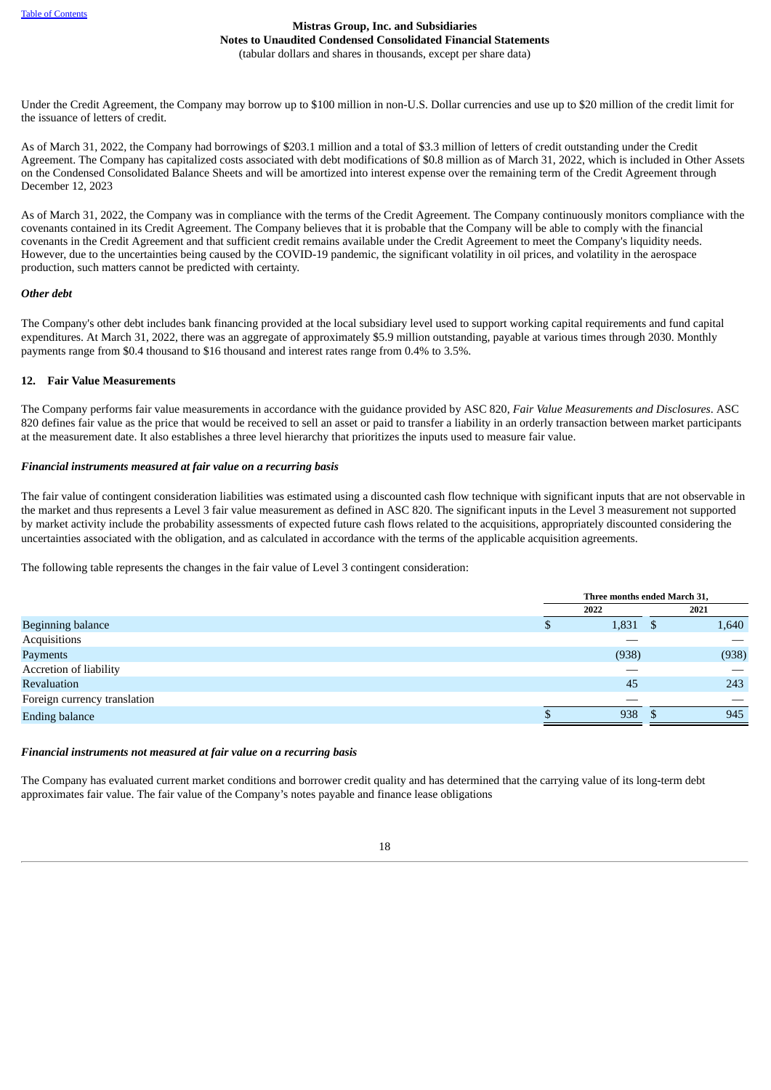Under the Credit Agreement, the Company may borrow up to \$100 million in non-U.S. Dollar currencies and use up to \$20 million of the credit limit for the issuance of letters of credit.

As of March 31, 2022, the Company had borrowings of \$203.1 million and a total of \$3.3 million of letters of credit outstanding under the Credit Agreement. The Company has capitalized costs associated with debt modifications of \$0.8 million as of March 31, 2022, which is included in Other Assets on the Condensed Consolidated Balance Sheets and will be amortized into interest expense over the remaining term of the Credit Agreement through December 12, 2023

As of March 31, 2022, the Company was in compliance with the terms of the Credit Agreement. The Company continuously monitors compliance with the covenants contained in its Credit Agreement. The Company believes that it is probable that the Company will be able to comply with the financial covenants in the Credit Agreement and that sufficient credit remains available under the Credit Agreement to meet the Company's liquidity needs. However, due to the uncertainties being caused by the COVID-19 pandemic, the significant volatility in oil prices, and volatility in the aerospace production, such matters cannot be predicted with certainty.

## *Other debt*

The Company's other debt includes bank financing provided at the local subsidiary level used to support working capital requirements and fund capital expenditures. At March 31, 2022, there was an aggregate of approximately \$5.9 million outstanding, payable at various times through 2030. Monthly payments range from \$0.4 thousand to \$16 thousand and interest rates range from 0.4% to 3.5%.

## **12. Fair Value Measurements**

The Company performs fair value measurements in accordance with the guidance provided by ASC 820, *Fair Value Measurements and Disclosures*. ASC 820 defines fair value as the price that would be received to sell an asset or paid to transfer a liability in an orderly transaction between market participants at the measurement date. It also establishes a three level hierarchy that prioritizes the inputs used to measure fair value.

## *Financial instruments measured at fair value on a recurring basis*

The fair value of contingent consideration liabilities was estimated using a discounted cash flow technique with significant inputs that are not observable in the market and thus represents a Level 3 fair value measurement as defined in ASC 820. The significant inputs in the Level 3 measurement not supported by market activity include the probability assessments of expected future cash flows related to the acquisitions, appropriately discounted considering the uncertainties associated with the obligation, and as calculated in accordance with the terms of the applicable acquisition agreements.

The following table represents the changes in the fair value of Level 3 contingent consideration:

|                              | Three months ended March 31, |       |  |
|------------------------------|------------------------------|-------|--|
|                              | 2022                         | 2021  |  |
| Beginning balance            | $1,831$ \$                   | 1,640 |  |
| Acquisitions                 |                              |       |  |
| Payments                     | (938)                        | (938) |  |
| Accretion of liability       |                              |       |  |
| Revaluation                  | 45                           | 243   |  |
| Foreign currency translation |                              |       |  |
| <b>Ending balance</b>        | 938                          | 945   |  |

## *Financial instruments not measured at fair value on a recurring basis*

The Company has evaluated current market conditions and borrower credit quality and has determined that the carrying value of its long-term debt approximates fair value. The fair value of the Company's notes payable and finance lease obligations

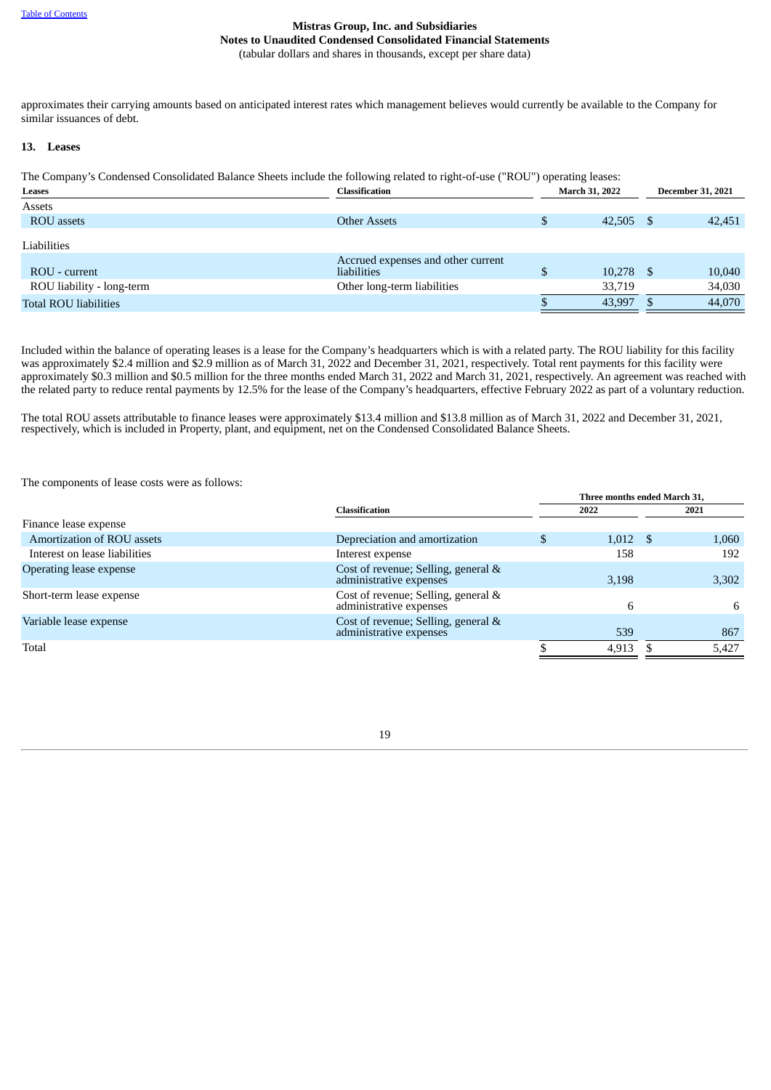approximates their carrying amounts based on anticipated interest rates which management believes would currently be available to the Company for similar issuances of debt.

#### **13. Leases**

The Company's Condensed Consolidated Balance Sheets include the following related to right-of-use ("ROU") operating leases:

| Leases                       | Classification                     |     | <b>March 31, 2022</b> |  |        |  | <b>December 31, 2021</b> |
|------------------------------|------------------------------------|-----|-----------------------|--|--------|--|--------------------------|
| Assets                       |                                    |     |                       |  |        |  |                          |
| <b>ROU</b> assets            | <b>Other Assets</b>                | \$  | 42,505 \$             |  | 42,451 |  |                          |
| Liabilities                  |                                    |     |                       |  |        |  |                          |
|                              | Accrued expenses and other current |     |                       |  |        |  |                          |
| ROU - current                | liabilities                        | \$. | $10,278$ \$           |  | 10,040 |  |                          |
| ROU liability - long-term    | Other long-term liabilities        |     | 33,719                |  | 34,030 |  |                          |
| <b>Total ROU liabilities</b> |                                    |     | 43,997                |  | 44,070 |  |                          |

Included within the balance of operating leases is a lease for the Company's headquarters which is with a related party. The ROU liability for this facility was approximately \$2.4 million and \$2.9 million as of March 31, 2022 and December 31, 2021, respectively. Total rent payments for this facility were approximately \$0.3 million and \$0.5 million for the three months ended March 31, 2022 and March 31, 2021, respectively. An agreement was reached with the related party to reduce rental payments by 12.5% for the lease of the Company's headquarters, effective February 2022 as part of a voluntary reduction.

The total ROU assets attributable to finance leases were approximately \$13.4 million and \$13.8 million as of March 31, 2022 and December 31, 2021, respectively, which is included in Property, plant, and equipment, net on the Condensed Consolidated Balance Sheets.

The components of lease costs were as follows:

|                               |                                                                | Three months ended March 31. |  |       |
|-------------------------------|----------------------------------------------------------------|------------------------------|--|-------|
|                               | <b>Classification</b>                                          | 2022                         |  | 2021  |
| Finance lease expense         |                                                                |                              |  |       |
| Amortization of ROU assets    | Depreciation and amortization                                  | $1,012$ \$                   |  | 1,060 |
| Interest on lease liabilities | Interest expense                                               | 158                          |  | 192   |
| Operating lease expense       | Cost of revenue; Selling, general &<br>administrative expenses | 3,198                        |  | 3,302 |
| Short-term lease expense      | Cost of revenue; Selling, general &<br>administrative expenses | h                            |  | 6     |
| Variable lease expense        | Cost of revenue; Selling, general &<br>administrative expenses | 539                          |  | 867   |
| Total                         |                                                                | 4,913                        |  | 5,427 |
|                               |                                                                |                              |  |       |

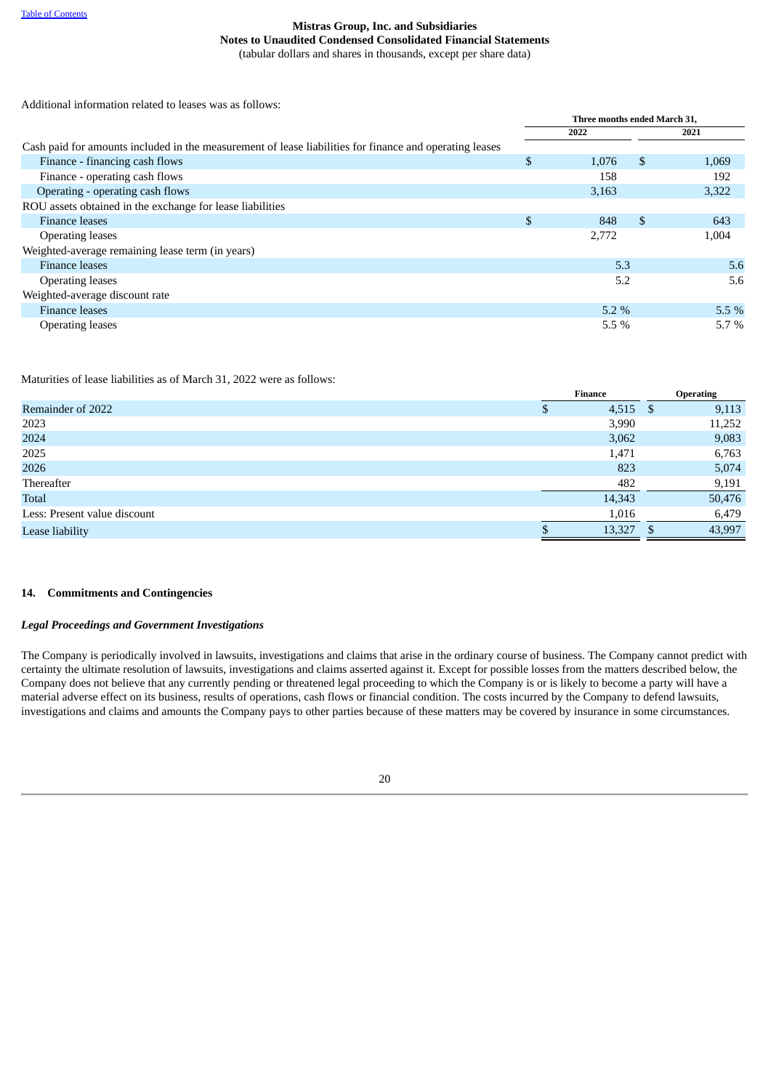Additional information related to leases was as follows:

|                                                                                                         | Three months ended March 31, |         |              |         |  |
|---------------------------------------------------------------------------------------------------------|------------------------------|---------|--------------|---------|--|
|                                                                                                         |                              | 2022    |              | 2021    |  |
| Cash paid for amounts included in the measurement of lease liabilities for finance and operating leases |                              |         |              |         |  |
| Finance - financing cash flows                                                                          | \$                           | 1,076   | \$           | 1,069   |  |
| Finance - operating cash flows                                                                          |                              | 158     |              | 192     |  |
| Operating - operating cash flows                                                                        |                              | 3,163   |              | 3,322   |  |
| ROU assets obtained in the exchange for lease liabilities                                               |                              |         |              |         |  |
| <b>Finance leases</b>                                                                                   | \$                           | 848     | $\mathbb{S}$ | 643     |  |
| <b>Operating leases</b>                                                                                 |                              | 2,772   |              | 1,004   |  |
| Weighted-average remaining lease term (in years)                                                        |                              |         |              |         |  |
| Finance leases                                                                                          |                              | 5.3     |              | 5.6     |  |
| <b>Operating leases</b>                                                                                 |                              | 5.2     |              | 5.6     |  |
| Weighted-average discount rate                                                                          |                              |         |              |         |  |
| <b>Finance leases</b>                                                                                   |                              | $5.2\%$ |              | 5.5%    |  |
| <b>Operating leases</b>                                                                                 |                              | $5.5\%$ |              | $5.7\%$ |  |

Maturities of lease liabilities as of March 31, 2022 were as follows:

|                              | <b>Finance</b> | <b>Operating</b> |
|------------------------------|----------------|------------------|
| Remainder of 2022            | 4,515          | \$<br>9,113      |
| 2023                         | 3,990          | 11,252           |
| 2024                         | 3,062          | 9,083            |
| 2025                         | 1,471          | 6,763            |
| 2026                         | 823            | 5,074            |
| Thereafter                   | 482            | 9,191            |
| <b>Total</b>                 | 14,343         | 50,476           |
| Less: Present value discount | 1,016          | 6,479            |
| Lease liability              | 13,327         | 43,997           |
|                              |                |                  |

## **14. Commitments and Contingencies**

## *Legal Proceedings and Government Investigations*

The Company is periodically involved in lawsuits, investigations and claims that arise in the ordinary course of business. The Company cannot predict with certainty the ultimate resolution of lawsuits, investigations and claims asserted against it. Except for possible losses from the matters described below, the Company does not believe that any currently pending or threatened legal proceeding to which the Company is or is likely to become a party will have a material adverse effect on its business, results of operations, cash flows or financial condition. The costs incurred by the Company to defend lawsuits, investigations and claims and amounts the Company pays to other parties because of these matters may be covered by insurance in some circumstances.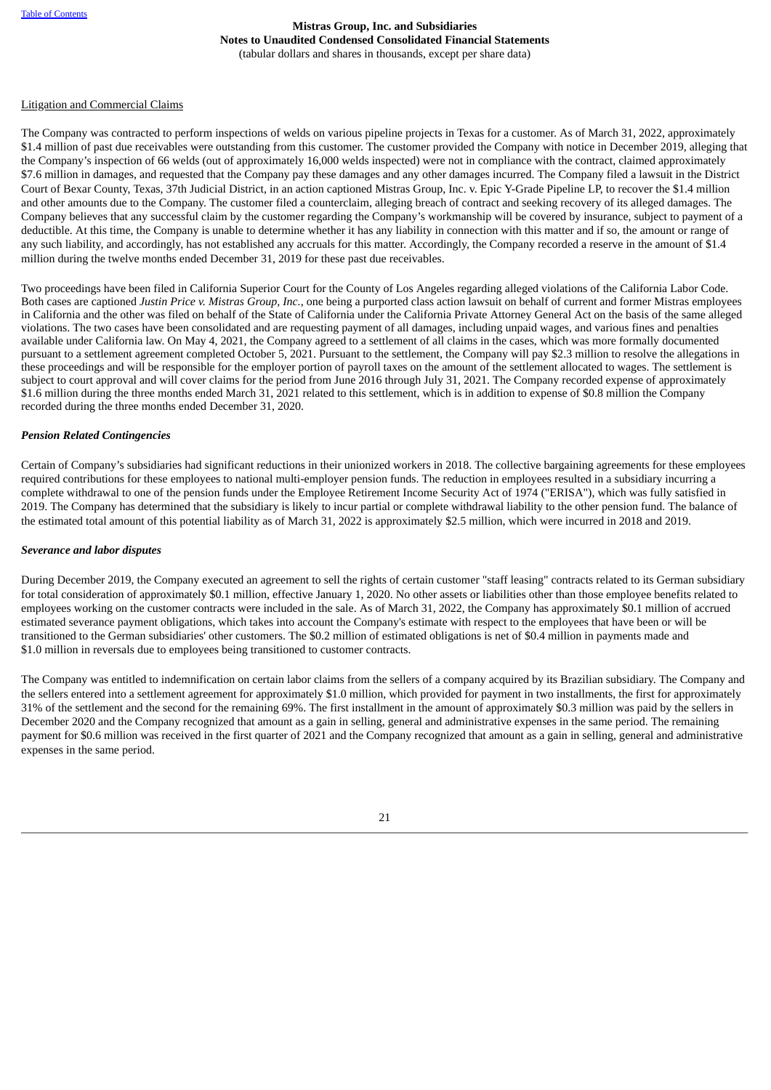#### Litigation and Commercial Claims

The Company was contracted to perform inspections of welds on various pipeline projects in Texas for a customer. As of March 31, 2022, approximately \$1.4 million of past due receivables were outstanding from this customer. The customer provided the Company with notice in December 2019, alleging that the Company's inspection of 66 welds (out of approximately 16,000 welds inspected) were not in compliance with the contract, claimed approximately \$7.6 million in damages, and requested that the Company pay these damages and any other damages incurred. The Company filed a lawsuit in the District Court of Bexar County, Texas, 37th Judicial District, in an action captioned Mistras Group, Inc. v. Epic Y-Grade Pipeline LP, to recover the \$1.4 million and other amounts due to the Company. The customer filed a counterclaim, alleging breach of contract and seeking recovery of its alleged damages. The Company believes that any successful claim by the customer regarding the Company's workmanship will be covered by insurance, subject to payment of a deductible. At this time, the Company is unable to determine whether it has any liability in connection with this matter and if so, the amount or range of any such liability, and accordingly, has not established any accruals for this matter. Accordingly, the Company recorded a reserve in the amount of \$1.4 million during the twelve months ended December 31, 2019 for these past due receivables.

Two proceedings have been filed in California Superior Court for the County of Los Angeles regarding alleged violations of the California Labor Code. Both cases are captioned *Justin Price v. Mistras Group, Inc.*, one being a purported class action lawsuit on behalf of current and former Mistras employees in California and the other was filed on behalf of the State of California under the California Private Attorney General Act on the basis of the same alleged violations. The two cases have been consolidated and are requesting payment of all damages, including unpaid wages, and various fines and penalties available under California law. On May 4, 2021, the Company agreed to a settlement of all claims in the cases, which was more formally documented pursuant to a settlement agreement completed October 5, 2021. Pursuant to the settlement, the Company will pay \$2.3 million to resolve the allegations in these proceedings and will be responsible for the employer portion of payroll taxes on the amount of the settlement allocated to wages. The settlement is subject to court approval and will cover claims for the period from June 2016 through July 31, 2021. The Company recorded expense of approximately \$1.6 million during the three months ended March 31, 2021 related to this settlement, which is in addition to expense of \$0.8 million the Company recorded during the three months ended December 31, 2020.

#### *Pension Related Contingencies*

Certain of Company's subsidiaries had significant reductions in their unionized workers in 2018. The collective bargaining agreements for these employees required contributions for these employees to national multi-employer pension funds. The reduction in employees resulted in a subsidiary incurring a complete withdrawal to one of the pension funds under the Employee Retirement Income Security Act of 1974 ("ERISA"), which was fully satisfied in 2019. The Company has determined that the subsidiary is likely to incur partial or complete withdrawal liability to the other pension fund. The balance of the estimated total amount of this potential liability as of March 31, 2022 is approximately \$2.5 million, which were incurred in 2018 and 2019.

#### *Severance and labor disputes*

During December 2019, the Company executed an agreement to sell the rights of certain customer "staff leasing" contracts related to its German subsidiary for total consideration of approximately \$0.1 million, effective January 1, 2020. No other assets or liabilities other than those employee benefits related to employees working on the customer contracts were included in the sale. As of March 31, 2022, the Company has approximately \$0.1 million of accrued estimated severance payment obligations, which takes into account the Company's estimate with respect to the employees that have been or will be transitioned to the German subsidiaries' other customers. The \$0.2 million of estimated obligations is net of \$0.4 million in payments made and \$1.0 million in reversals due to employees being transitioned to customer contracts.

The Company was entitled to indemnification on certain labor claims from the sellers of a company acquired by its Brazilian subsidiary. The Company and the sellers entered into a settlement agreement for approximately \$1.0 million, which provided for payment in two installments, the first for approximately 31% of the settlement and the second for the remaining 69%. The first installment in the amount of approximately \$0.3 million was paid by the sellers in December 2020 and the Company recognized that amount as a gain in selling, general and administrative expenses in the same period. The remaining payment for \$0.6 million was received in the first quarter of 2021 and the Company recognized that amount as a gain in selling, general and administrative expenses in the same period.

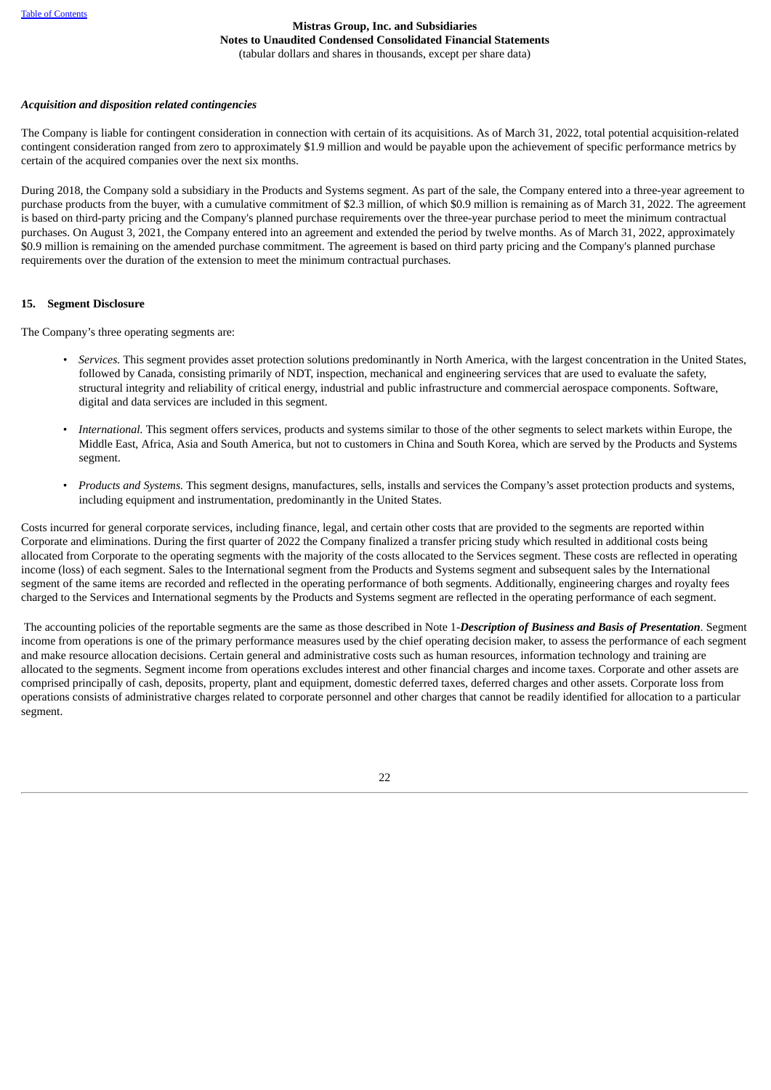## *Acquisition and disposition related contingencies*

The Company is liable for contingent consideration in connection with certain of its acquisitions. As of March 31, 2022, total potential acquisition-related contingent consideration ranged from zero to approximately \$1.9 million and would be payable upon the achievement of specific performance metrics by certain of the acquired companies over the next six months.

During 2018, the Company sold a subsidiary in the Products and Systems segment. As part of the sale, the Company entered into a three-year agreement to purchase products from the buyer, with a cumulative commitment of \$2.3 million, of which \$0.9 million is remaining as of March 31, 2022. The agreement is based on third-party pricing and the Company's planned purchase requirements over the three-year purchase period to meet the minimum contractual purchases. On August 3, 2021, the Company entered into an agreement and extended the period by twelve months. As of March 31, 2022, approximately \$0.9 million is remaining on the amended purchase commitment. The agreement is based on third party pricing and the Company's planned purchase requirements over the duration of the extension to meet the minimum contractual purchases.

#### **15. Segment Disclosure**

The Company's three operating segments are:

- *• Services.* This segment provides asset protection solutions predominantly in North America, with the largest concentration in the United States, followed by Canada, consisting primarily of NDT, inspection, mechanical and engineering services that are used to evaluate the safety, structural integrity and reliability of critical energy, industrial and public infrastructure and commercial aerospace components. Software, digital and data services are included in this segment.
- *International.* This segment offers services, products and systems similar to those of the other segments to select markets within Europe, the Middle East, Africa, Asia and South America, but not to customers in China and South Korea, which are served by the Products and Systems segment.
- *Products and Systems.* This segment designs, manufactures, sells, installs and services the Company's asset protection products and systems, including equipment and instrumentation, predominantly in the United States.

Costs incurred for general corporate services, including finance, legal, and certain other costs that are provided to the segments are reported within Corporate and eliminations. During the first quarter of 2022 the Company finalized a transfer pricing study which resulted in additional costs being allocated from Corporate to the operating segments with the majority of the costs allocated to the Services segment. These costs are reflected in operating income (loss) of each segment. Sales to the International segment from the Products and Systems segment and subsequent sales by the International segment of the same items are recorded and reflected in the operating performance of both segments. Additionally, engineering charges and royalty fees charged to the Services and International segments by the Products and Systems segment are reflected in the operating performance of each segment.

The accounting policies of the reportable segments are the same as those described in Note 1*-Description of Business and Basis of Presentation*. Segment income from operations is one of the primary performance measures used by the chief operating decision maker, to assess the performance of each segment and make resource allocation decisions. Certain general and administrative costs such as human resources, information technology and training are allocated to the segments. Segment income from operations excludes interest and other financial charges and income taxes. Corporate and other assets are comprised principally of cash, deposits, property, plant and equipment, domestic deferred taxes, deferred charges and other assets. Corporate loss from operations consists of administrative charges related to corporate personnel and other charges that cannot be readily identified for allocation to a particular segment.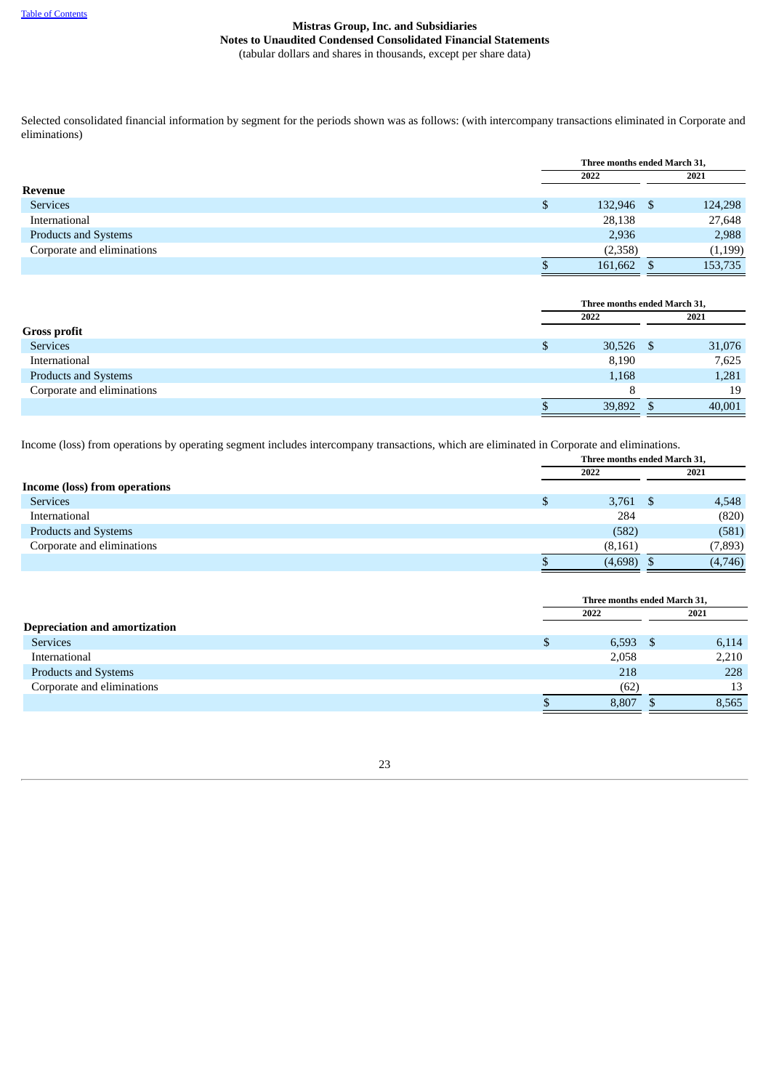Selected consolidated financial information by segment for the periods shown was as follows: (with intercompany transactions eliminated in Corporate and eliminations)

|                             |   | Three months ended March 31, |  |         |
|-----------------------------|---|------------------------------|--|---------|
|                             |   | 2022                         |  | 2021    |
| Revenue                     |   |                              |  |         |
| <b>Services</b>             | Ф | 132,946 \$                   |  | 124,298 |
| International               |   | 28,138                       |  | 27,648  |
| <b>Products and Systems</b> |   | 2,936                        |  | 2,988   |
| Corporate and eliminations  |   | (2,358)                      |  | (1,199) |
|                             |   | 161,662                      |  | 153,735 |

|                            | Three months ended March 31, |  |        |  |
|----------------------------|------------------------------|--|--------|--|
|                            | 2022                         |  | 2021   |  |
| <b>Gross profit</b>        |                              |  |        |  |
| <b>Services</b>            | \$<br>$30,526$ \$            |  | 31,076 |  |
| International              | 8,190                        |  | 7,625  |  |
| Products and Systems       | 1,168                        |  | 1,281  |  |
| Corporate and eliminations |                              |  | 19     |  |
|                            | 39,892                       |  | 40,001 |  |

Income (loss) from operations by operating segment includes intercompany transactions, which are eliminated in Corporate and eliminations.

| Three months ended March 31, |  |  |  |
|------------------------------|--|--|--|
| 2021                         |  |  |  |
|                              |  |  |  |
| $3,761$ \$<br>4,548          |  |  |  |
| (820)                        |  |  |  |
| (581)                        |  |  |  |
| (7, 893)                     |  |  |  |
| (4,746)                      |  |  |  |
|                              |  |  |  |

|                                      | Three months ended March 31, |  |       |
|--------------------------------------|------------------------------|--|-------|
|                                      | 2022                         |  | 2021  |
| <b>Depreciation and amortization</b> |                              |  |       |
| <b>Services</b>                      | $6,593$ \$                   |  | 6,114 |
| International                        | 2,058                        |  | 2,210 |
| Products and Systems                 | 218                          |  | 228   |
| Corporate and eliminations           | (62)                         |  | 13    |
|                                      | 8,807                        |  | 8,565 |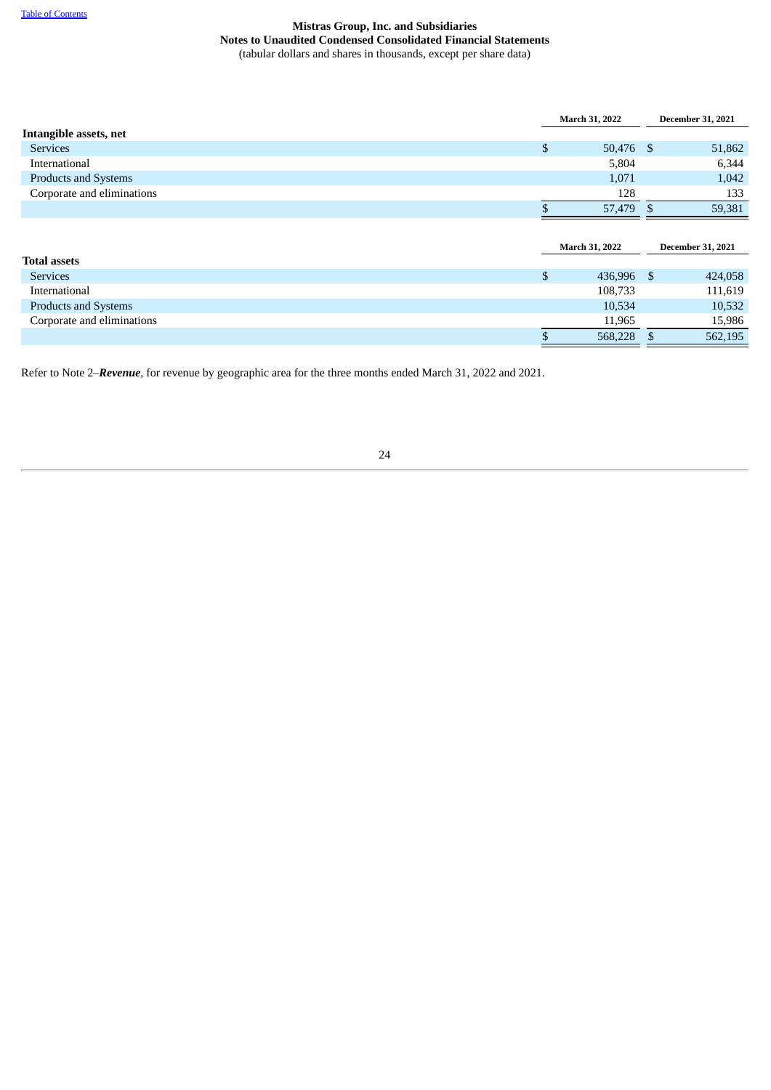|                             |    | March 31, 2022        |  |                          |  |  |  |  |  |  |  | <b>December 31, 2021</b> |
|-----------------------------|----|-----------------------|--|--------------------------|--|--|--|--|--|--|--|--------------------------|
| Intangible assets, net      |    |                       |  |                          |  |  |  |  |  |  |  |                          |
| <b>Services</b>             | \$ | 50,476 \$             |  | 51,862                   |  |  |  |  |  |  |  |                          |
| International               |    | 5,804                 |  | 6,344                    |  |  |  |  |  |  |  |                          |
| <b>Products and Systems</b> |    | 1,071                 |  | 1,042                    |  |  |  |  |  |  |  |                          |
| Corporate and eliminations  |    | 128                   |  | 133                      |  |  |  |  |  |  |  |                          |
|                             |    | 57,479 \$             |  | 59,381                   |  |  |  |  |  |  |  |                          |
|                             |    |                       |  |                          |  |  |  |  |  |  |  |                          |
|                             |    |                       |  |                          |  |  |  |  |  |  |  |                          |
|                             |    | <b>March 31, 2022</b> |  | <b>December 31, 2021</b> |  |  |  |  |  |  |  |                          |
| <b>Total assets</b>         |    |                       |  |                          |  |  |  |  |  |  |  |                          |
| <b>Services</b>             | \$ | 436,996 \$            |  | 424,058                  |  |  |  |  |  |  |  |                          |
| International               |    | 108,733               |  | 111,619                  |  |  |  |  |  |  |  |                          |
| <b>Products and Systems</b> |    | 10,534                |  | 10,532                   |  |  |  |  |  |  |  |                          |
| Corporate and eliminations  |    | 11,965                |  | 15,986                   |  |  |  |  |  |  |  |                          |

<span id="page-26-0"></span>Refer to Note 2*–Revenue,* for revenue by geographic area for the three months ended March 31, 2022 and 2021.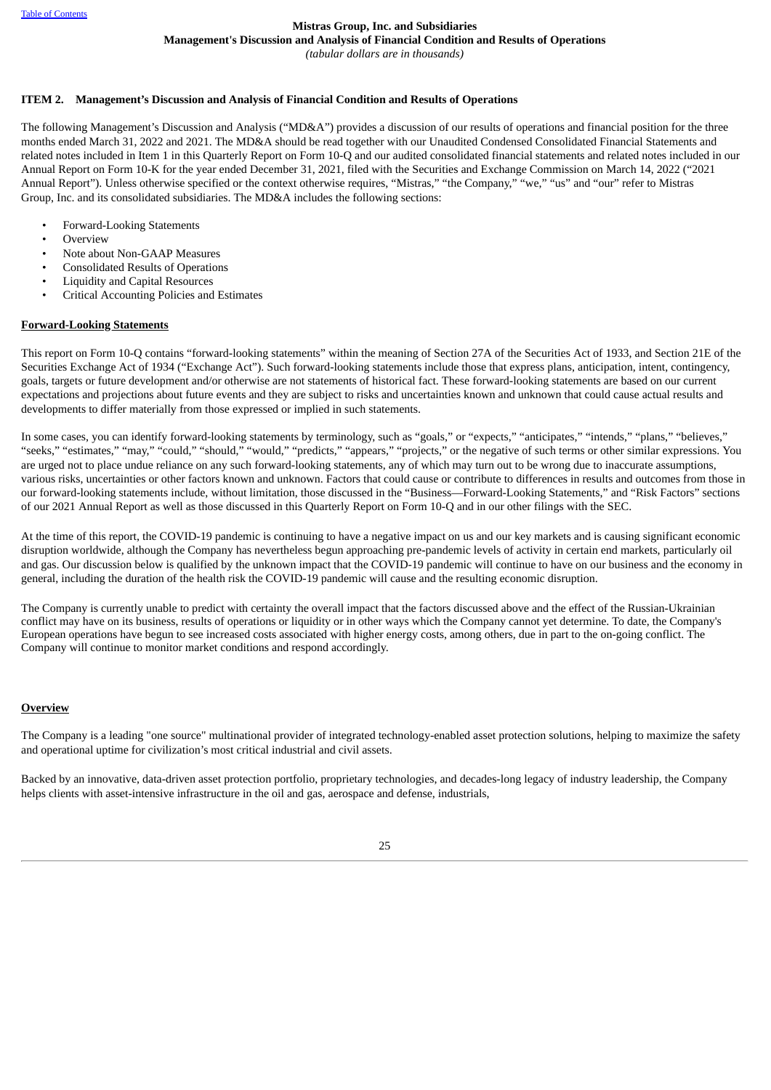## **Mistras Group, Inc. and Subsidiaries**

**Management's Discussion and Analysis of Financial Condition and Results of Operations**

*(tabular dollars are in thousands)*

#### **ITEM 2. Management's Discussion and Analysis of Financial Condition and Results of Operations**

The following Management's Discussion and Analysis ("MD&A") provides a discussion of our results of operations and financial position for the three months ended March 31, 2022 and 2021. The MD&A should be read together with our Unaudited Condensed Consolidated Financial Statements and related notes included in Item 1 in this Quarterly Report on Form 10-Q and our audited consolidated financial statements and related notes included in our Annual Report on Form 10-K for the year ended December 31, 2021, filed with the Securities and Exchange Commission on March 14, 2022 ("2021 Annual Report"). Unless otherwise specified or the context otherwise requires, "Mistras," "the Company," "we," "us" and "our" refer to Mistras Group, Inc. and its consolidated subsidiaries. The MD&A includes the following sections:

- Forward-Looking Statements
- **Overview**
- Note about Non-GAAP Measures
- Consolidated Results of Operations
- Liquidity and Capital Resources
- Critical Accounting Policies and Estimates

#### **Forward-Looking Statements**

This report on Form 10-Q contains "forward-looking statements" within the meaning of Section 27A of the Securities Act of 1933, and Section 21E of the Securities Exchange Act of 1934 ("Exchange Act"). Such forward-looking statements include those that express plans, anticipation, intent, contingency, goals, targets or future development and/or otherwise are not statements of historical fact. These forward-looking statements are based on our current expectations and projections about future events and they are subject to risks and uncertainties known and unknown that could cause actual results and developments to differ materially from those expressed or implied in such statements.

In some cases, you can identify forward-looking statements by terminology, such as "goals," or "expects," "anticipates," "intends," "plans," "believes," "seeks," "estimates," "may," "could," "should," "would," "predicts," "appears," "projects," or the negative of such terms or other similar expressions. You are urged not to place undue reliance on any such forward-looking statements, any of which may turn out to be wrong due to inaccurate assumptions, various risks, uncertainties or other factors known and unknown. Factors that could cause or contribute to differences in results and outcomes from those in our forward-looking statements include, without limitation, those discussed in the "Business—Forward-Looking Statements," and "Risk Factors" sections of our 2021 Annual Report as well as those discussed in this Quarterly Report on Form 10-Q and in our other filings with the SEC.

At the time of this report, the COVID-19 pandemic is continuing to have a negative impact on us and our key markets and is causing significant economic disruption worldwide, although the Company has nevertheless begun approaching pre-pandemic levels of activity in certain end markets, particularly oil and gas. Our discussion below is qualified by the unknown impact that the COVID-19 pandemic will continue to have on our business and the economy in general, including the duration of the health risk the COVID-19 pandemic will cause and the resulting economic disruption.

The Company is currently unable to predict with certainty the overall impact that the factors discussed above and the effect of the Russian-Ukrainian conflict may have on its business, results of operations or liquidity or in other ways which the Company cannot yet determine. To date, the Company's European operations have begun to see increased costs associated with higher energy costs, among others, due in part to the on-going conflict. The Company will continue to monitor market conditions and respond accordingly.

#### **Overview**

The Company is a leading "one source" multinational provider of integrated technology-enabled asset protection solutions, helping to maximize the safety and operational uptime for civilization's most critical industrial and civil assets.

Backed by an innovative, data-driven asset protection portfolio, proprietary technologies, and decades-long legacy of industry leadership, the Company helps clients with asset-intensive infrastructure in the oil and gas, aerospace and defense, industrials,

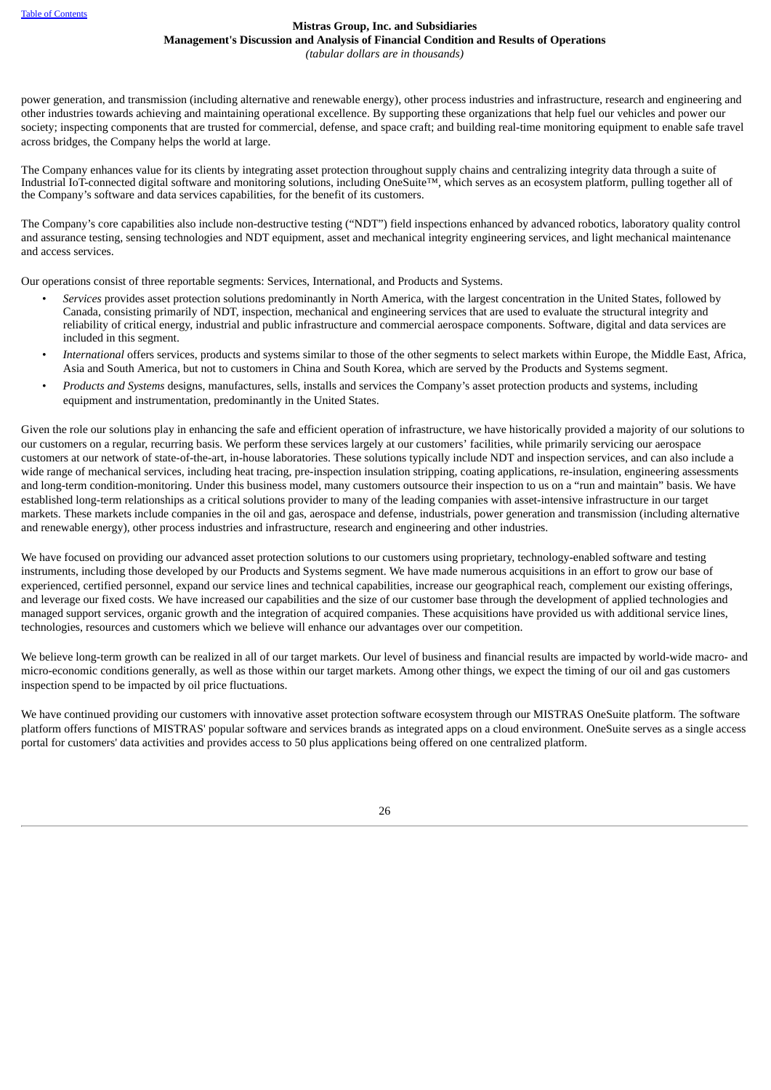power generation, and transmission (including alternative and renewable energy), other process industries and infrastructure, research and engineering and other industries towards achieving and maintaining operational excellence. By supporting these organizations that help fuel our vehicles and power our society; inspecting components that are trusted for commercial, defense, and space craft; and building real-time monitoring equipment to enable safe travel across bridges, the Company helps the world at large.

The Company enhances value for its clients by integrating asset protection throughout supply chains and centralizing integrity data through a suite of Industrial IoT-connected digital software and monitoring solutions, including OneSuite™, which serves as an ecosystem platform, pulling together all of the Company's software and data services capabilities, for the benefit of its customers.

The Company's core capabilities also include non-destructive testing ("NDT") field inspections enhanced by advanced robotics, laboratory quality control and assurance testing, sensing technologies and NDT equipment, asset and mechanical integrity engineering services, and light mechanical maintenance and access services.

Our operations consist of three reportable segments: Services, International, and Products and Systems.

- *Services* provides asset protection solutions predominantly in North America, with the largest concentration in the United States, followed by Canada, consisting primarily of NDT, inspection, mechanical and engineering services that are used to evaluate the structural integrity and reliability of critical energy, industrial and public infrastructure and commercial aerospace components. Software, digital and data services are included in this segment.
- *International* offers services, products and systems similar to those of the other segments to select markets within Europe, the Middle East, Africa, Asia and South America, but not to customers in China and South Korea, which are served by the Products and Systems segment.
- *Products and Systems* designs, manufactures, sells, installs and services the Company's asset protection products and systems, including equipment and instrumentation, predominantly in the United States.

Given the role our solutions play in enhancing the safe and efficient operation of infrastructure, we have historically provided a majority of our solutions to our customers on a regular, recurring basis. We perform these services largely at our customers' facilities, while primarily servicing our aerospace customers at our network of state-of-the-art, in-house laboratories. These solutions typically include NDT and inspection services, and can also include a wide range of mechanical services, including heat tracing, pre-inspection insulation stripping, coating applications, re-insulation, engineering assessments and long-term condition-monitoring. Under this business model, many customers outsource their inspection to us on a "run and maintain" basis. We have established long-term relationships as a critical solutions provider to many of the leading companies with asset-intensive infrastructure in our target markets. These markets include companies in the oil and gas, aerospace and defense, industrials, power generation and transmission (including alternative and renewable energy), other process industries and infrastructure, research and engineering and other industries.

We have focused on providing our advanced asset protection solutions to our customers using proprietary, technology-enabled software and testing instruments, including those developed by our Products and Systems segment. We have made numerous acquisitions in an effort to grow our base of experienced, certified personnel, expand our service lines and technical capabilities, increase our geographical reach, complement our existing offerings, and leverage our fixed costs. We have increased our capabilities and the size of our customer base through the development of applied technologies and managed support services, organic growth and the integration of acquired companies. These acquisitions have provided us with additional service lines, technologies, resources and customers which we believe will enhance our advantages over our competition.

We believe long-term growth can be realized in all of our target markets. Our level of business and financial results are impacted by world-wide macro- and micro-economic conditions generally, as well as those within our target markets. Among other things, we expect the timing of our oil and gas customers inspection spend to be impacted by oil price fluctuations.

We have continued providing our customers with innovative asset protection software ecosystem through our MISTRAS OneSuite platform. The software platform offers functions of MISTRAS' popular software and services brands as integrated apps on a cloud environment. OneSuite serves as a single access portal for customers' data activities and provides access to 50 plus applications being offered on one centralized platform.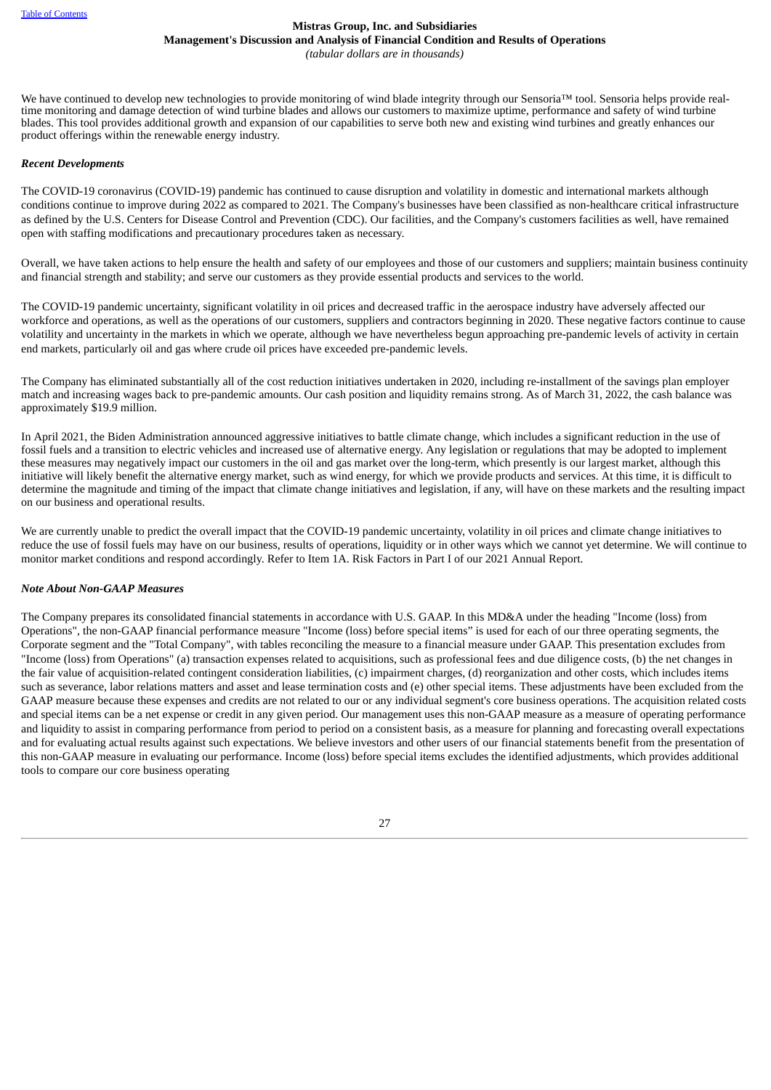We have continued to develop new technologies to provide monitoring of wind blade integrity through our Sensoria™ tool. Sensoria helps provide realtime monitoring and damage detection of wind turbine blades and allows our customers to maximize uptime, performance and safety of wind turbine blades. This tool provides additional growth and expansion of our capabilities to serve both new and existing wind turbines and greatly enhances our product offerings within the renewable energy industry.

## *Recent Developments*

The COVID-19 coronavirus (COVID-19) pandemic has continued to cause disruption and volatility in domestic and international markets although conditions continue to improve during 2022 as compared to 2021. The Company's businesses have been classified as non-healthcare critical infrastructure as defined by the U.S. Centers for Disease Control and Prevention (CDC). Our facilities, and the Company's customers facilities as well, have remained open with staffing modifications and precautionary procedures taken as necessary.

Overall, we have taken actions to help ensure the health and safety of our employees and those of our customers and suppliers; maintain business continuity and financial strength and stability; and serve our customers as they provide essential products and services to the world.

The COVID-19 pandemic uncertainty, significant volatility in oil prices and decreased traffic in the aerospace industry have adversely affected our workforce and operations, as well as the operations of our customers, suppliers and contractors beginning in 2020. These negative factors continue to cause volatility and uncertainty in the markets in which we operate, although we have nevertheless begun approaching pre-pandemic levels of activity in certain end markets, particularly oil and gas where crude oil prices have exceeded pre-pandemic levels.

The Company has eliminated substantially all of the cost reduction initiatives undertaken in 2020, including re-installment of the savings plan employer match and increasing wages back to pre-pandemic amounts. Our cash position and liquidity remains strong. As of March 31, 2022, the cash balance was approximately \$19.9 million.

In April 2021, the Biden Administration announced aggressive initiatives to battle climate change, which includes a significant reduction in the use of fossil fuels and a transition to electric vehicles and increased use of alternative energy. Any legislation or regulations that may be adopted to implement these measures may negatively impact our customers in the oil and gas market over the long-term, which presently is our largest market, although this initiative will likely benefit the alternative energy market, such as wind energy, for which we provide products and services. At this time, it is difficult to determine the magnitude and timing of the impact that climate change initiatives and legislation, if any, will have on these markets and the resulting impact on our business and operational results.

We are currently unable to predict the overall impact that the COVID-19 pandemic uncertainty, volatility in oil prices and climate change initiatives to reduce the use of fossil fuels may have on our business, results of operations, liquidity or in other ways which we cannot yet determine. We will continue to monitor market conditions and respond accordingly. Refer to Item 1A. Risk Factors in Part I of our 2021 Annual Report.

## *Note About Non-GAAP Measures*

The Company prepares its consolidated financial statements in accordance with U.S. GAAP. In this MD&A under the heading "Income (loss) from Operations", the non-GAAP financial performance measure "Income (loss) before special items" is used for each of our three operating segments, the Corporate segment and the "Total Company", with tables reconciling the measure to a financial measure under GAAP. This presentation excludes from "Income (loss) from Operations" (a) transaction expenses related to acquisitions, such as professional fees and due diligence costs, (b) the net changes in the fair value of acquisition-related contingent consideration liabilities, (c) impairment charges, (d) reorganization and other costs, which includes items such as severance, labor relations matters and asset and lease termination costs and (e) other special items. These adjustments have been excluded from the GAAP measure because these expenses and credits are not related to our or any individual segment's core business operations. The acquisition related costs and special items can be a net expense or credit in any given period. Our management uses this non-GAAP measure as a measure of operating performance and liquidity to assist in comparing performance from period to period on a consistent basis, as a measure for planning and forecasting overall expectations and for evaluating actual results against such expectations. We believe investors and other users of our financial statements benefit from the presentation of this non-GAAP measure in evaluating our performance. Income (loss) before special items excludes the identified adjustments, which provides additional tools to compare our core business operating

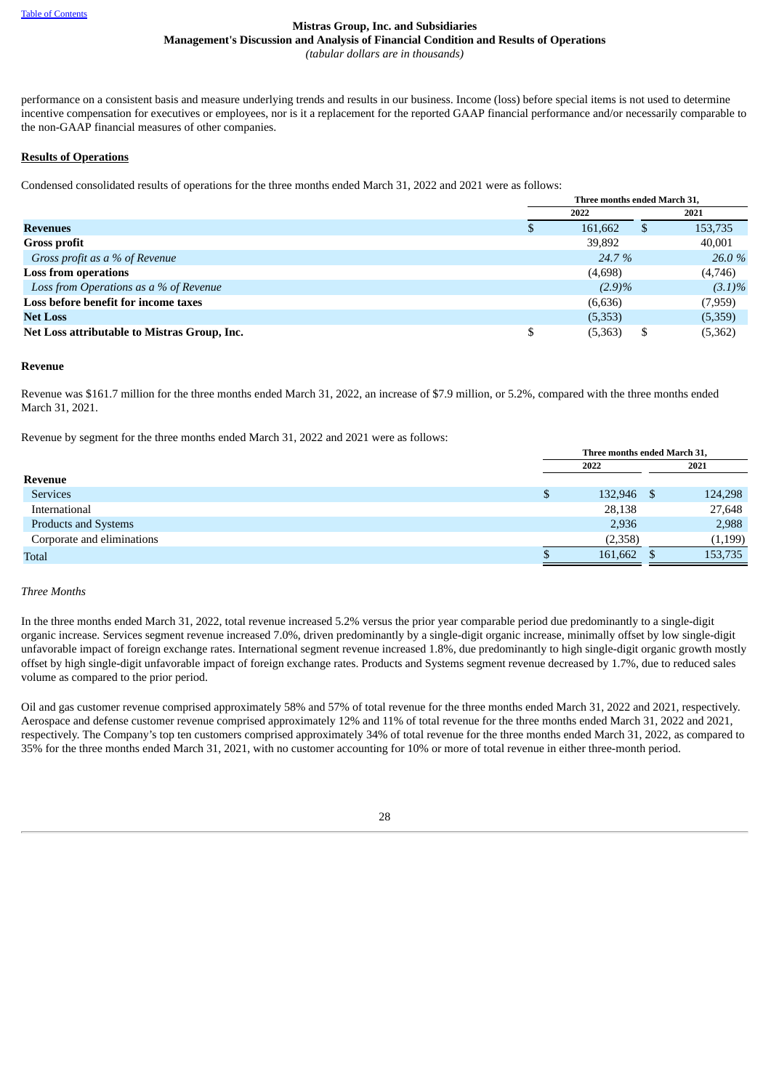## **Mistras Group, Inc. and Subsidiaries Management's Discussion and Analysis of Financial Condition and Results of Operations**

*(tabular dollars are in thousands)*

performance on a consistent basis and measure underlying trends and results in our business. Income (loss) before special items is not used to determine incentive compensation for executives or employees, nor is it a replacement for the reported GAAP financial performance and/or necessarily comparable to the non-GAAP financial measures of other companies.

## **Results of Operations**

Condensed consolidated results of operations for the three months ended March 31, 2022 and 2021 were as follows:

|                                              |     | Three months ended March 31, |    |           |  |  |
|----------------------------------------------|-----|------------------------------|----|-----------|--|--|
|                                              |     | 2022                         |    | 2021      |  |  |
| <b>Revenues</b>                              | \$. | 161,662                      | \$ | 153,735   |  |  |
| <b>Gross profit</b>                          |     | 39,892                       |    | 40,001    |  |  |
| Gross profit as a % of Revenue               |     | 24.7 %                       |    | 26.0 %    |  |  |
| <b>Loss from operations</b>                  |     | (4,698)                      |    | (4,746)   |  |  |
| Loss from Operations as a % of Revenue       |     | $(2.9)\%$                    |    | $(3.1)\%$ |  |  |
| Loss before benefit for income taxes         |     | (6,636)                      |    | (7,959)   |  |  |
| <b>Net Loss</b>                              |     | (5,353)                      |    | (5,359)   |  |  |
| Net Loss attributable to Mistras Group, Inc. | \$  | (5,363)                      | S  | (5,362)   |  |  |

## **Revenue**

Revenue was \$161.7 million for the three months ended March 31, 2022, an increase of \$7.9 million, or 5.2%, compared with the three months ended March 31, 2021.

Revenue by segment for the three months ended March 31, 2022 and 2021 were as follows:

|                            | Three months ended March 31,<br>2021<br>2022 |            |  |         |
|----------------------------|----------------------------------------------|------------|--|---------|
|                            |                                              |            |  |         |
| Revenue                    |                                              |            |  |         |
| <b>Services</b>            | \$                                           | 132,946 \$ |  | 124,298 |
| International              |                                              | 28,138     |  | 27,648  |
| Products and Systems       |                                              | 2,936      |  | 2,988   |
| Corporate and eliminations |                                              | (2,358)    |  | (1,199) |
| <b>Total</b>               |                                              | 161,662    |  | 153,735 |

#### *Three Months*

In the three months ended March 31, 2022, total revenue increased 5.2% versus the prior year comparable period due predominantly to a single-digit organic increase. Services segment revenue increased 7.0%, driven predominantly by a single-digit organic increase, minimally offset by low single-digit unfavorable impact of foreign exchange rates. International segment revenue increased 1.8%, due predominantly to high single-digit organic growth mostly offset by high single-digit unfavorable impact of foreign exchange rates. Products and Systems segment revenue decreased by 1.7%, due to reduced sales volume as compared to the prior period.

Oil and gas customer revenue comprised approximately 58% and 57% of total revenue for the three months ended March 31, 2022 and 2021, respectively. Aerospace and defense customer revenue comprised approximately 12% and 11% of total revenue for the three months ended March 31, 2022 and 2021, respectively. The Company's top ten customers comprised approximately 34% of total revenue for the three months ended March 31, 2022, as compared to 35% for the three months ended March 31, 2021, with no customer accounting for 10% or more of total revenue in either three-month period.

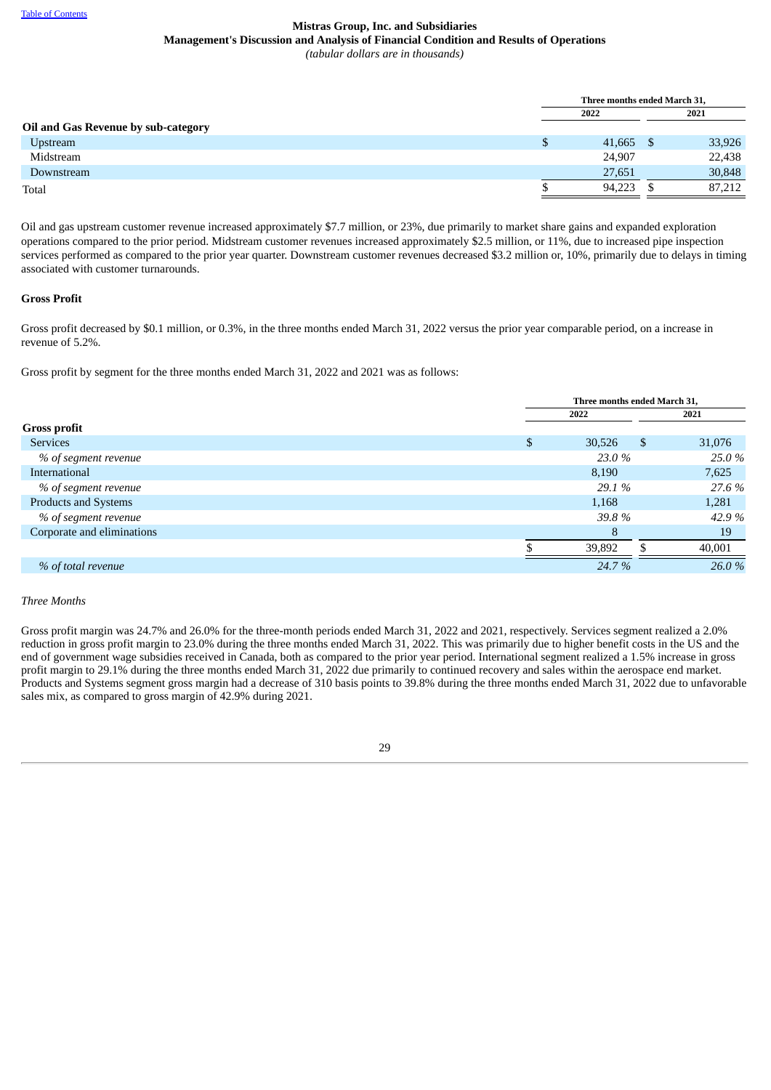|                                     | Three months ended March 31, |  |        |  |
|-------------------------------------|------------------------------|--|--------|--|
|                                     | 2022                         |  | 2021   |  |
| Oil and Gas Revenue by sub-category |                              |  |        |  |
| <b>Upstream</b>                     | \$<br>$41,665$ \$            |  | 33,926 |  |
| Midstream                           | 24,907                       |  | 22,438 |  |
| Downstream                          | 27,651                       |  | 30,848 |  |
| Total                               | 94,223                       |  | 87,212 |  |

Oil and gas upstream customer revenue increased approximately \$7.7 million, or 23%, due primarily to market share gains and expanded exploration operations compared to the prior period. Midstream customer revenues increased approximately \$2.5 million, or 11%, due to increased pipe inspection services performed as compared to the prior year quarter. Downstream customer revenues decreased \$3.2 million or, 10%, primarily due to delays in timing associated with customer turnarounds.

## **Gross Profit**

Gross profit decreased by \$0.1 million, or 0.3%, in the three months ended March 31, 2022 versus the prior year comparable period, on a increase in revenue of 5.2%.

Gross profit by segment for the three months ended March 31, 2022 and 2021 was as follows:

|                             | Three months ended March 31, |    |        |  |
|-----------------------------|------------------------------|----|--------|--|
|                             | 2022<br>2021                 |    |        |  |
| <b>Gross profit</b>         |                              |    |        |  |
| <b>Services</b>             | \$<br>30,526                 | \$ | 31,076 |  |
| % of segment revenue        | 23.0 %                       |    | 25.0 % |  |
| International               | 8,190                        |    | 7,625  |  |
| % of segment revenue        | 29.1 %                       |    | 27.6 % |  |
| <b>Products and Systems</b> | 1,168                        |    | 1,281  |  |
| % of segment revenue        | 39.8%                        |    | 42.9%  |  |
| Corporate and eliminations  | 8                            |    | 19     |  |
|                             | 39,892                       |    | 40,001 |  |
| % of total revenue          | 24.7 %                       |    | 26.0 % |  |

## *Three Months*

Gross profit margin was 24.7% and 26.0% for the three-month periods ended March 31, 2022 and 2021, respectively. Services segment realized a 2.0% reduction in gross profit margin to 23.0% during the three months ended March 31, 2022. This was primarily due to higher benefit costs in the US and the end of government wage subsidies received in Canada, both as compared to the prior year period. International segment realized a 1.5% increase in gross profit margin to 29.1% during the three months ended March 31, 2022 due primarily to continued recovery and sales within the aerospace end market. Products and Systems segment gross margin had a decrease of 310 basis points to 39.8% during the three months ended March 31, 2022 due to unfavorable sales mix, as compared to gross margin of 42.9% during 2021.

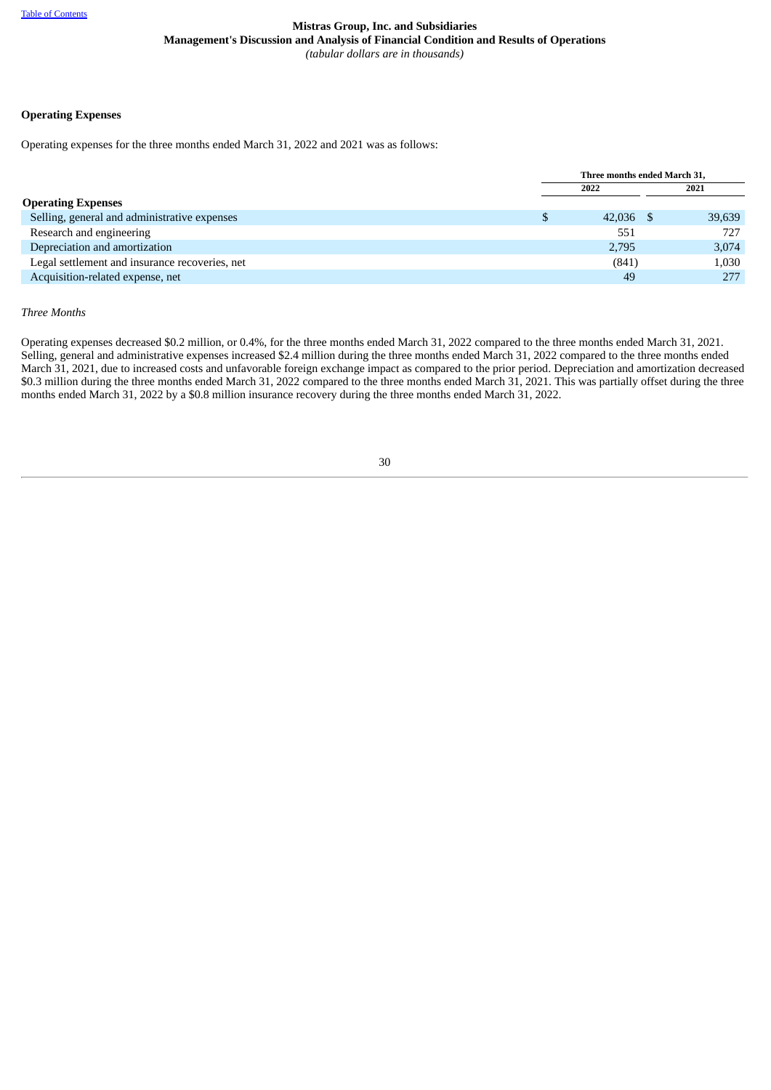## **Operating Expenses**

Operating expenses for the three months ended March 31, 2022 and 2021 was as follows:

|                                                | Three months ended March 31, |             |  |        |
|------------------------------------------------|------------------------------|-------------|--|--------|
|                                                |                              | 2022        |  | 2021   |
| <b>Operating Expenses</b>                      |                              |             |  |        |
| Selling, general and administrative expenses   |                              | $42,036$ \$ |  | 39,639 |
| Research and engineering                       |                              | 551         |  | 727    |
| Depreciation and amortization                  |                              | 2,795       |  | 3,074  |
| Legal settlement and insurance recoveries, net |                              | (841)       |  | 1,030  |
| Acquisition-related expense, net               |                              | 49          |  | 277    |

## *Three Months*

Operating expenses decreased \$0.2 million, or 0.4%, for the three months ended March 31, 2022 compared to the three months ended March 31, 2021. Selling, general and administrative expenses increased \$2.4 million during the three months ended March 31, 2022 compared to the three months ended March 31, 2021, due to increased costs and unfavorable foreign exchange impact as compared to the prior period. Depreciation and amortization decreased \$0.3 million during the three months ended March 31, 2022 compared to the three months ended March 31, 2021. This was partially offset during the three months ended March 31, 2022 by a \$0.8 million insurance recovery during the three months ended March 31, 2022.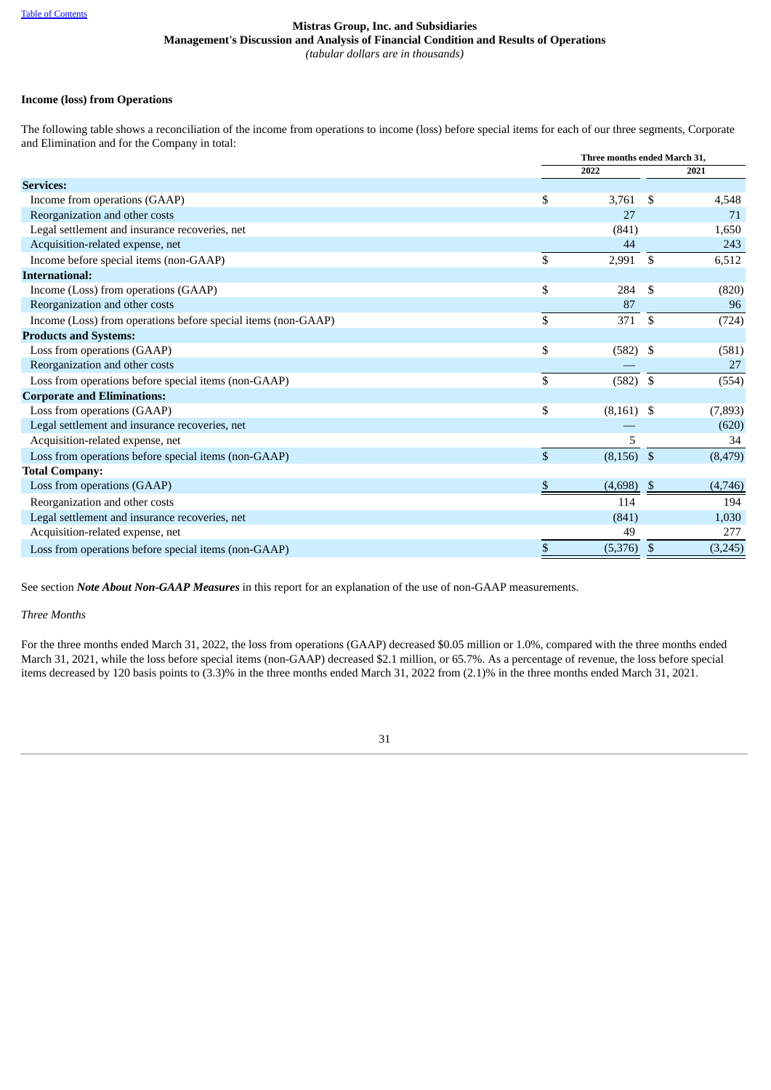## **Income (loss) from Operations**

The following table shows a reconciliation of the income from operations to income (loss) before special items for each of our three segments, Corporate and Elimination and for the Company in total:

|                                                               |              | Three months ended March 31. |                |          |
|---------------------------------------------------------------|--------------|------------------------------|----------------|----------|
|                                                               |              | 2022                         |                | 2021     |
| <b>Services:</b>                                              |              |                              |                |          |
| Income from operations (GAAP)                                 | \$           | 3,761                        | \$             | 4,548    |
| Reorganization and other costs                                |              | 27                           |                | 71       |
| Legal settlement and insurance recoveries, net                |              | (841)                        |                | 1,650    |
| Acquisition-related expense, net                              |              | 44                           |                | 243      |
| Income before special items (non-GAAP)                        | \$           | 2,991                        | \$             | 6,512    |
| <b>International:</b>                                         |              |                              |                |          |
| Income (Loss) from operations (GAAP)                          | \$           | 284                          | \$             | (820)    |
| Reorganization and other costs                                |              | 87                           |                | 96       |
| Income (Loss) from operations before special items (non-GAAP) | \$           | 371                          | $\mathbf{\$}$  | (724)    |
| <b>Products and Systems:</b>                                  |              |                              |                |          |
| Loss from operations (GAAP)                                   | \$           | (582)                        | \$             | (581)    |
| Reorganization and other costs                                |              |                              |                | 27       |
| Loss from operations before special items (non-GAAP)          | \$           | $(582)$ \$                   |                | (554)    |
| <b>Corporate and Eliminations:</b>                            |              |                              |                |          |
| Loss from operations (GAAP)                                   | \$           | $(8,161)$ \$                 |                | (7, 893) |
| Legal settlement and insurance recoveries, net                |              |                              |                | (620)    |
| Acquisition-related expense, net                              |              | 5                            |                | 34       |
| Loss from operations before special items (non-GAAP)          | $\mathbb{S}$ | (8, 156)                     | $\mathfrak{S}$ | (8, 479) |
| <b>Total Company:</b>                                         |              |                              |                |          |
| Loss from operations (GAAP)                                   | S            | (4,698)                      | -S             | (4,746)  |
| Reorganization and other costs                                |              | 114                          |                | 194      |
| Legal settlement and insurance recoveries, net                |              | (841)                        |                | 1,030    |
| Acquisition-related expense, net                              |              | 49                           |                | 277      |
| Loss from operations before special items (non-GAAP)          | \$           | (5, 376)                     | \$             | (3,245)  |
|                                                               |              |                              |                |          |

See section *Note About Non-GAAP Measures* in this report for an explanation of the use of non-GAAP measurements.

## *Three Months*

For the three months ended March 31, 2022, the loss from operations (GAAP) decreased \$0.05 million or 1.0%, compared with the three months ended March 31, 2021, while the loss before special items (non-GAAP) decreased \$2.1 million, or 65.7%. As a percentage of revenue, the loss before special items decreased by 120 basis points to (3.3)% in the three months ended March 31, 2022 from (2.1)% in the three months ended March 31, 2021.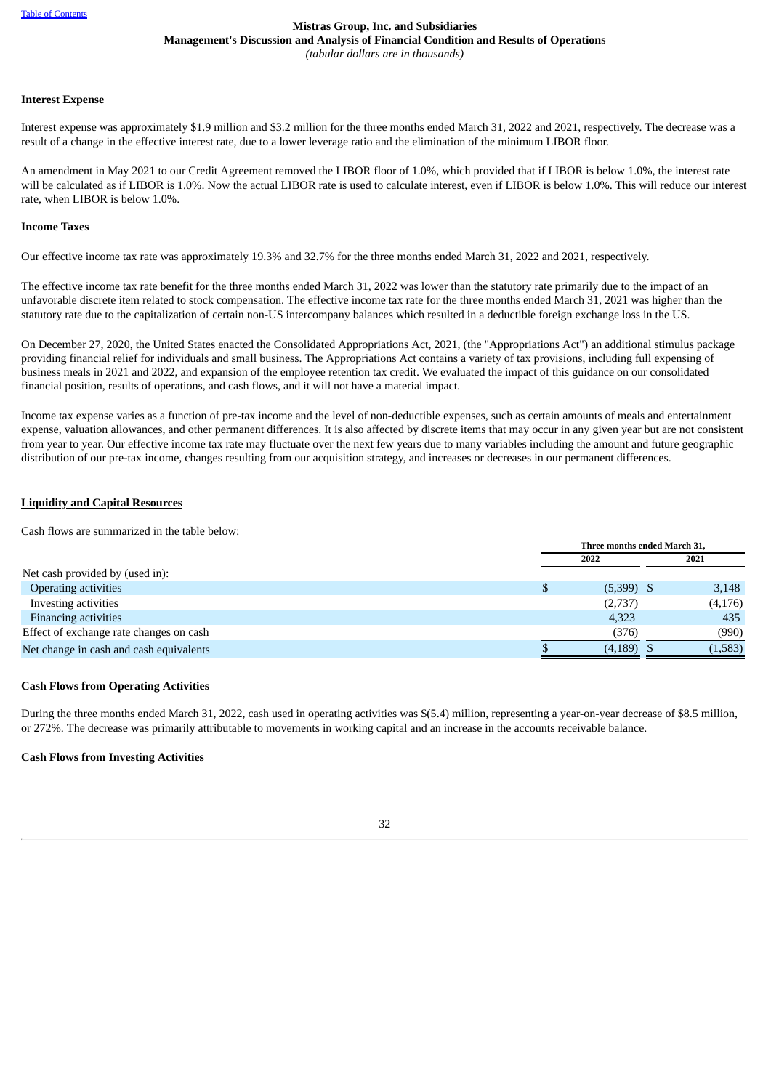## **Mistras Group, Inc. and Subsidiaries Management's Discussion and Analysis of Financial Condition and Results of Operations**

*(tabular dollars are in thousands)*

#### **Interest Expense**

Interest expense was approximately \$1.9 million and \$3.2 million for the three months ended March 31, 2022 and 2021, respectively. The decrease was a result of a change in the effective interest rate, due to a lower leverage ratio and the elimination of the minimum LIBOR floor.

An amendment in May 2021 to our Credit Agreement removed the LIBOR floor of 1.0%, which provided that if LIBOR is below 1.0%, the interest rate will be calculated as if LIBOR is 1.0%. Now the actual LIBOR rate is used to calculate interest, even if LIBOR is below 1.0%. This will reduce our interest rate, when LIBOR is below 1.0%.

## **Income Taxes**

Our effective income tax rate was approximately 19.3% and 32.7% for the three months ended March 31, 2022 and 2021, respectively.

The effective income tax rate benefit for the three months ended March 31, 2022 was lower than the statutory rate primarily due to the impact of an unfavorable discrete item related to stock compensation. The effective income tax rate for the three months ended March 31, 2021 was higher than the statutory rate due to the capitalization of certain non-US intercompany balances which resulted in a deductible foreign exchange loss in the US.

On December 27, 2020, the United States enacted the Consolidated Appropriations Act, 2021, (the "Appropriations Act") an additional stimulus package providing financial relief for individuals and small business. The Appropriations Act contains a variety of tax provisions, including full expensing of business meals in 2021 and 2022, and expansion of the employee retention tax credit. We evaluated the impact of this guidance on our consolidated financial position, results of operations, and cash flows, and it will not have a material impact.

Income tax expense varies as a function of pre-tax income and the level of non-deductible expenses, such as certain amounts of meals and entertainment expense, valuation allowances, and other permanent differences. It is also affected by discrete items that may occur in any given year but are not consistent from year to year. Our effective income tax rate may fluctuate over the next few years due to many variables including the amount and future geographic distribution of our pre-tax income, changes resulting from our acquisition strategy, and increases or decreases in our permanent differences.

## **Liquidity and Capital Resources**

Cash flows are summarized in the table below:

|                                         | Three months ended March 31. |              |  |         |
|-----------------------------------------|------------------------------|--------------|--|---------|
|                                         |                              | 2022         |  | 2021    |
| Net cash provided by (used in):         |                              |              |  |         |
| <b>Operating activities</b>             | \$                           | $(5,399)$ \$ |  | 3,148   |
| Investing activities                    |                              | (2,737)      |  | (4,176) |
| <b>Financing activities</b>             |                              | 4,323        |  | 435     |
| Effect of exchange rate changes on cash |                              | (376)        |  | (990)   |
| Net change in cash and cash equivalents |                              | $(4,189)$ \$ |  | (1,583) |

## **Cash Flows from Operating Activities**

During the three months ended March 31, 2022, cash used in operating activities was \$(5.4) million, representing a year-on-year decrease of \$8.5 million, or 272%. The decrease was primarily attributable to movements in working capital and an increase in the accounts receivable balance.

## **Cash Flows from Investing Activities**

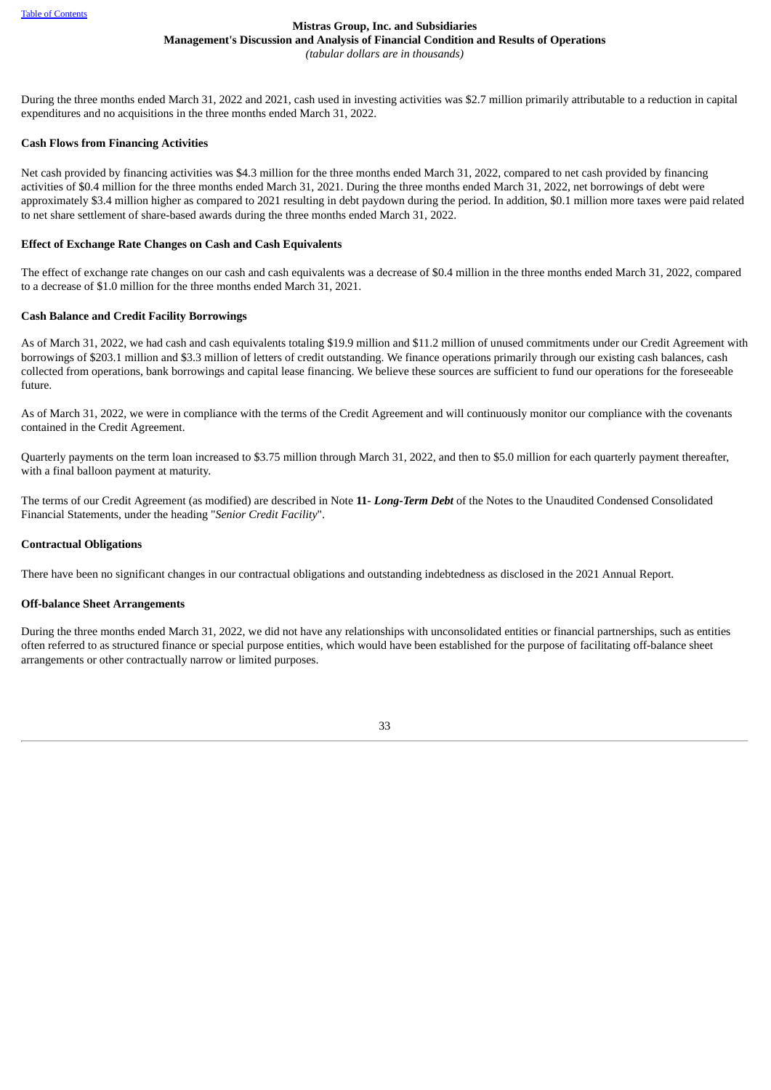# **Mistras Group, Inc. and Subsidiaries Management's Discussion and Analysis of Financial Condition and Results of Operations**

*(tabular dollars are in thousands)*

During the three months ended March 31, 2022 and 2021, cash used in investing activities was \$2.7 million primarily attributable to a reduction in capital expenditures and no acquisitions in the three months ended March 31, 2022.

## **Cash Flows from Financing Activities**

Net cash provided by financing activities was \$4.3 million for the three months ended March 31, 2022, compared to net cash provided by financing activities of \$0.4 million for the three months ended March 31, 2021. During the three months ended March 31, 2022, net borrowings of debt were approximately \$3.4 million higher as compared to 2021 resulting in debt paydown during the period. In addition, \$0.1 million more taxes were paid related to net share settlement of share-based awards during the three months ended March 31, 2022.

## **Effect of Exchange Rate Changes on Cash and Cash Equivalents**

The effect of exchange rate changes on our cash and cash equivalents was a decrease of \$0.4 million in the three months ended March 31, 2022, compared to a decrease of \$1.0 million for the three months ended March 31, 2021.

## **Cash Balance and Credit Facility Borrowings**

As of March 31, 2022, we had cash and cash equivalents totaling \$19.9 million and \$11.2 million of unused commitments under our Credit Agreement with borrowings of \$203.1 million and \$3.3 million of letters of credit outstanding. We finance operations primarily through our existing cash balances, cash collected from operations, bank borrowings and capital lease financing. We believe these sources are sufficient to fund our operations for the foreseeable future.

As of March 31, 2022, we were in compliance with the terms of the Credit Agreement and will continuously monitor our compliance with the covenants contained in the Credit Agreement.

Quarterly payments on the term loan increased to \$3.75 million through March 31, 2022, and then to \$5.0 million for each quarterly payment thereafter, with a final balloon payment at maturity.

The terms of our Credit Agreement (as modified) are described in Note **11**- *Long-Term Debt* of the Notes to the Unaudited Condensed Consolidated Financial Statements, under the heading "*Senior Credit Facility*".

## **Contractual Obligations**

There have been no significant changes in our contractual obligations and outstanding indebtedness as disclosed in the 2021 Annual Report.

## **Off-balance Sheet Arrangements**

During the three months ended March 31, 2022, we did not have any relationships with unconsolidated entities or financial partnerships, such as entities often referred to as structured finance or special purpose entities, which would have been established for the purpose of facilitating off-balance sheet arrangements or other contractually narrow or limited purposes.

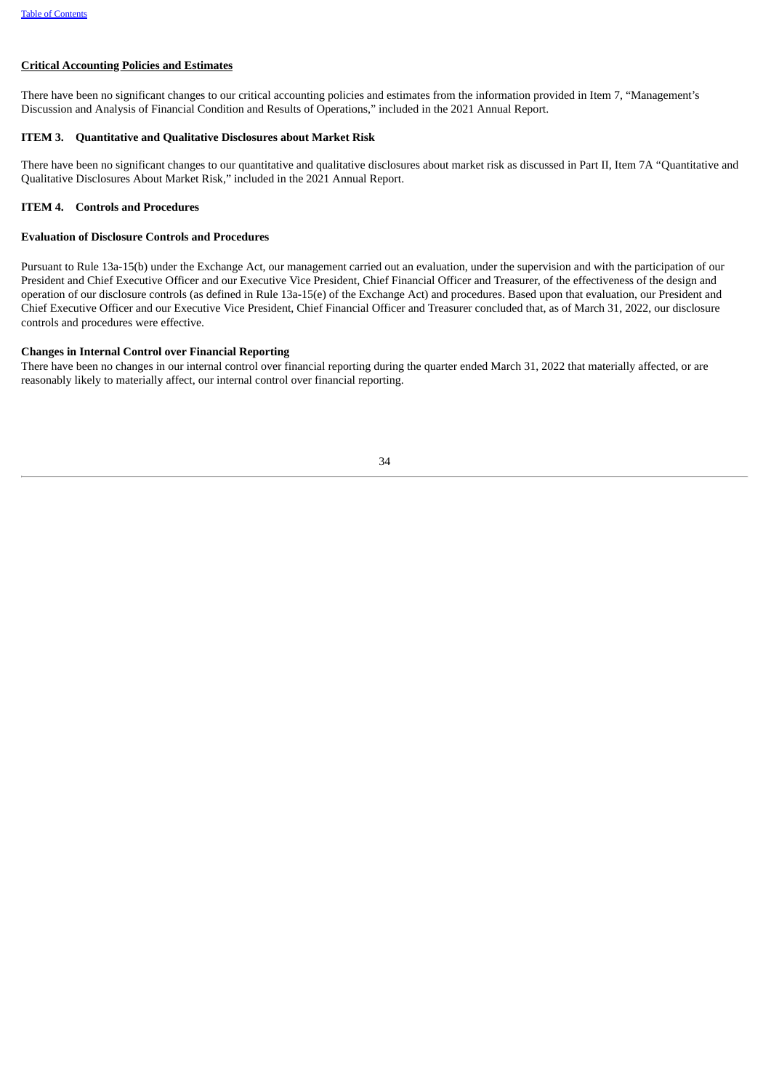## **Critical Accounting Policies and Estimates**

There have been no significant changes to our critical accounting policies and estimates from the information provided in Item 7, "Management's Discussion and Analysis of Financial Condition and Results of Operations," included in the 2021 Annual Report.

#### <span id="page-36-0"></span>**ITEM 3. Quantitative and Qualitative Disclosures about Market Risk**

There have been no significant changes to our quantitative and qualitative disclosures about market risk as discussed in Part II, Item 7A "Quantitative and Qualitative Disclosures About Market Risk," included in the 2021 Annual Report.

## <span id="page-36-1"></span>**ITEM 4. Controls and Procedures**

## **Evaluation of Disclosure Controls and Procedures**

Pursuant to Rule 13a-15(b) under the Exchange Act, our management carried out an evaluation, under the supervision and with the participation of our President and Chief Executive Officer and our Executive Vice President, Chief Financial Officer and Treasurer, of the effectiveness of the design and operation of our disclosure controls (as defined in Rule 13a-15(e) of the Exchange Act) and procedures. Based upon that evaluation, our President and Chief Executive Officer and our Executive Vice President, Chief Financial Officer and Treasurer concluded that, as of March 31, 2022, our disclosure controls and procedures were effective.

## **Changes in Internal Control over Financial Reporting**

<span id="page-36-2"></span>There have been no changes in our internal control over financial reporting during the quarter ended March 31, 2022 that materially affected, or are reasonably likely to materially affect, our internal control over financial reporting.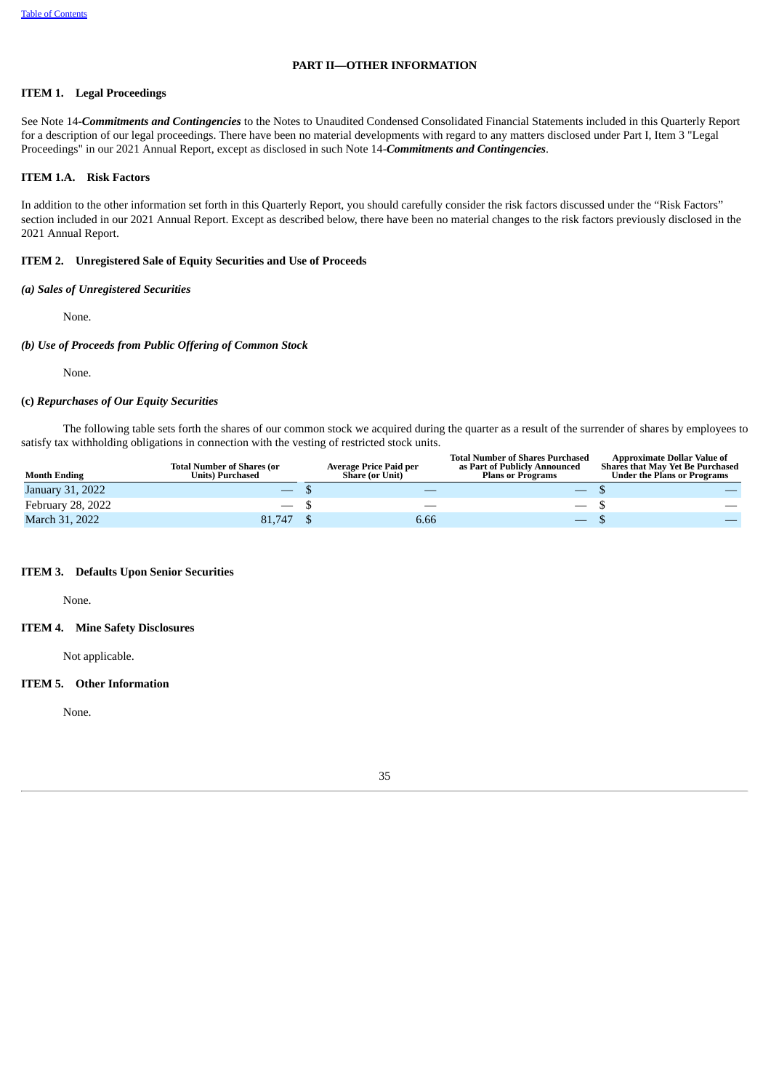## **PART II—OTHER INFORMATION**

## <span id="page-37-0"></span>**ITEM 1. Legal Proceedings**

See Note 14-*Commitments and Contingencies* to the Notes to Unaudited Condensed Consolidated Financial Statements included in this Quarterly Report for a description of our legal proceedings. There have been no material developments with regard to any matters disclosed under Part I, Item 3 "Legal Proceedings" in our 2021 Annual Report, except as disclosed in such Note 14-*Commitments and Contingencies*.

## <span id="page-37-1"></span>**ITEM 1.A. Risk Factors**

In addition to the other information set forth in this Quarterly Report, you should carefully consider the risk factors discussed under the "Risk Factors" section included in our 2021 Annual Report. Except as described below, there have been no material changes to the risk factors previously disclosed in the 2021 Annual Report.

## <span id="page-37-2"></span>**ITEM 2. Unregistered Sale of Equity Securities and Use of Proceeds**

## *(a) Sales of Unregistered Securities*

None.

## *(b) Use of Proceeds from Public Offering of Common Stock*

None.

#### **(c)** *Repurchases of Our Equity Securities*

The following table sets forth the shares of our common stock we acquired during the quarter as a result of the surrender of shares by employees to satisfy tax withholding obligations in connection with the vesting of restricted stock units.

| <b>Month Ending</b> | <b>Total Number of Shares (or</b><br><b>Units) Purchased</b> | Average Price Paid per<br><b>Share (or Unit)</b> | <b>Total Number of Shares Purchased</b><br>as Part of Publicly Announced<br><b>Plans or Programs</b> | <b>Approximate Dollar Value of</b><br><b>Shares that May Yet Be Purchased</b><br><b>Under the Plans or Programs</b> |
|---------------------|--------------------------------------------------------------|--------------------------------------------------|------------------------------------------------------------------------------------------------------|---------------------------------------------------------------------------------------------------------------------|
| January 31, 2022    |                                                              |                                                  |                                                                                                      |                                                                                                                     |
| February 28, 2022   | $-$ S                                                        | __                                               | $\overline{\phantom{a}}$                                                                             |                                                                                                                     |
| March 31, 2022      | 81.747                                                       | 6.66                                             | $\overline{\phantom{0}}$                                                                             |                                                                                                                     |

#### <span id="page-37-3"></span>**ITEM 3. Defaults Upon Senior Securities**

None.

#### <span id="page-37-4"></span>**ITEM 4. Mine Safety Disclosures**

Not applicable.

## <span id="page-37-5"></span>**ITEM 5. Other Information**

<span id="page-37-6"></span>None.

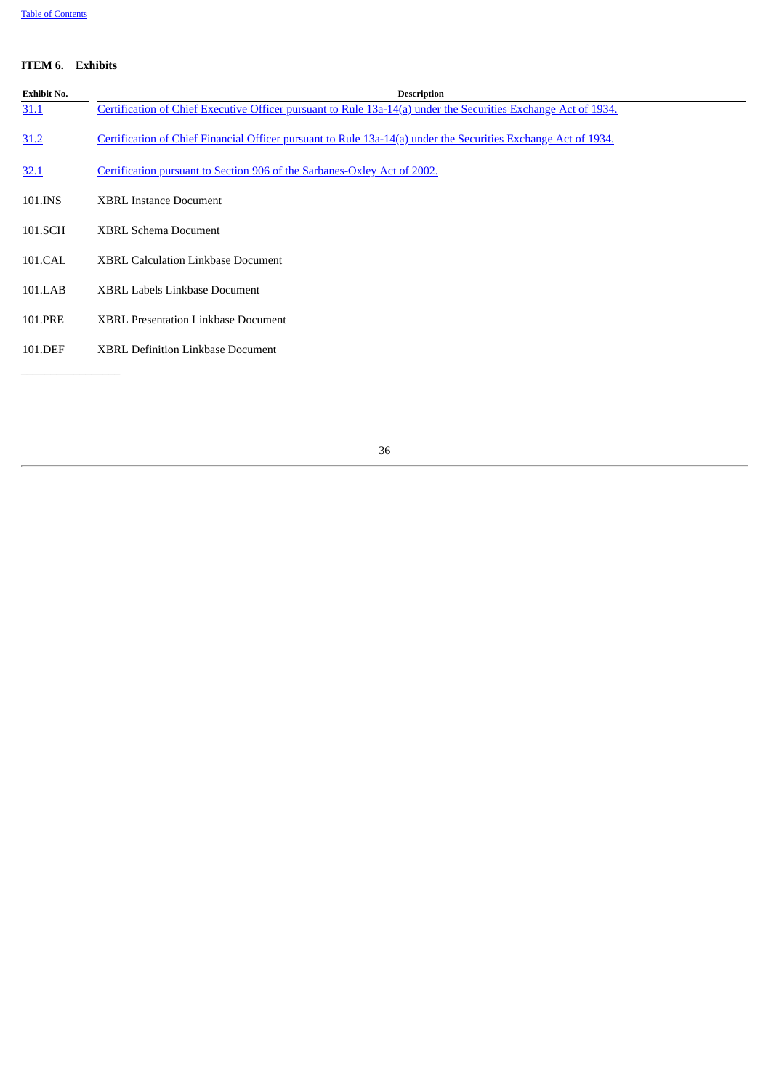## **ITEM 6. Exhibits**

<span id="page-38-0"></span>

| <b>Exhibit No.</b> | <b>Description</b>                                                                                             |
|--------------------|----------------------------------------------------------------------------------------------------------------|
| 31.1               | Certification of Chief Executive Officer pursuant to Rule 13a-14(a) under the Securities Exchange Act of 1934. |
| 31.2               | Certification of Chief Financial Officer pursuant to Rule 13a-14(a) under the Securities Exchange Act of 1934. |
| 32.1               | Certification pursuant to Section 906 of the Sarbanes-Oxley Act of 2002.                                       |
| 101.INS            | <b>XBRL Instance Document</b>                                                                                  |
| 101.SCH            | <b>XBRL Schema Document</b>                                                                                    |
| 101.CAL            | <b>XBRL Calculation Linkbase Document</b>                                                                      |
| 101.LAB            | XBRL Labels Linkbase Document                                                                                  |
| 101.PRE            | <b>XBRL Presentation Linkbase Document</b>                                                                     |
| 101.DEF            | <b>XBRL Definition Linkbase Document</b>                                                                       |
|                    |                                                                                                                |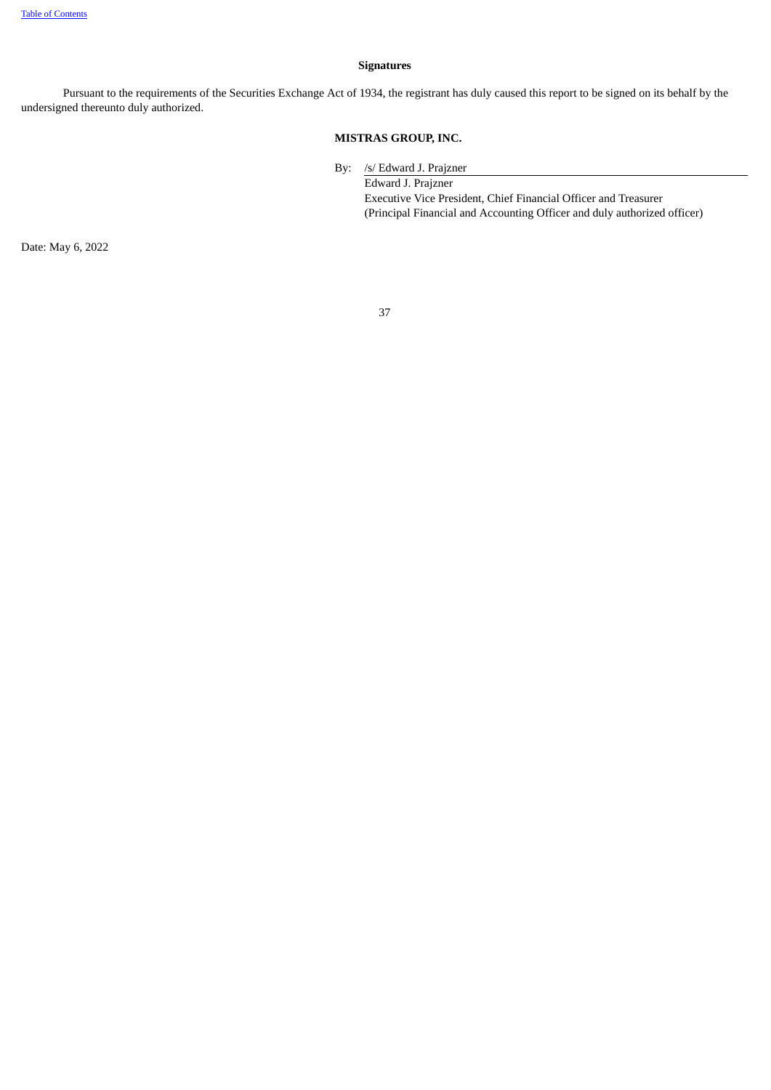## **Signatures**

Pursuant to the requirements of the Securities Exchange Act of 1934, the registrant has duly caused this report to be signed on its behalf by the undersigned thereunto duly authorized.

## **MISTRAS GROUP, INC.**

By: /s/ Edward J. Prajzner

Edward J. Prajzner Executive Vice President, Chief Financial Officer and Treasurer (Principal Financial and Accounting Officer and duly authorized officer)

Date: May 6, 2022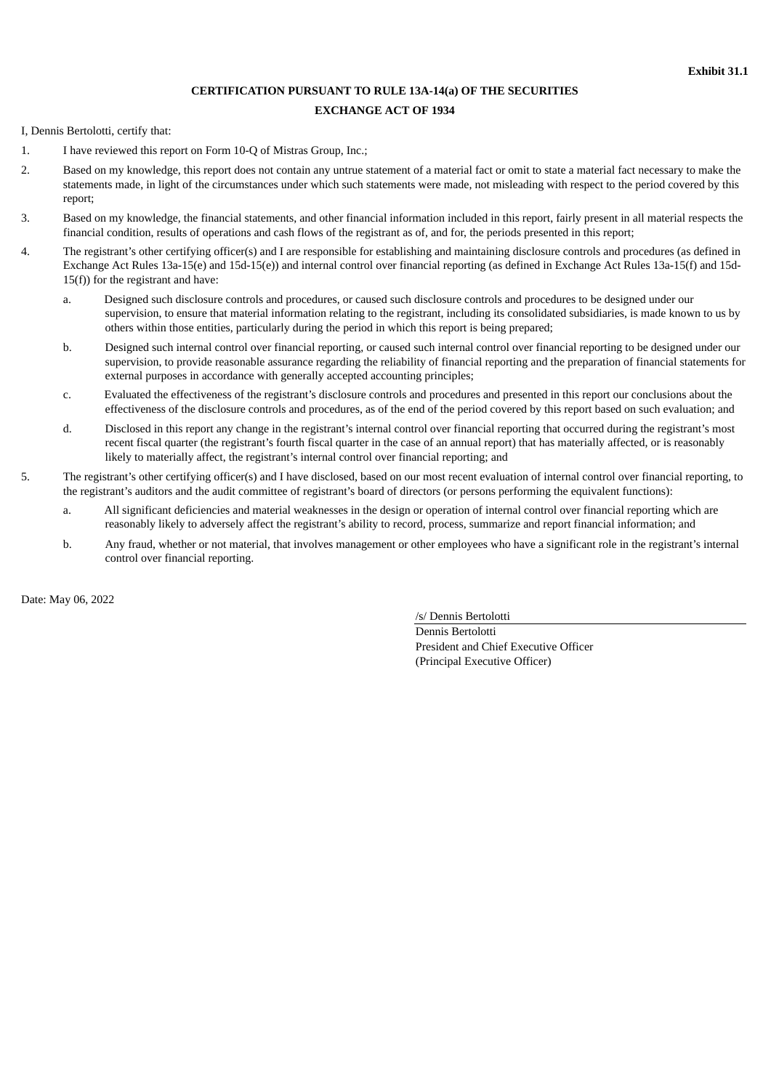# **CERTIFICATION PURSUANT TO RULE 13A-14(a) OF THE SECURITIES EXCHANGE ACT OF 1934**

<span id="page-40-0"></span>I, Dennis Bertolotti, certify that:

- 1. I have reviewed this report on Form 10-Q of Mistras Group, Inc.;
- 2. Based on my knowledge, this report does not contain any untrue statement of a material fact or omit to state a material fact necessary to make the statements made, in light of the circumstances under which such statements were made, not misleading with respect to the period covered by this report;
- 3. Based on my knowledge, the financial statements, and other financial information included in this report, fairly present in all material respects the financial condition, results of operations and cash flows of the registrant as of, and for, the periods presented in this report;
- 4. The registrant's other certifying officer(s) and I are responsible for establishing and maintaining disclosure controls and procedures (as defined in Exchange Act Rules 13a-15(e) and 15d-15(e)) and internal control over financial reporting (as defined in Exchange Act Rules 13a-15(f) and 15d-15(f)) for the registrant and have:
	- a. Designed such disclosure controls and procedures, or caused such disclosure controls and procedures to be designed under our supervision, to ensure that material information relating to the registrant, including its consolidated subsidiaries, is made known to us by others within those entities, particularly during the period in which this report is being prepared;
	- b. Designed such internal control over financial reporting, or caused such internal control over financial reporting to be designed under our supervision, to provide reasonable assurance regarding the reliability of financial reporting and the preparation of financial statements for external purposes in accordance with generally accepted accounting principles;
	- c. Evaluated the effectiveness of the registrant's disclosure controls and procedures and presented in this report our conclusions about the effectiveness of the disclosure controls and procedures, as of the end of the period covered by this report based on such evaluation; and
	- d. Disclosed in this report any change in the registrant's internal control over financial reporting that occurred during the registrant's most recent fiscal quarter (the registrant's fourth fiscal quarter in the case of an annual report) that has materially affected, or is reasonably likely to materially affect, the registrant's internal control over financial reporting; and
- 5. The registrant's other certifying officer(s) and I have disclosed, based on our most recent evaluation of internal control over financial reporting, to the registrant's auditors and the audit committee of registrant's board of directors (or persons performing the equivalent functions):
	- a. All significant deficiencies and material weaknesses in the design or operation of internal control over financial reporting which are reasonably likely to adversely affect the registrant's ability to record, process, summarize and report financial information; and
	- b. Any fraud, whether or not material, that involves management or other employees who have a significant role in the registrant's internal control over financial reporting.

Date: May 06, 2022

/s/ Dennis Bertolotti Dennis Bertolotti President and Chief Executive Officer (Principal Executive Officer)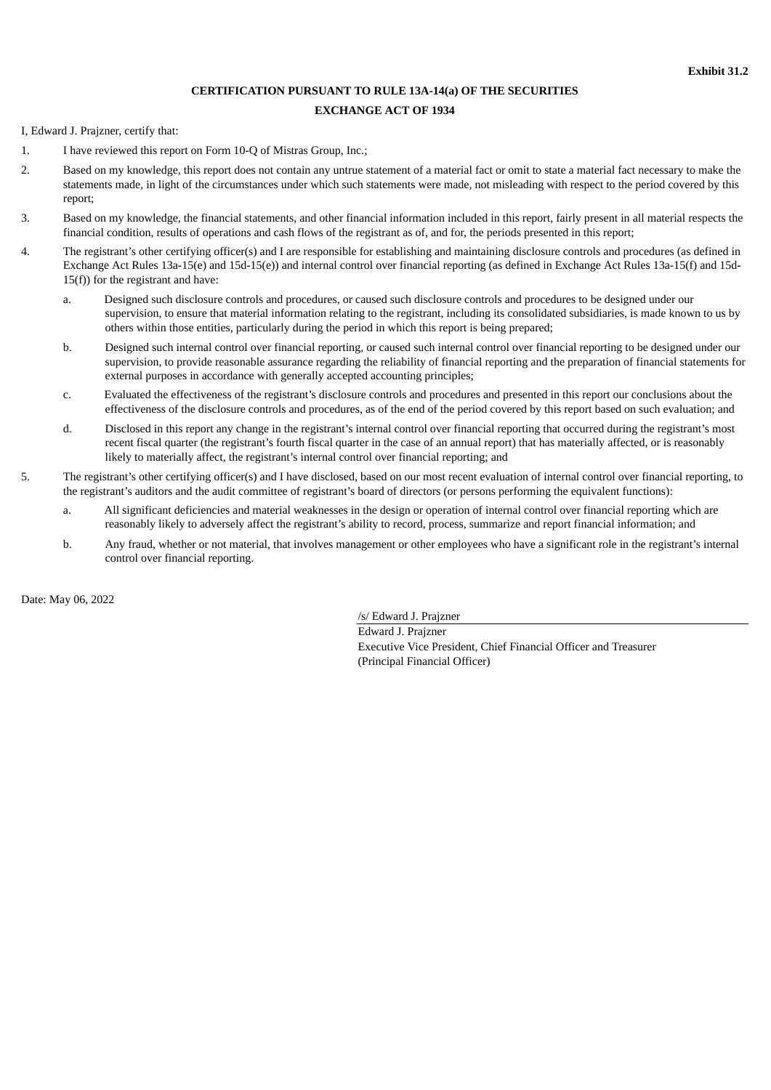# **CERTIFICATION PURSUANT TO RULE 13A-14(a) OF THE SECURITIES EXCHANGE ACT OF 1934**

<span id="page-41-0"></span>I, Edward J. Prajzner, certify that:

- 1. I have reviewed this report on Form 10-Q of Mistras Group, Inc.;
- 2. Based on my knowledge, this report does not contain any untrue statement of a material fact or omit to state a material fact necessary to make the statements made, in light of the circumstances under which such statements were made, not misleading with respect to the period covered by this report;
- 3. Based on my knowledge, the financial statements, and other financial information included in this report, fairly present in all material respects the financial condition, results of operations and cash flows of the registrant as of, and for, the periods presented in this report;
- 4. The registrant's other certifying officer(s) and I are responsible for establishing and maintaining disclosure controls and procedures (as defined in Exchange Act Rules 13a-15(e) and 15d-15(e)) and internal control over financial reporting (as defined in Exchange Act Rules 13a-15(f) and 15d-15(f)) for the registrant and have:
	- a. Designed such disclosure controls and procedures, or caused such disclosure controls and procedures to be designed under our supervision, to ensure that material information relating to the registrant, including its consolidated subsidiaries, is made known to us by others within those entities, particularly during the period in which this report is being prepared;
	- b. Designed such internal control over financial reporting, or caused such internal control over financial reporting to be designed under our supervision, to provide reasonable assurance regarding the reliability of financial reporting and the preparation of financial statements for external purposes in accordance with generally accepted accounting principles;
	- c. Evaluated the effectiveness of the registrant's disclosure controls and procedures and presented in this report our conclusions about the effectiveness of the disclosure controls and procedures, as of the end of the period covered by this report based on such evaluation; and
	- d. Disclosed in this report any change in the registrant's internal control over financial reporting that occurred during the registrant's most recent fiscal quarter (the registrant's fourth fiscal quarter in the case of an annual report) that has materially affected, or is reasonably likely to materially affect, the registrant's internal control over financial reporting; and
- 5. The registrant's other certifying officer(s) and I have disclosed, based on our most recent evaluation of internal control over financial reporting, to the registrant's auditors and the audit committee of registrant's board of directors (or persons performing the equivalent functions):
	- a. All significant deficiencies and material weaknesses in the design or operation of internal control over financial reporting which are reasonably likely to adversely affect the registrant's ability to record, process, summarize and report financial information; and
	- b. Any fraud, whether or not material, that involves management or other employees who have a significant role in the registrant's internal control over financial reporting.

Date: May 06, 2022

/s/ Edward J. Prajzner Edward J. Prajzner Executive Vice President, Chief Financial Officer and Treasurer (Principal Financial Officer)